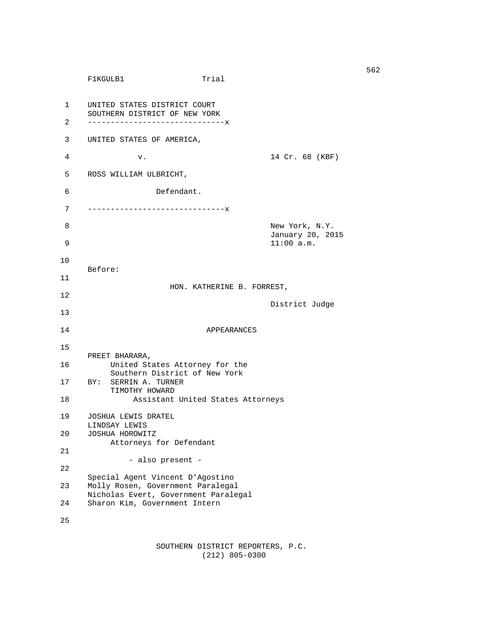|    | F1KGULB1                                                                                                      | Trial                             |                                |
|----|---------------------------------------------------------------------------------------------------------------|-----------------------------------|--------------------------------|
| 1  | UNITED STATES DISTRICT COURT<br>SOUTHERN DISTRICT OF NEW YORK                                                 |                                   |                                |
| 2  | ------------------------------X                                                                               |                                   |                                |
| 3  | UNITED STATES OF AMERICA,                                                                                     |                                   |                                |
| 4  | ν.                                                                                                            |                                   | 14 Cr. 68 (KBF)                |
| 5  | ROSS WILLIAM ULBRICHT,                                                                                        |                                   |                                |
| 6  | Defendant.                                                                                                    |                                   |                                |
| 7  | -------------------------------X                                                                              |                                   |                                |
| 8  |                                                                                                               |                                   | New York, N.Y.                 |
| 9  |                                                                                                               |                                   | January 20, 2015<br>11:00 a.m. |
| 10 |                                                                                                               |                                   |                                |
| 11 | Before:                                                                                                       |                                   |                                |
| 12 |                                                                                                               | HON. KATHERINE B. FORREST,        |                                |
| 13 |                                                                                                               |                                   | District Judge                 |
| 14 |                                                                                                               | APPEARANCES                       |                                |
| 15 |                                                                                                               |                                   |                                |
| 16 | PREET BHARARA,<br>United States Attorney for the                                                              |                                   |                                |
| 17 | Southern District of New York<br>SERRIN A. TURNER<br>BY :<br>TIMOTHY HOWARD                                   |                                   |                                |
| 18 |                                                                                                               | Assistant United States Attorneys |                                |
| 19 | JOSHUA LEWIS DRATEL                                                                                           |                                   |                                |
| 20 | LINDSAY LEWIS<br>JOSHUA HOROWITZ<br>Attorneys for Defendant                                                   |                                   |                                |
| 21 |                                                                                                               |                                   |                                |
| 22 | - also present -                                                                                              |                                   |                                |
| 23 | Special Agent Vincent D'Agostino<br>Molly Rosen, Government Paralegal<br>Nicholas Evert, Government Paralegal |                                   |                                |
| 24 | Sharon Kim, Government Intern                                                                                 |                                   |                                |
| 25 |                                                                                                               |                                   |                                |
|    |                                                                                                               | SOUTHERN DISTRICT REPORTERS, P.C. |                                |

 $(212)$  805-0300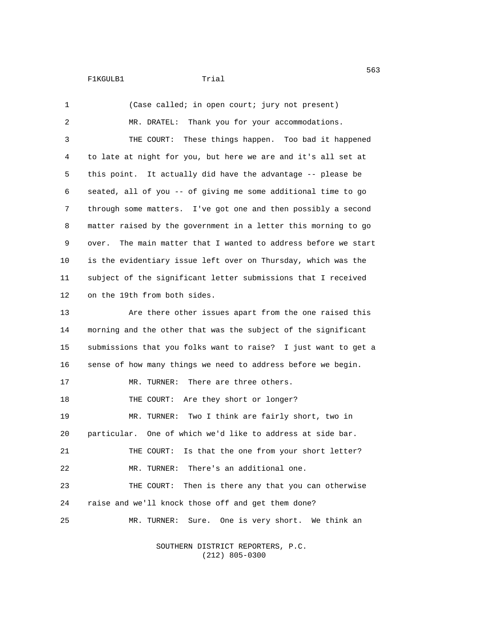| 1              | (Case called; in open court; jury not present)                 |
|----------------|----------------------------------------------------------------|
| $\overline{c}$ | MR. DRATEL: Thank you for your accommodations.                 |
| 3              | THE COURT: These things happen. Too bad it happened            |
| 4              | to late at night for you, but here we are and it's all set at  |
| 5              | this point. It actually did have the advantage -- please be    |
| 6              | seated, all of you -- of giving me some additional time to go  |
| 7              | through some matters. I've got one and then possibly a second  |
| 8              | matter raised by the government in a letter this morning to go |
| 9              | over. The main matter that I wanted to address before we start |
| 10             | is the evidentiary issue left over on Thursday, which was the  |
| 11             | subject of the significant letter submissions that I received  |
| 12             | on the 19th from both sides.                                   |
| 13             | Are there other issues apart from the one raised this          |
| 14             | morning and the other that was the subject of the significant  |
| 15             | submissions that you folks want to raise? I just want to get a |
| 16             | sense of how many things we need to address before we begin.   |
| 17             | There are three others.<br>MR. TURNER:                         |
| 18             | THE COURT: Are they short or longer?                           |
| 19             | MR. TURNER: Two I think are fairly short, two in               |
| 20             | particular. One of which we'd like to address at side bar.     |
| 21             | THE COURT: Is that the one from your short letter?             |
| 22             | MR. TURNER: There's an additional one.                         |
| 23             | THE COURT: Then is there any that you can otherwise            |
| 24             | raise and we'll knock those off and get them done?             |
| 25             | One is very short. We think an<br>MR. TURNER:<br>Sure.         |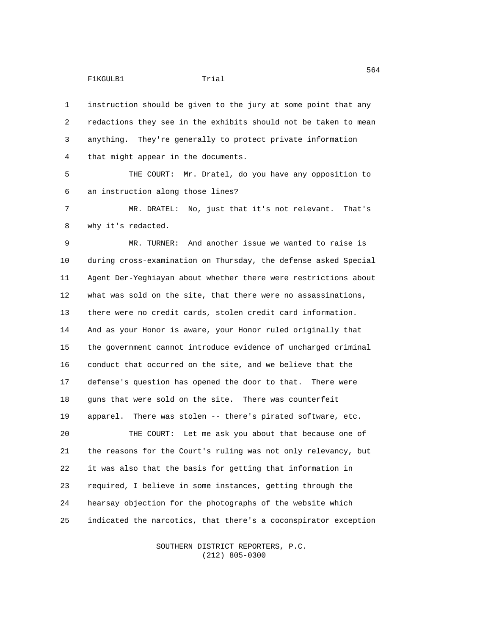1 instruction should be given to the jury at some point that any 2 redactions they see in the exhibits should not be taken to mean 3 anything. They're generally to protect private information 4 that might appear in the documents.

5 THE COURT: Mr. Dratel, do you have any opposition to 6 an instruction along those lines?

7 MR. DRATEL: No, just that it's not relevant. That's 8 why it's redacted.

9 MR. TURNER: And another issue we wanted to raise is 10 during cross-examination on Thursday, the defense asked Special 11 Agent Der-Yeghiayan about whether there were restrictions about 12 what was sold on the site, that there were no assassinations, 13 there were no credit cards, stolen credit card information. 14 And as your Honor is aware, your Honor ruled originally that 15 the government cannot introduce evidence of uncharged criminal 16 conduct that occurred on the site, and we believe that the 17 defense's question has opened the door to that. There were 18 guns that were sold on the site. There was counterfeit 19 apparel. There was stolen -- there's pirated software, etc. 20 THE COURT: Let me ask you about that because one of 21 the reasons for the Court's ruling was not only relevancy, but 22 it was also that the basis for getting that information in 23 required, I believe in some instances, getting through the 24 hearsay objection for the photographs of the website which 25 indicated the narcotics, that there's a coconspirator exception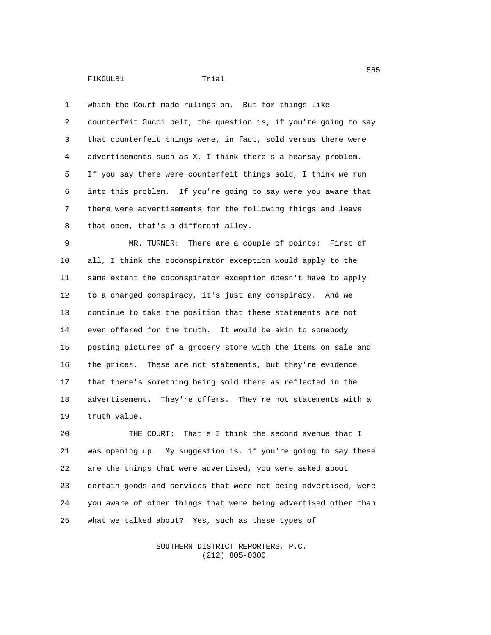1 which the Court made rulings on. But for things like 2 counterfeit Gucci belt, the question is, if you're going to say 3 that counterfeit things were, in fact, sold versus there were 4 advertisements such as X, I think there's a hearsay problem. 5 If you say there were counterfeit things sold, I think we run 6 into this problem. If you're going to say were you aware that 7 there were advertisements for the following things and leave 8 that open, that's a different alley.

9 MR. TURNER: There are a couple of points: First of 10 all, I think the coconspirator exception would apply to the 11 same extent the coconspirator exception doesn't have to apply 12 to a charged conspiracy, it's just any conspiracy. And we 13 continue to take the position that these statements are not 14 even offered for the truth. It would be akin to somebody 15 posting pictures of a grocery store with the items on sale and 16 the prices. These are not statements, but they're evidence 17 that there's something being sold there as reflected in the 18 advertisement. They're offers. They're not statements with a 19 truth value.

20 THE COURT: That's I think the second avenue that I 21 was opening up. My suggestion is, if you're going to say these 22 are the things that were advertised, you were asked about 23 certain goods and services that were not being advertised, were 24 you aware of other things that were being advertised other than 25 what we talked about? Yes, such as these types of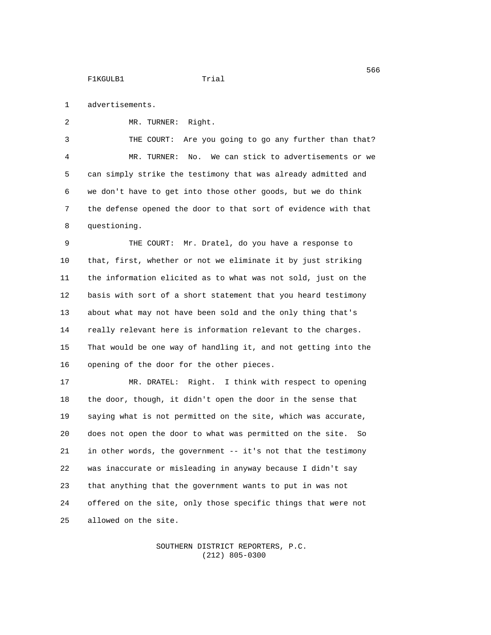1 advertisements.

2 MR. TURNER: Right. 3 THE COURT: Are you going to go any further than that? 4 MR. TURNER: No. We can stick to advertisements or we 5 can simply strike the testimony that was already admitted and 6 we don't have to get into those other goods, but we do think 7 the defense opened the door to that sort of evidence with that 8 questioning.

9 THE COURT: Mr. Dratel, do you have a response to 10 that, first, whether or not we eliminate it by just striking 11 the information elicited as to what was not sold, just on the 12 basis with sort of a short statement that you heard testimony 13 about what may not have been sold and the only thing that's 14 really relevant here is information relevant to the charges. 15 That would be one way of handling it, and not getting into the 16 opening of the door for the other pieces.

17 MR. DRATEL: Right. I think with respect to opening 18 the door, though, it didn't open the door in the sense that 19 saying what is not permitted on the site, which was accurate, 20 does not open the door to what was permitted on the site. So 21 in other words, the government -- it's not that the testimony 22 was inaccurate or misleading in anyway because I didn't say 23 that anything that the government wants to put in was not 24 offered on the site, only those specific things that were not 25 allowed on the site.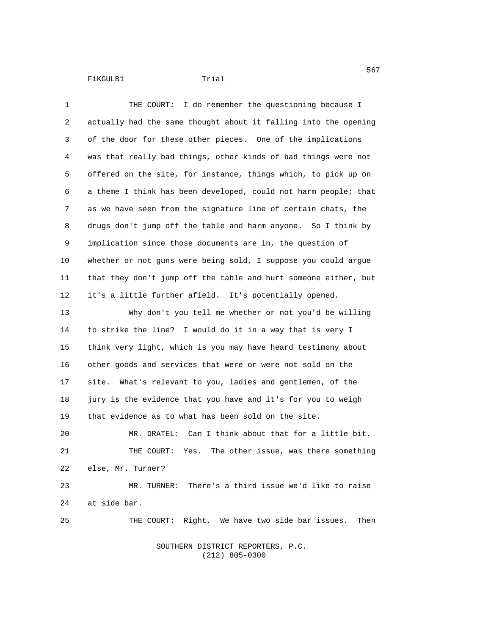| 1              | THE COURT: I do remember the questioning because I              |
|----------------|-----------------------------------------------------------------|
| $\overline{a}$ | actually had the same thought about it falling into the opening |
| 3              | of the door for these other pieces. One of the implications     |
| 4              | was that really bad things, other kinds of bad things were not  |
| 5              | offered on the site, for instance, things which, to pick up on  |
| 6              | a theme I think has been developed, could not harm people; that |
| $\overline{7}$ | as we have seen from the signature line of certain chats, the   |
| 8              | drugs don't jump off the table and harm anyone. So I think by   |
| 9              | implication since those documents are in, the question of       |
| 10             | whether or not guns were being sold, I suppose you could argue  |
| 11             | that they don't jump off the table and hurt someone either, but |
| 12             | it's a little further afield. It's potentially opened.          |
| 13             | Why don't you tell me whether or not you'd be willing           |
| 14             | to strike the line? I would do it in a way that is very I       |
| 15             | think very light, which is you may have heard testimony about   |
| 16             | other goods and services that were or were not sold on the      |
| 17             | site. What's relevant to you, ladies and gentlemen, of the      |
| 18             | jury is the evidence that you have and it's for you to weigh    |
| 19             | that evidence as to what has been sold on the site.             |
| 20             | MR. DRATEL: Can I think about that for a little bit.            |
| 21             | THE COURT: Yes. The other issue, was there something            |
| 22             | else, Mr. Turner?                                               |
| 23             | MR. TURNER: There's a third issue we'd like to raise            |
| 24             | at side bar.                                                    |
| 25             | THE COURT: Right. We have two side bar issues.<br>Then          |
|                |                                                                 |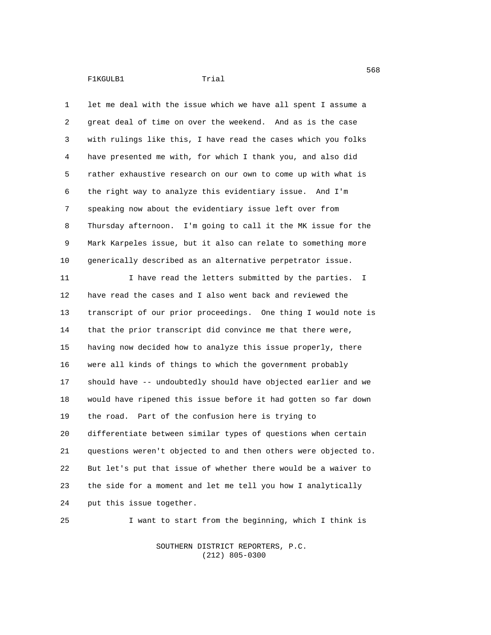1 let me deal with the issue which we have all spent I assume a 2 great deal of time on over the weekend. And as is the case 3 with rulings like this, I have read the cases which you folks 4 have presented me with, for which I thank you, and also did 5 rather exhaustive research on our own to come up with what is 6 the right way to analyze this evidentiary issue. And I'm 7 speaking now about the evidentiary issue left over from 8 Thursday afternoon. I'm going to call it the MK issue for the 9 Mark Karpeles issue, but it also can relate to something more 10 generically described as an alternative perpetrator issue.

11 I have read the letters submitted by the parties. I 12 have read the cases and I also went back and reviewed the 13 transcript of our prior proceedings. One thing I would note is 14 that the prior transcript did convince me that there were, 15 having now decided how to analyze this issue properly, there 16 were all kinds of things to which the government probably 17 should have -- undoubtedly should have objected earlier and we 18 would have ripened this issue before it had gotten so far down 19 the road. Part of the confusion here is trying to 20 differentiate between similar types of questions when certain 21 questions weren't objected to and then others were objected to. 22 But let's put that issue of whether there would be a waiver to 23 the side for a moment and let me tell you how I analytically 24 put this issue together.

25 I want to start from the beginning, which I think is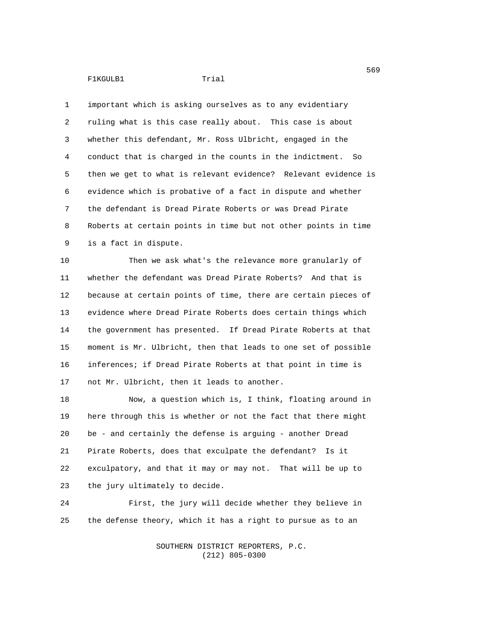1 important which is asking ourselves as to any evidentiary 2 ruling what is this case really about. This case is about 3 whether this defendant, Mr. Ross Ulbricht, engaged in the 4 conduct that is charged in the counts in the indictment. So 5 then we get to what is relevant evidence? Relevant evidence is 6 evidence which is probative of a fact in dispute and whether 7 the defendant is Dread Pirate Roberts or was Dread Pirate 8 Roberts at certain points in time but not other points in time 9 is a fact in dispute.

10 Then we ask what's the relevance more granularly of 11 whether the defendant was Dread Pirate Roberts? And that is 12 because at certain points of time, there are certain pieces of 13 evidence where Dread Pirate Roberts does certain things which 14 the government has presented. If Dread Pirate Roberts at that 15 moment is Mr. Ulbricht, then that leads to one set of possible 16 inferences; if Dread Pirate Roberts at that point in time is 17 not Mr. Ulbricht, then it leads to another.

18 Now, a question which is, I think, floating around in 19 here through this is whether or not the fact that there might 20 be - and certainly the defense is arguing - another Dread 21 Pirate Roberts, does that exculpate the defendant? Is it 22 exculpatory, and that it may or may not. That will be up to 23 the jury ultimately to decide.

24 First, the jury will decide whether they believe in 25 the defense theory, which it has a right to pursue as to an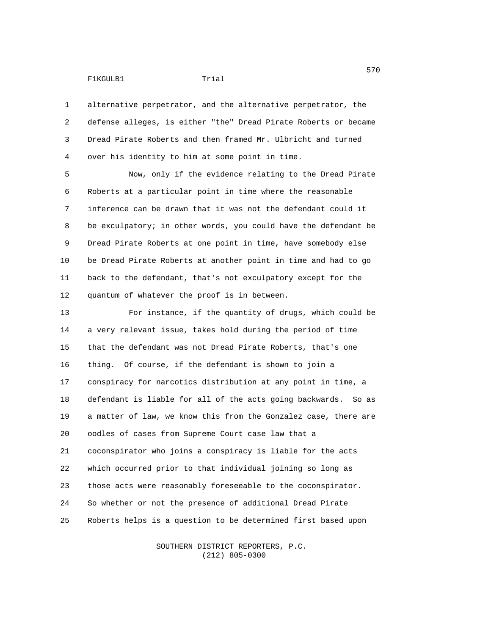1 alternative perpetrator, and the alternative perpetrator, the 2 defense alleges, is either "the" Dread Pirate Roberts or became 3 Dread Pirate Roberts and then framed Mr. Ulbricht and turned 4 over his identity to him at some point in time.

5 Now, only if the evidence relating to the Dread Pirate 6 Roberts at a particular point in time where the reasonable 7 inference can be drawn that it was not the defendant could it 8 be exculpatory; in other words, you could have the defendant be 9 Dread Pirate Roberts at one point in time, have somebody else 10 be Dread Pirate Roberts at another point in time and had to go 11 back to the defendant, that's not exculpatory except for the 12 quantum of whatever the proof is in between.

13 For instance, if the quantity of drugs, which could be 14 a very relevant issue, takes hold during the period of time 15 that the defendant was not Dread Pirate Roberts, that's one 16 thing. Of course, if the defendant is shown to join a 17 conspiracy for narcotics distribution at any point in time, a 18 defendant is liable for all of the acts going backwards. So as 19 a matter of law, we know this from the Gonzalez case, there are 20 oodles of cases from Supreme Court case law that a 21 coconspirator who joins a conspiracy is liable for the acts 22 which occurred prior to that individual joining so long as 23 those acts were reasonably foreseeable to the coconspirator. 24 So whether or not the presence of additional Dread Pirate 25 Roberts helps is a question to be determined first based upon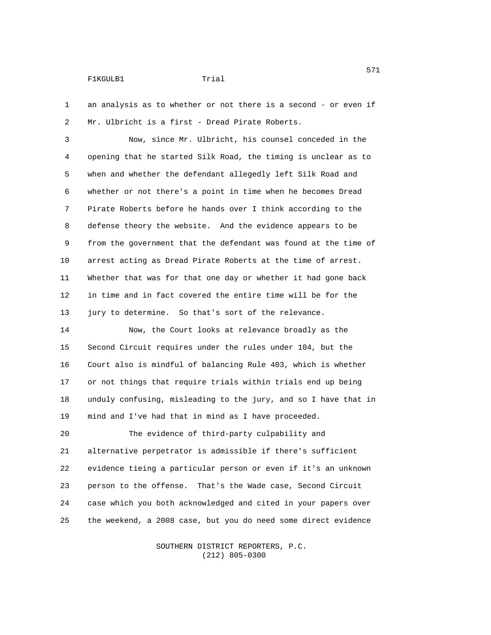1 an analysis as to whether or not there is a second - or even if 2 Mr. Ulbricht is a first - Dread Pirate Roberts.

3 Now, since Mr. Ulbricht, his counsel conceded in the 4 opening that he started Silk Road, the timing is unclear as to 5 when and whether the defendant allegedly left Silk Road and 6 whether or not there's a point in time when he becomes Dread 7 Pirate Roberts before he hands over I think according to the 8 defense theory the website. And the evidence appears to be 9 from the government that the defendant was found at the time of 10 arrest acting as Dread Pirate Roberts at the time of arrest. 11 Whether that was for that one day or whether it had gone back 12 in time and in fact covered the entire time will be for the 13 jury to determine. So that's sort of the relevance.

14 Now, the Court looks at relevance broadly as the 15 Second Circuit requires under the rules under 104, but the 16 Court also is mindful of balancing Rule 403, which is whether 17 or not things that require trials within trials end up being 18 unduly confusing, misleading to the jury, and so I have that in 19 mind and I've had that in mind as I have proceeded.

20 The evidence of third-party culpability and 21 alternative perpetrator is admissible if there's sufficient 22 evidence tieing a particular person or even if it's an unknown 23 person to the offense. That's the Wade case, Second Circuit 24 case which you both acknowledged and cited in your papers over 25 the weekend, a 2008 case, but you do need some direct evidence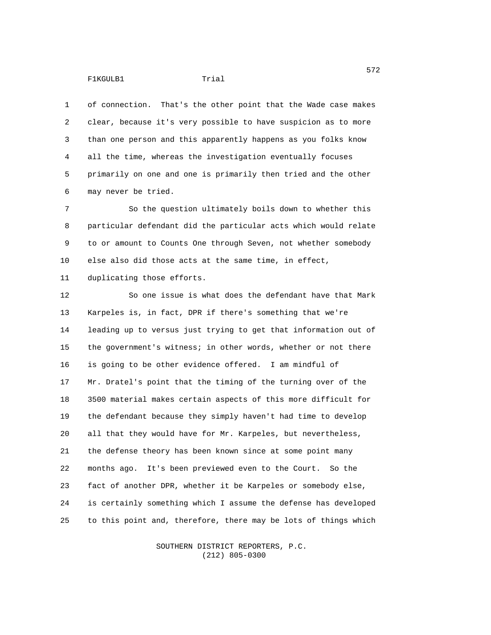1 of connection. That's the other point that the Wade case makes 2 clear, because it's very possible to have suspicion as to more 3 than one person and this apparently happens as you folks know 4 all the time, whereas the investigation eventually focuses 5 primarily on one and one is primarily then tried and the other 6 may never be tried.

7 So the question ultimately boils down to whether this 8 particular defendant did the particular acts which would relate 9 to or amount to Counts One through Seven, not whether somebody 10 else also did those acts at the same time, in effect,

11 duplicating those efforts.

12 So one issue is what does the defendant have that Mark 13 Karpeles is, in fact, DPR if there's something that we're 14 leading up to versus just trying to get that information out of 15 the government's witness; in other words, whether or not there 16 is going to be other evidence offered. I am mindful of 17 Mr. Dratel's point that the timing of the turning over of the 18 3500 material makes certain aspects of this more difficult for 19 the defendant because they simply haven't had time to develop 20 all that they would have for Mr. Karpeles, but nevertheless, 21 the defense theory has been known since at some point many 22 months ago. It's been previewed even to the Court. So the 23 fact of another DPR, whether it be Karpeles or somebody else, 24 is certainly something which I assume the defense has developed 25 to this point and, therefore, there may be lots of things which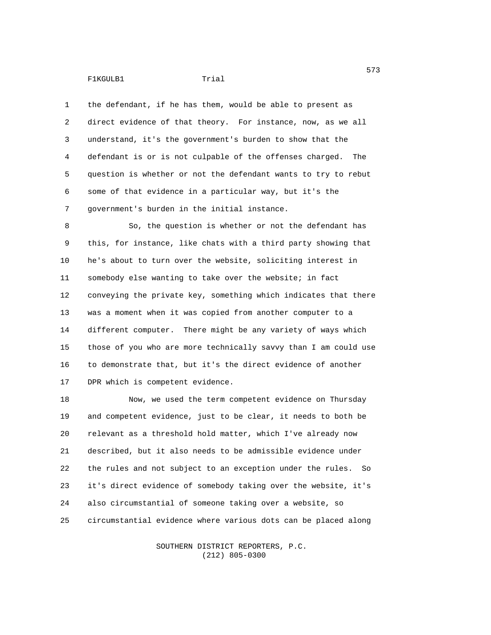1 the defendant, if he has them, would be able to present as 2 direct evidence of that theory. For instance, now, as we all 3 understand, it's the government's burden to show that the 4 defendant is or is not culpable of the offenses charged. The 5 question is whether or not the defendant wants to try to rebut 6 some of that evidence in a particular way, but it's the 7 government's burden in the initial instance.

8 So, the question is whether or not the defendant has 9 this, for instance, like chats with a third party showing that 10 he's about to turn over the website, soliciting interest in 11 somebody else wanting to take over the website; in fact 12 conveying the private key, something which indicates that there 13 was a moment when it was copied from another computer to a 14 different computer. There might be any variety of ways which 15 those of you who are more technically savvy than I am could use 16 to demonstrate that, but it's the direct evidence of another 17 DPR which is competent evidence.

18 Now, we used the term competent evidence on Thursday 19 and competent evidence, just to be clear, it needs to both be 20 relevant as a threshold hold matter, which I've already now 21 described, but it also needs to be admissible evidence under 22 the rules and not subject to an exception under the rules. So 23 it's direct evidence of somebody taking over the website, it's 24 also circumstantial of someone taking over a website, so 25 circumstantial evidence where various dots can be placed along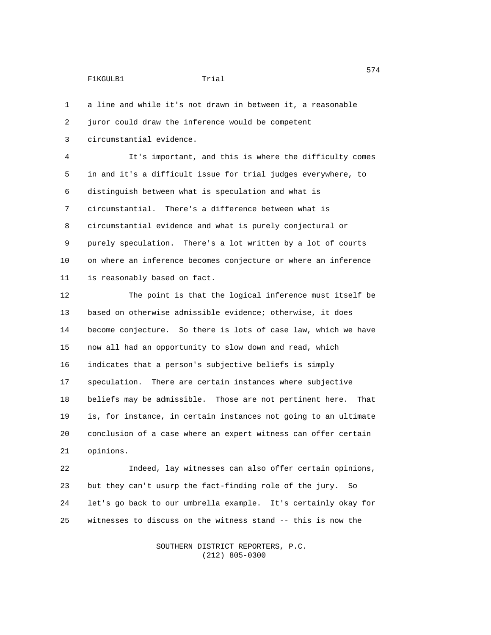1 a line and while it's not drawn in between it, a reasonable 2 juror could draw the inference would be competent 3 circumstantial evidence. 4 It's important, and this is where the difficulty comes 5 in and it's a difficult issue for trial judges everywhere, to 6 distinguish between what is speculation and what is 7 circumstantial. There's a difference between what is 8 circumstantial evidence and what is purely conjectural or 9 purely speculation. There's a lot written by a lot of courts 10 on where an inference becomes conjecture or where an inference 11 is reasonably based on fact. 12 The point is that the logical inference must itself be 13 based on otherwise admissible evidence; otherwise, it does 14 become conjecture. So there is lots of case law, which we have 15 now all had an opportunity to slow down and read, which 16 indicates that a person's subjective beliefs is simply 17 speculation. There are certain instances where subjective 18 beliefs may be admissible. Those are not pertinent here. That 19 is, for instance, in certain instances not going to an ultimate 20 conclusion of a case where an expert witness can offer certain 21 opinions.

22 Indeed, lay witnesses can also offer certain opinions, 23 but they can't usurp the fact-finding role of the jury. So 24 let's go back to our umbrella example. It's certainly okay for 25 witnesses to discuss on the witness stand -- this is now the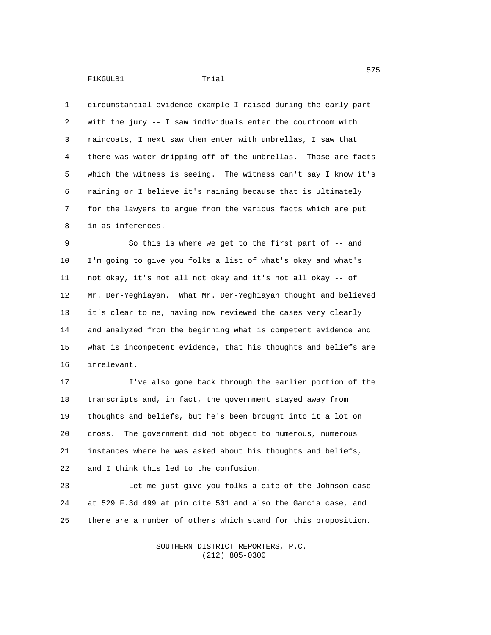1 circumstantial evidence example I raised during the early part 2 with the jury -- I saw individuals enter the courtroom with 3 raincoats, I next saw them enter with umbrellas, I saw that 4 there was water dripping off of the umbrellas. Those are facts 5 which the witness is seeing. The witness can't say I know it's 6 raining or I believe it's raining because that is ultimately 7 for the lawyers to argue from the various facts which are put 8 in as inferences.

9 So this is where we get to the first part of -- and 10 I'm going to give you folks a list of what's okay and what's 11 not okay, it's not all not okay and it's not all okay -- of 12 Mr. Der-Yeghiayan. What Mr. Der-Yeghiayan thought and believed 13 it's clear to me, having now reviewed the cases very clearly 14 and analyzed from the beginning what is competent evidence and 15 what is incompetent evidence, that his thoughts and beliefs are 16 irrelevant.

17 I've also gone back through the earlier portion of the 18 transcripts and, in fact, the government stayed away from 19 thoughts and beliefs, but he's been brought into it a lot on 20 cross. The government did not object to numerous, numerous 21 instances where he was asked about his thoughts and beliefs, 22 and I think this led to the confusion.

23 Let me just give you folks a cite of the Johnson case 24 at 529 F.3d 499 at pin cite 501 and also the Garcia case, and 25 there are a number of others which stand for this proposition.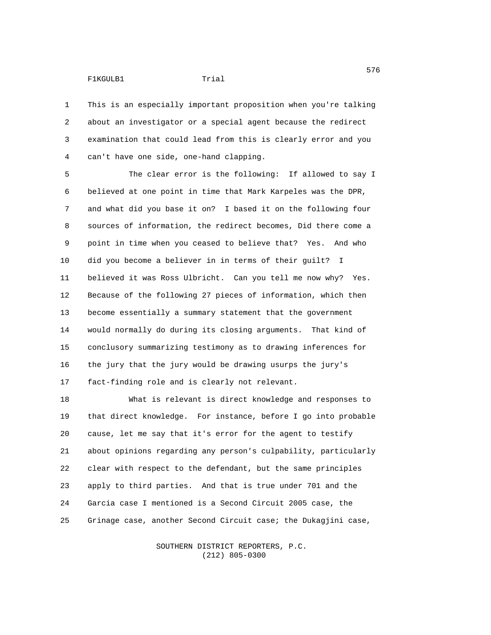1 This is an especially important proposition when you're talking 2 about an investigator or a special agent because the redirect 3 examination that could lead from this is clearly error and you 4 can't have one side, one-hand clapping.

5 The clear error is the following: If allowed to say I 6 believed at one point in time that Mark Karpeles was the DPR, 7 and what did you base it on? I based it on the following four 8 sources of information, the redirect becomes, Did there come a 9 point in time when you ceased to believe that? Yes. And who 10 did you become a believer in in terms of their guilt? I 11 believed it was Ross Ulbricht. Can you tell me now why? Yes. 12 Because of the following 27 pieces of information, which then 13 become essentially a summary statement that the government 14 would normally do during its closing arguments. That kind of 15 conclusory summarizing testimony as to drawing inferences for 16 the jury that the jury would be drawing usurps the jury's 17 fact-finding role and is clearly not relevant.

18 What is relevant is direct knowledge and responses to 19 that direct knowledge. For instance, before I go into probable 20 cause, let me say that it's error for the agent to testify 21 about opinions regarding any person's culpability, particularly 22 clear with respect to the defendant, but the same principles 23 apply to third parties. And that is true under 701 and the 24 Garcia case I mentioned is a Second Circuit 2005 case, the 25 Grinage case, another Second Circuit case; the Dukagjini case,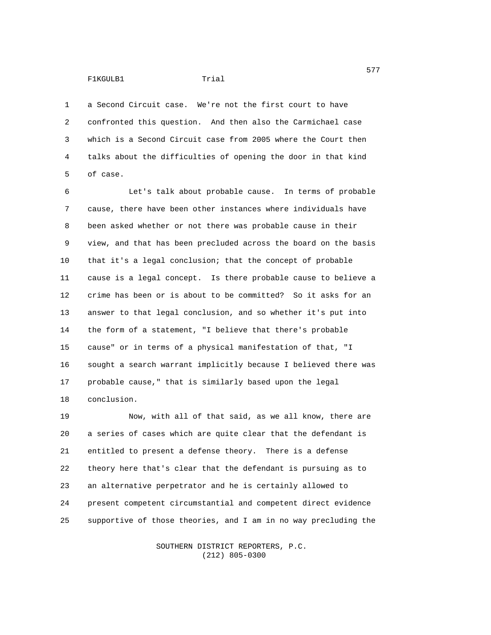1 a Second Circuit case. We're not the first court to have 2 confronted this question. And then also the Carmichael case 3 which is a Second Circuit case from 2005 where the Court then 4 talks about the difficulties of opening the door in that kind 5 of case.

6 Let's talk about probable cause. In terms of probable 7 cause, there have been other instances where individuals have 8 been asked whether or not there was probable cause in their 9 view, and that has been precluded across the board on the basis 10 that it's a legal conclusion; that the concept of probable 11 cause is a legal concept. Is there probable cause to believe a 12 crime has been or is about to be committed? So it asks for an 13 answer to that legal conclusion, and so whether it's put into 14 the form of a statement, "I believe that there's probable 15 cause" or in terms of a physical manifestation of that, "I 16 sought a search warrant implicitly because I believed there was 17 probable cause," that is similarly based upon the legal 18 conclusion.

19 Now, with all of that said, as we all know, there are 20 a series of cases which are quite clear that the defendant is 21 entitled to present a defense theory. There is a defense 22 theory here that's clear that the defendant is pursuing as to 23 an alternative perpetrator and he is certainly allowed to 24 present competent circumstantial and competent direct evidence 25 supportive of those theories, and I am in no way precluding the

> SOUTHERN DISTRICT REPORTERS, P.C. (212) 805-0300

577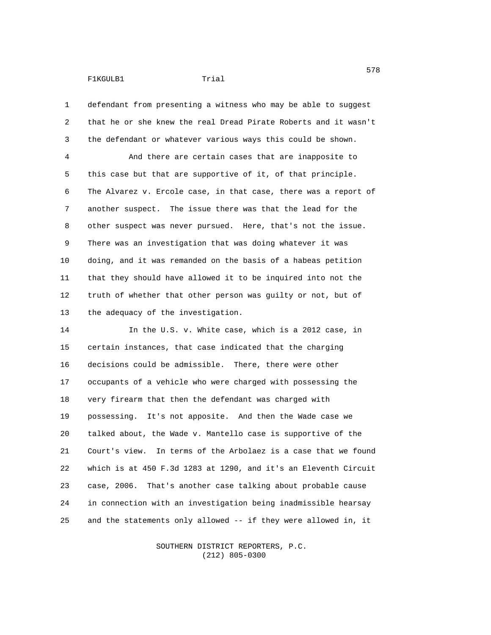1 defendant from presenting a witness who may be able to suggest 2 that he or she knew the real Dread Pirate Roberts and it wasn't 3 the defendant or whatever various ways this could be shown. 4 And there are certain cases that are inapposite to 5 this case but that are supportive of it, of that principle. 6 The Alvarez v. Ercole case, in that case, there was a report of 7 another suspect. The issue there was that the lead for the 8 other suspect was never pursued. Here, that's not the issue. 9 There was an investigation that was doing whatever it was 10 doing, and it was remanded on the basis of a habeas petition 11 that they should have allowed it to be inquired into not the 12 truth of whether that other person was guilty or not, but of 13 the adequacy of the investigation. 14 In the U.S. v. White case, which is a 2012 case, in 15 certain instances, that case indicated that the charging 16 decisions could be admissible. There, there were other

17 occupants of a vehicle who were charged with possessing the 18 very firearm that then the defendant was charged with 19 possessing. It's not apposite. And then the Wade case we 20 talked about, the Wade v. Mantello case is supportive of the 21 Court's view. In terms of the Arbolaez is a case that we found 22 which is at 450 F.3d 1283 at 1290, and it's an Eleventh Circuit 23 case, 2006. That's another case talking about probable cause 24 in connection with an investigation being inadmissible hearsay 25 and the statements only allowed -- if they were allowed in, it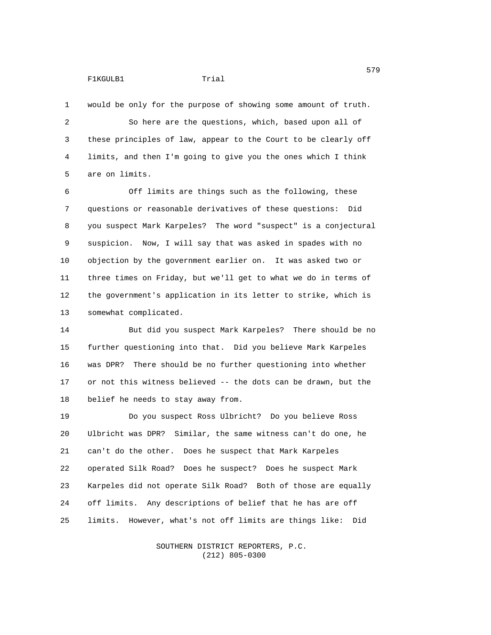1 would be only for the purpose of showing some amount of truth. 2 So here are the questions, which, based upon all of 3 these principles of law, appear to the Court to be clearly off 4 limits, and then I'm going to give you the ones which I think 5 are on limits.

6 Off limits are things such as the following, these 7 questions or reasonable derivatives of these questions: Did 8 you suspect Mark Karpeles? The word "suspect" is a conjectural 9 suspicion. Now, I will say that was asked in spades with no 10 objection by the government earlier on. It was asked two or 11 three times on Friday, but we'll get to what we do in terms of 12 the government's application in its letter to strike, which is 13 somewhat complicated.

14 But did you suspect Mark Karpeles? There should be no 15 further questioning into that. Did you believe Mark Karpeles 16 was DPR? There should be no further questioning into whether 17 or not this witness believed -- the dots can be drawn, but the 18 belief he needs to stay away from.

19 Do you suspect Ross Ulbricht? Do you believe Ross 20 Ulbricht was DPR? Similar, the same witness can't do one, he 21 can't do the other. Does he suspect that Mark Karpeles 22 operated Silk Road? Does he suspect? Does he suspect Mark 23 Karpeles did not operate Silk Road? Both of those are equally 24 off limits. Any descriptions of belief that he has are off 25 limits. However, what's not off limits are things like: Did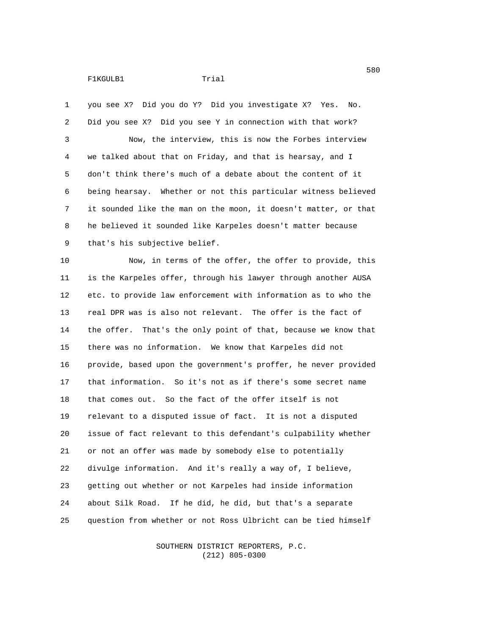1 you see X? Did you do Y? Did you investigate X? Yes. No. 2 Did you see X? Did you see Y in connection with that work? 3 Now, the interview, this is now the Forbes interview 4 we talked about that on Friday, and that is hearsay, and I 5 don't think there's much of a debate about the content of it 6 being hearsay. Whether or not this particular witness believed 7 it sounded like the man on the moon, it doesn't matter, or that 8 he believed it sounded like Karpeles doesn't matter because 9 that's his subjective belief.

10 Now, in terms of the offer, the offer to provide, this 11 is the Karpeles offer, through his lawyer through another AUSA 12 etc. to provide law enforcement with information as to who the 13 real DPR was is also not relevant. The offer is the fact of 14 the offer. That's the only point of that, because we know that 15 there was no information. We know that Karpeles did not 16 provide, based upon the government's proffer, he never provided 17 that information. So it's not as if there's some secret name 18 that comes out. So the fact of the offer itself is not 19 relevant to a disputed issue of fact. It is not a disputed 20 issue of fact relevant to this defendant's culpability whether 21 or not an offer was made by somebody else to potentially 22 divulge information. And it's really a way of, I believe, 23 getting out whether or not Karpeles had inside information 24 about Silk Road. If he did, he did, but that's a separate 25 question from whether or not Ross Ulbricht can be tied himself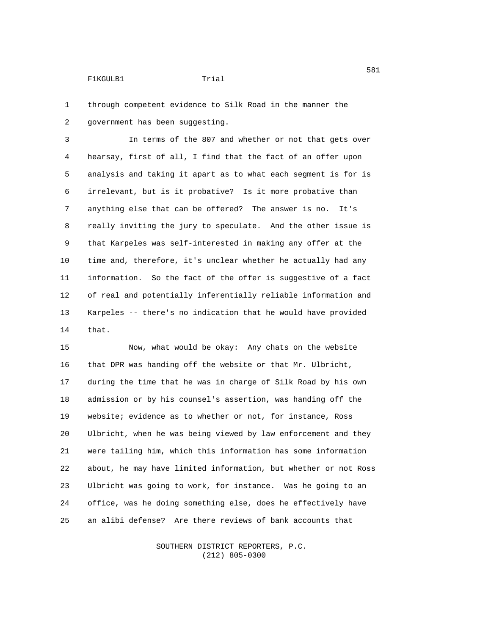1 through competent evidence to Silk Road in the manner the 2 government has been suggesting.

3 In terms of the 807 and whether or not that gets over 4 hearsay, first of all, I find that the fact of an offer upon 5 analysis and taking it apart as to what each segment is for is 6 irrelevant, but is it probative? Is it more probative than 7 anything else that can be offered? The answer is no. It's 8 really inviting the jury to speculate. And the other issue is 9 that Karpeles was self-interested in making any offer at the 10 time and, therefore, it's unclear whether he actually had any 11 information. So the fact of the offer is suggestive of a fact 12 of real and potentially inferentially reliable information and 13 Karpeles -- there's no indication that he would have provided 14 that.

15 Now, what would be okay: Any chats on the website 16 that DPR was handing off the website or that Mr. Ulbricht, 17 during the time that he was in charge of Silk Road by his own 18 admission or by his counsel's assertion, was handing off the 19 website; evidence as to whether or not, for instance, Ross 20 Ulbricht, when he was being viewed by law enforcement and they 21 were tailing him, which this information has some information 22 about, he may have limited information, but whether or not Ross 23 Ulbricht was going to work, for instance. Was he going to an 24 office, was he doing something else, does he effectively have 25 an alibi defense? Are there reviews of bank accounts that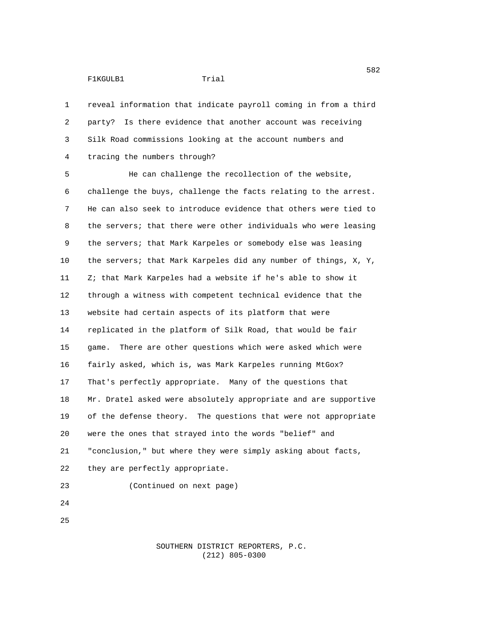1 reveal information that indicate payroll coming in from a third 2 party? Is there evidence that another account was receiving 3 Silk Road commissions looking at the account numbers and 4 tracing the numbers through?

5 He can challenge the recollection of the website, 6 challenge the buys, challenge the facts relating to the arrest. 7 He can also seek to introduce evidence that others were tied to 8 the servers; that there were other individuals who were leasing 9 the servers; that Mark Karpeles or somebody else was leasing 10 the servers; that Mark Karpeles did any number of things, X, Y, 11 Z; that Mark Karpeles had a website if he's able to show it 12 through a witness with competent technical evidence that the 13 website had certain aspects of its platform that were 14 replicated in the platform of Silk Road, that would be fair 15 game. There are other questions which were asked which were 16 fairly asked, which is, was Mark Karpeles running MtGox? 17 That's perfectly appropriate. Many of the questions that 18 Mr. Dratel asked were absolutely appropriate and are supportive 19 of the defense theory. The questions that were not appropriate 20 were the ones that strayed into the words "belief" and 21 "conclusion," but where they were simply asking about facts, 22 they are perfectly appropriate. 23 (Continued on next page)

- 24
- 25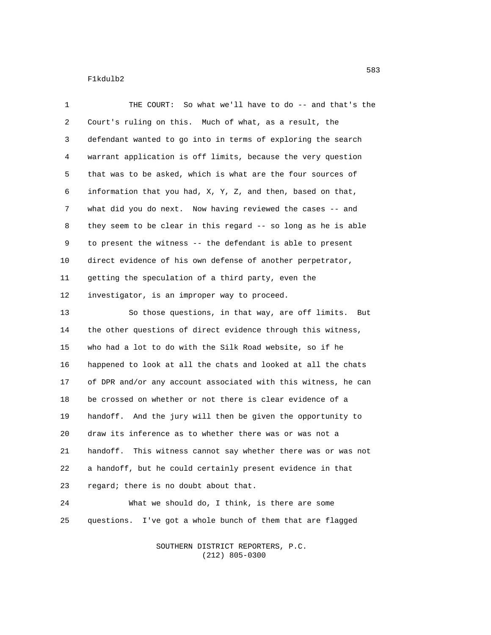| 1              | THE COURT: So what we'll have to do -- and that's the          |
|----------------|----------------------------------------------------------------|
| $\overline{2}$ | Court's ruling on this. Much of what, as a result, the         |
| 3              | defendant wanted to go into in terms of exploring the search   |
| 4              | warrant application is off limits, because the very question   |
| 5              | that was to be asked, which is what are the four sources of    |
| 6              | information that you had, X, Y, Z, and then, based on that,    |
| $\overline{7}$ | what did you do next. Now having reviewed the cases -- and     |
| 8              | they seem to be clear in this regard -- so long as he is able  |
| 9              | to present the witness -- the defendant is able to present     |
| 10             | direct evidence of his own defense of another perpetrator,     |
| 11             | getting the speculation of a third party, even the             |
| 12             | investigator, is an improper way to proceed.                   |
| 13             | So those questions, in that way, are off limits. But           |
| 14             | the other questions of direct evidence through this witness,   |
| 15             | who had a lot to do with the Silk Road website, so if he       |
| 16             | happened to look at all the chats and looked at all the chats  |
| 17             | of DPR and/or any account associated with this witness, he can |
| 18             | be crossed on whether or not there is clear evidence of a      |
| 19             | handoff. And the jury will then be given the opportunity to    |
| 20             | draw its inference as to whether there was or was not a        |
| 21             | handoff. This witness cannot say whether there was or was not  |
| 22             | a handoff, but he could certainly present evidence in that     |
| 23             | regard; there is no doubt about that.                          |
| 24             | What we should do, I think, is there are some                  |
| 25             | I've got a whole bunch of them that are flagged<br>questions.  |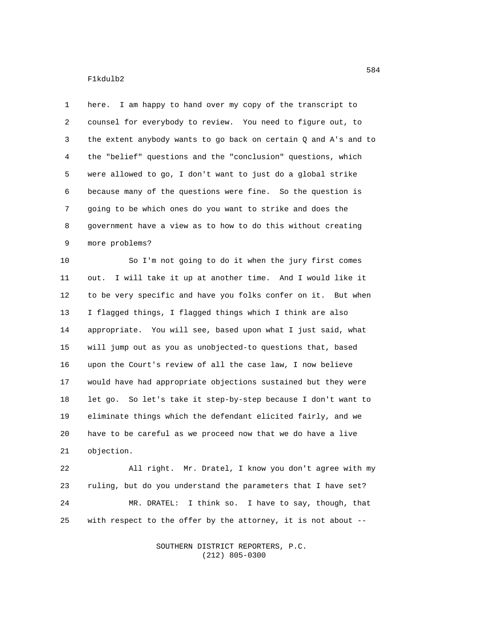1 here. I am happy to hand over my copy of the transcript to 2 counsel for everybody to review. You need to figure out, to 3 the extent anybody wants to go back on certain Q and A's and to 4 the "belief" questions and the "conclusion" questions, which 5 were allowed to go, I don't want to just do a global strike 6 because many of the questions were fine. So the question is 7 going to be which ones do you want to strike and does the 8 government have a view as to how to do this without creating 9 more problems?

10 So I'm not going to do it when the jury first comes 11 out. I will take it up at another time. And I would like it 12 to be very specific and have you folks confer on it. But when 13 I flagged things, I flagged things which I think are also 14 appropriate. You will see, based upon what I just said, what 15 will jump out as you as unobjected-to questions that, based 16 upon the Court's review of all the case law, I now believe 17 would have had appropriate objections sustained but they were 18 let go. So let's take it step-by-step because I don't want to 19 eliminate things which the defendant elicited fairly, and we 20 have to be careful as we proceed now that we do have a live 21 objection.

22 All right. Mr. Dratel, I know you don't agree with my 23 ruling, but do you understand the parameters that I have set? 24 MR. DRATEL: I think so. I have to say, though, that 25 with respect to the offer by the attorney, it is not about --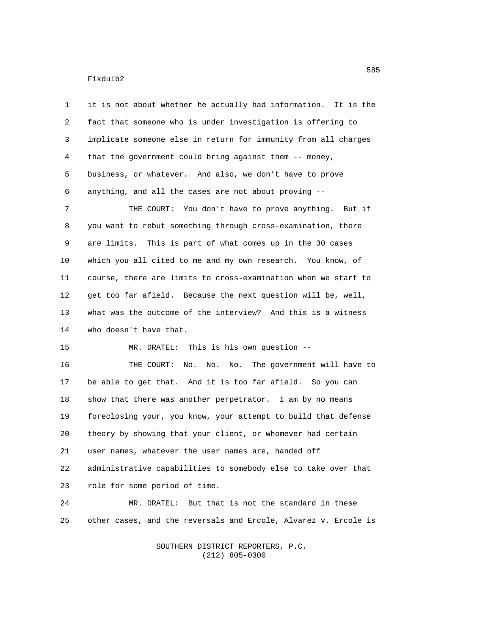| 1              | it is not about whether he actually had information. It is the  |
|----------------|-----------------------------------------------------------------|
| $\overline{2}$ | fact that someone who is under investigation is offering to     |
| 3              | implicate someone else in return for immunity from all charges  |
| 4              | that the government could bring against them -- money,          |
| 5              | business, or whatever. And also, we don't have to prove         |
| 6              | anything, and all the cases are not about proving --            |
| $\overline{7}$ | THE COURT: You don't have to prove anything. But if             |
| 8              | you want to rebut something through cross-examination, there    |
| 9              | are limits. This is part of what comes up in the 30 cases       |
| 10             | which you all cited to me and my own research. You know, of     |
| 11             | course, there are limits to cross-examination when we start to  |
| 12             | get too far afield. Because the next question will be, well,    |
| 13             | what was the outcome of the interview? And this is a witness    |
| 14             | who doesn't have that.                                          |
| 15             | MR. DRATEL: This is his own question --                         |
| 16             | No. No. No. The government will have to<br>THE COURT:           |
| 17             | be able to get that. And it is too far afield. So you can       |
| 18             | show that there was another perpetrator. I am by no means       |
| 19             | foreclosing your, you know, your attempt to build that defense  |
| 20             | theory by showing that your client, or whomever had certain     |
| 21             | user names, whatever the user names are, handed off             |
| 22             | administrative capabilities to somebody else to take over that  |
| 23             | role for some period of time.                                   |
| 24             | But that is not the standard in these<br>MR. DRATEL:            |
| 25             | other cases, and the reversals and Ercole, Alvarez v. Ercole is |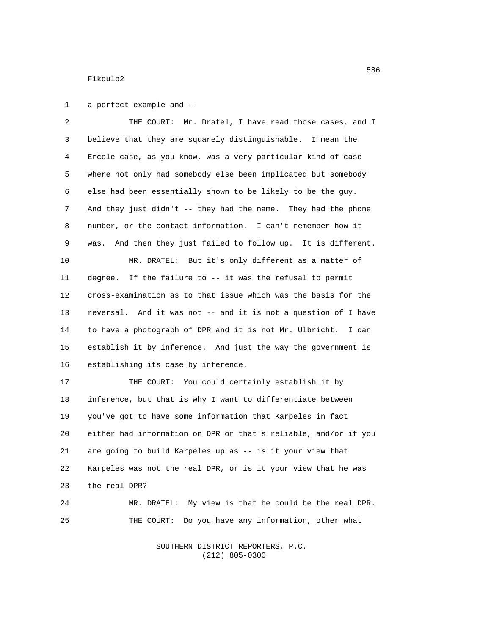1 a perfect example and --

2 THE COURT: Mr. Dratel, I have read those cases, and I 3 believe that they are squarely distinguishable. I mean the 4 Ercole case, as you know, was a very particular kind of case 5 where not only had somebody else been implicated but somebody 6 else had been essentially shown to be likely to be the guy. 7 And they just didn't -- they had the name. They had the phone 8 number, or the contact information. I can't remember how it 9 was. And then they just failed to follow up. It is different. 10 MR. DRATEL: But it's only different as a matter of 11 degree. If the failure to -- it was the refusal to permit 12 cross-examination as to that issue which was the basis for the 13 reversal. And it was not -- and it is not a question of I have 14 to have a photograph of DPR and it is not Mr. Ulbricht. I can 15 establish it by inference. And just the way the government is 16 establishing its case by inference. 17 THE COURT: You could certainly establish it by 18 inference, but that is why I want to differentiate between 19 you've got to have some information that Karpeles in fact 20 either had information on DPR or that's reliable, and/or if you 21 are going to build Karpeles up as -- is it your view that 22 Karpeles was not the real DPR, or is it your view that he was

23 the real DPR?

24 MR. DRATEL: My view is that he could be the real DPR. 25 THE COURT: Do you have any information, other what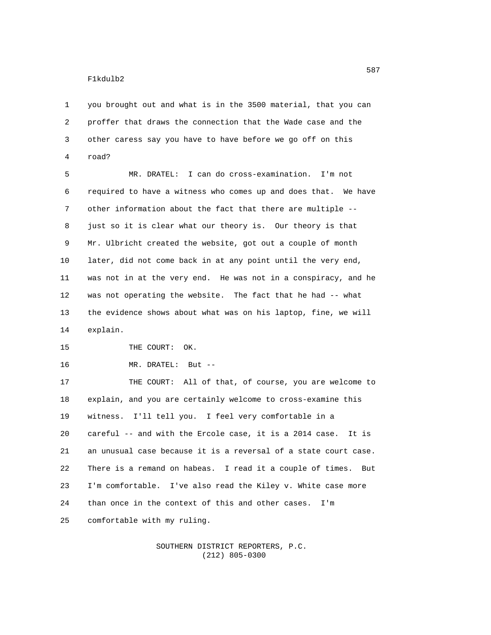1 you brought out and what is in the 3500 material, that you can 2 proffer that draws the connection that the Wade case and the 3 other caress say you have to have before we go off on this 4 road?

5 MR. DRATEL: I can do cross-examination. I'm not 6 required to have a witness who comes up and does that. We have 7 other information about the fact that there are multiple -- 8 just so it is clear what our theory is. Our theory is that 9 Mr. Ulbricht created the website, got out a couple of month 10 later, did not come back in at any point until the very end, 11 was not in at the very end. He was not in a conspiracy, and he 12 was not operating the website. The fact that he had -- what 13 the evidence shows about what was on his laptop, fine, we will 14 explain.

15 THE COURT: OK.

16 MR. DRATEL: But --

17 THE COURT: All of that, of course, you are welcome to 18 explain, and you are certainly welcome to cross-examine this 19 witness. I'll tell you. I feel very comfortable in a 20 careful -- and with the Ercole case, it is a 2014 case. It is 21 an unusual case because it is a reversal of a state court case. 22 There is a remand on habeas. I read it a couple of times. But 23 I'm comfortable. I've also read the Kiley v. White case more 24 than once in the context of this and other cases. I'm 25 comfortable with my ruling.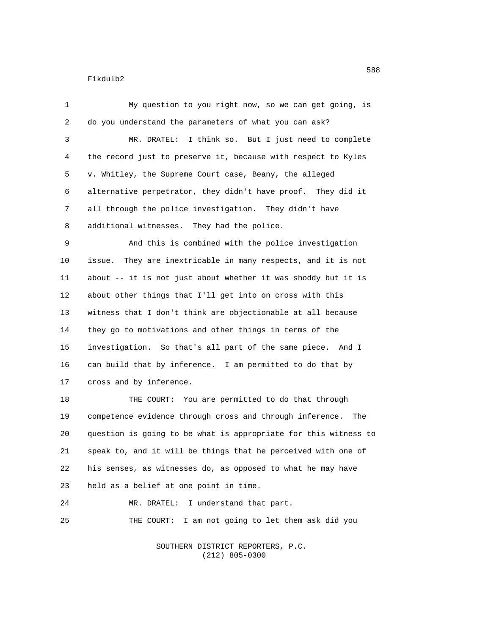1 My question to you right now, so we can get going, is 2 do you understand the parameters of what you can ask? 3 MR. DRATEL: I think so. But I just need to complete 4 the record just to preserve it, because with respect to Kyles 5 v. Whitley, the Supreme Court case, Beany, the alleged 6 alternative perpetrator, they didn't have proof. They did it 7 all through the police investigation. They didn't have 8 additional witnesses. They had the police. 9 And this is combined with the police investigation 10 issue. They are inextricable in many respects, and it is not 11 about -- it is not just about whether it was shoddy but it is 12 about other things that I'll get into on cross with this 13 witness that I don't think are objectionable at all because 14 they go to motivations and other things in terms of the 15 investigation. So that's all part of the same piece. And I 16 can build that by inference. I am permitted to do that by 17 cross and by inference. 18 THE COURT: You are permitted to do that through 19 competence evidence through cross and through inference. The 20 question is going to be what is appropriate for this witness to 21 speak to, and it will be things that he perceived with one of 22 his senses, as witnesses do, as opposed to what he may have

23 held as a belief at one point in time.

24 MR. DRATEL: I understand that part.

25 THE COURT: I am not going to let them ask did you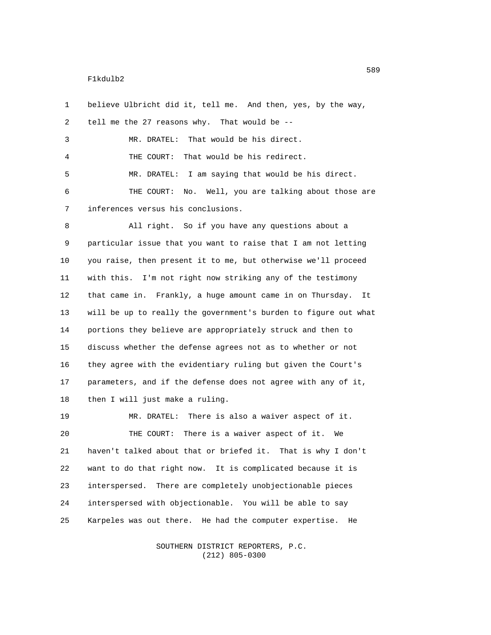1 believe Ulbricht did it, tell me. And then, yes, by the way, 2 tell me the 27 reasons why. That would be -- 3 MR. DRATEL: That would be his direct. 4 THE COURT: That would be his redirect. 5 MR. DRATEL: I am saying that would be his direct. 6 THE COURT: No. Well, you are talking about those are 7 inferences versus his conclusions.

8 All right. So if you have any questions about a 9 particular issue that you want to raise that I am not letting 10 you raise, then present it to me, but otherwise we'll proceed 11 with this. I'm not right now striking any of the testimony 12 that came in. Frankly, a huge amount came in on Thursday. It 13 will be up to really the government's burden to figure out what 14 portions they believe are appropriately struck and then to 15 discuss whether the defense agrees not as to whether or not 16 they agree with the evidentiary ruling but given the Court's 17 parameters, and if the defense does not agree with any of it, 18 then I will just make a ruling.

19 MR. DRATEL: There is also a waiver aspect of it. 20 THE COURT: There is a waiver aspect of it. We 21 haven't talked about that or briefed it. That is why I don't 22 want to do that right now. It is complicated because it is 23 interspersed. There are completely unobjectionable pieces 24 interspersed with objectionable. You will be able to say 25 Karpeles was out there. He had the computer expertise. He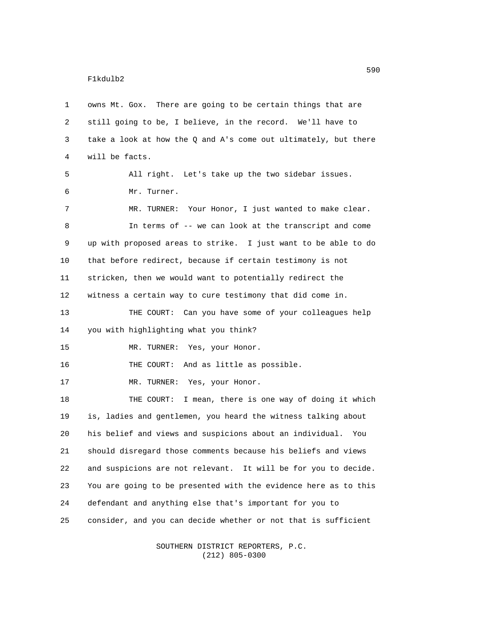1 owns Mt. Gox. There are going to be certain things that are 2 still going to be, I believe, in the record. We'll have to 3 take a look at how the Q and A's come out ultimately, but there 4 will be facts. 5 All right. Let's take up the two sidebar issues. 6 Mr. Turner. 7 MR. TURNER: Your Honor, I just wanted to make clear. 8 In terms of -- we can look at the transcript and come 9 up with proposed areas to strike. I just want to be able to do 10 that before redirect, because if certain testimony is not 11 stricken, then we would want to potentially redirect the 12 witness a certain way to cure testimony that did come in. 13 THE COURT: Can you have some of your colleagues help 14 you with highlighting what you think? 15 MR. TURNER: Yes, your Honor. 16 THE COURT: And as little as possible. 17 MR. TURNER: Yes, your Honor. 18 THE COURT: I mean, there is one way of doing it which 19 is, ladies and gentlemen, you heard the witness talking about 20 his belief and views and suspicions about an individual. You 21 should disregard those comments because his beliefs and views 22 and suspicions are not relevant. It will be for you to decide. 23 You are going to be presented with the evidence here as to this 24 defendant and anything else that's important for you to 25 consider, and you can decide whether or not that is sufficient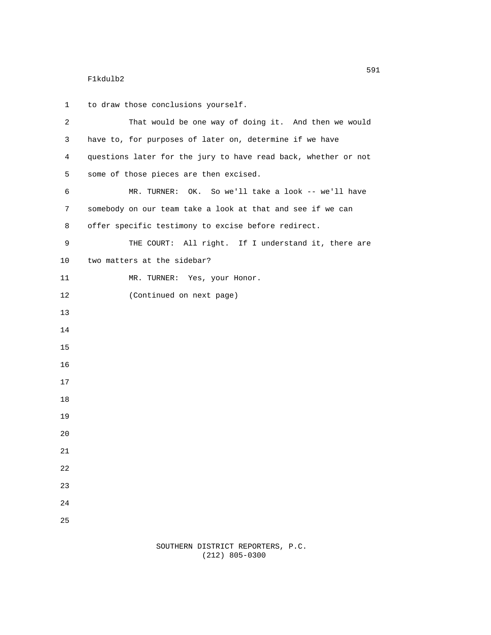| 1              | to draw those conclusions yourself.                            |
|----------------|----------------------------------------------------------------|
| $\overline{2}$ | That would be one way of doing it. And then we would           |
| 3              | have to, for purposes of later on, determine if we have        |
| 4              | questions later for the jury to have read back, whether or not |
| 5              | some of those pieces are then excised.                         |
| 6              | MR. TURNER: OK. So we'll take a look -- we'll have             |
| $\overline{7}$ | somebody on our team take a look at that and see if we can     |
| 8              | offer specific testimony to excise before redirect.            |
| 9              | THE COURT: All right. If I understand it, there are            |
| 10             | two matters at the sidebar?                                    |
| 11             | MR. TURNER: Yes, your Honor.                                   |
| 12             | (Continued on next page)                                       |
| 13             |                                                                |
| 14             |                                                                |
| 15             |                                                                |
| 16             |                                                                |
| 17             |                                                                |
| 18             |                                                                |
| 19             |                                                                |
| 20             |                                                                |
| 21             |                                                                |
| 22             |                                                                |
| 23             |                                                                |
| 24             |                                                                |
| 25             |                                                                |
|                |                                                                |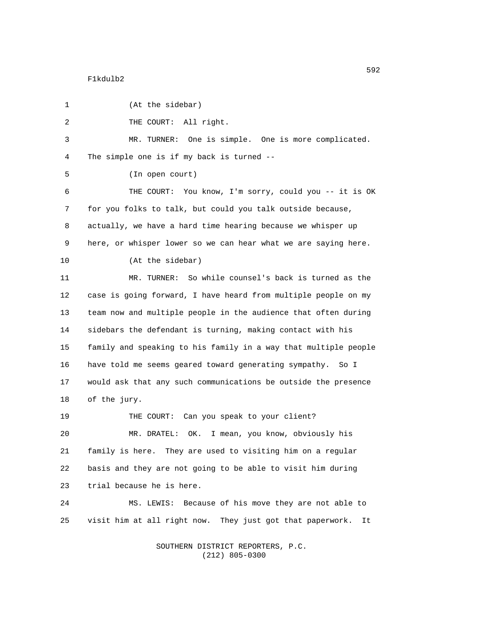| $\mathbf{1}$ | (At the sidebar)                                                |
|--------------|-----------------------------------------------------------------|
| 2            | THE COURT: All right.                                           |
| 3            | MR. TURNER: One is simple. One is more complicated.             |
| 4            | The simple one is if my back is turned --                       |
| 5            | (In open court)                                                 |
| 6            | THE COURT: You know, I'm sorry, could you -- it is OK           |
| 7            | for you folks to talk, but could you talk outside because,      |
| 8            | actually, we have a hard time hearing because we whisper up     |
| 9            | here, or whisper lower so we can hear what we are saying here.  |
| 10           | (At the sidebar)                                                |
| 11           | MR. TURNER: So while counsel's back is turned as the            |
| 12           | case is going forward, I have heard from multiple people on my  |
| 13           | team now and multiple people in the audience that often during  |
| 14           | sidebars the defendant is turning, making contact with his      |
| 15           | family and speaking to his family in a way that multiple people |
| 16           | have told me seems geared toward generating sympathy. So I      |
| 17           | would ask that any such communications be outside the presence  |
| 18           | of the jury.                                                    |
| 19           | THE COURT: Can you speak to your client?                        |
| 20           | MR. DRATEL: OK. I mean, you know, obviously his                 |
| 21           | family is here. They are used to visiting him on a regular      |
| 22           | basis and they are not going to be able to visit him during     |
| 23           | trial because he is here.                                       |
| 24           | MS. LEWIS: Because of his move they are not able to             |
| 25           | visit him at all right now. They just got that paperwork.<br>Ιt |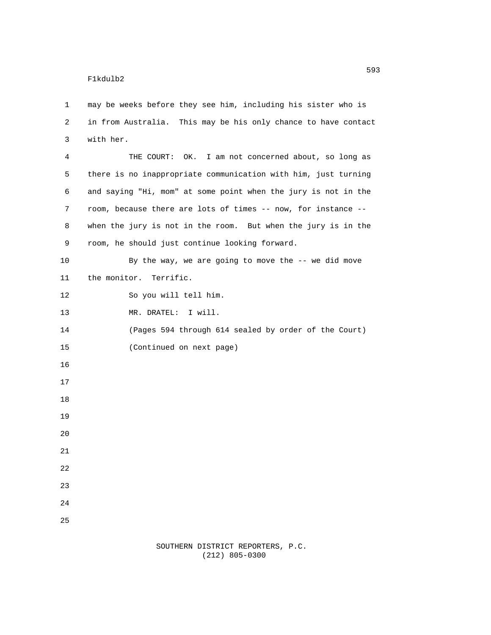1 may be weeks before they see him, including his sister who is 2 in from Australia. This may be his only chance to have contact 3 with her. 4 THE COURT: OK. I am not concerned about, so long as 5 there is no inappropriate communication with him, just turning 6 and saying "Hi, mom" at some point when the jury is not in the 7 room, because there are lots of times -- now, for instance -- 8 when the jury is not in the room. But when the jury is in the 9 room, he should just continue looking forward. 10 By the way, we are going to move the -- we did move 11 the monitor. Terrific. 12 So you will tell him. 13 MR. DRATEL: I will. 14 (Pages 594 through 614 sealed by order of the Court) 15 (Continued on next page) 16 17 18 19 20 21 22 23 24 25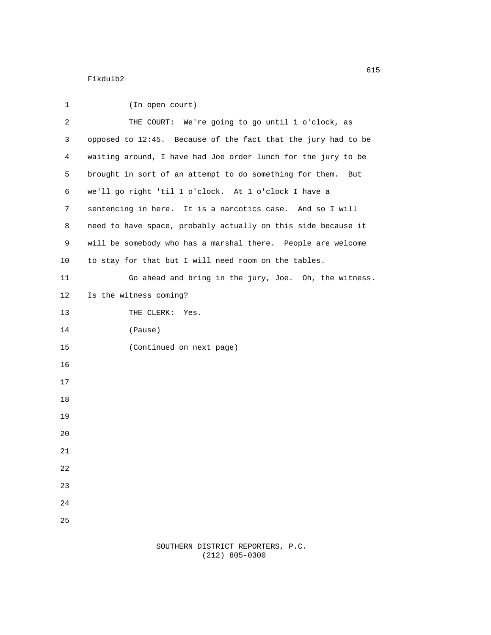| 1              | (In open court)                                                |
|----------------|----------------------------------------------------------------|
| $\overline{c}$ | THE COURT: We're going to go until 1 o'clock, as               |
| 3              | opposed to 12:45. Because of the fact that the jury had to be  |
| 4              | waiting around, I have had Joe order lunch for the jury to be  |
| 5              | brought in sort of an attempt to do something for them.<br>But |
| 6              | we'll go right 'til 1 o'clock. At 1 o'clock I have a           |
| $\overline{7}$ | sentencing in here. It is a narcotics case. And so I will      |
| 8              | need to have space, probably actually on this side because it  |
| 9              | will be somebody who has a marshal there. People are welcome   |
| 10             | to stay for that but I will need room on the tables.           |
| 11             | Go ahead and bring in the jury, Joe. Oh, the witness.          |
| 12             | Is the witness coming?                                         |
| 13             | THE CLERK: Yes.                                                |
| 14             | (Pause)                                                        |
| 15             | (Continued on next page)                                       |
| 16             |                                                                |
| 17             |                                                                |
| 18             |                                                                |
| 19             |                                                                |
| 20             |                                                                |
| 21             |                                                                |
| 22             |                                                                |
| 23             |                                                                |
| 24             |                                                                |
| 25             |                                                                |
|                |                                                                |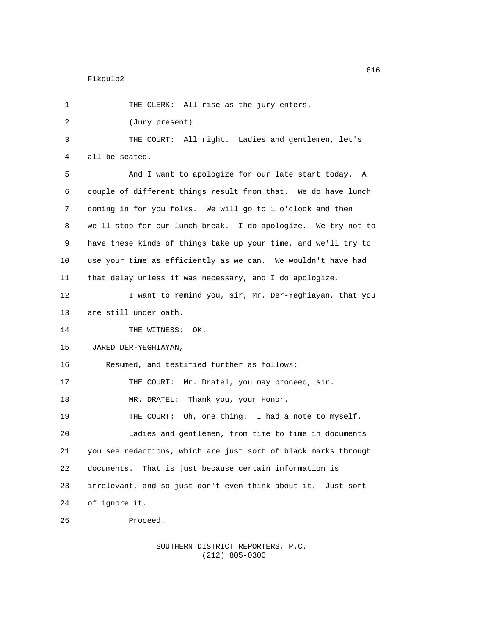| 1              | THE CLERK: All rise as the jury enters.                         |
|----------------|-----------------------------------------------------------------|
| $\overline{2}$ | (Jury present)                                                  |
| 3              | THE COURT: All right. Ladies and gentlemen, let's               |
| 4              | all be seated.                                                  |
| 5              | And I want to apologize for our late start today. A             |
| 6              | couple of different things result from that. We do have lunch   |
| 7              | coming in for you folks. We will go to 1 o'clock and then       |
| 8              | we'll stop for our lunch break. I do apologize. We try not to   |
| 9              | have these kinds of things take up your time, and we'll try to  |
| 10             | use your time as efficiently as we can. We wouldn't have had    |
| 11             | that delay unless it was necessary, and I do apologize.         |
| 12             | I want to remind you, sir, Mr. Der-Yeghiayan, that you          |
| 13             | are still under oath.                                           |
| 14             | 0K.<br>THE WITNESS:                                             |
| 15             | JARED DER-YEGHIAYAN,                                            |
| 16             | Resumed, and testified further as follows:                      |
| 17             | THE COURT: Mr. Dratel, you may proceed, sir.                    |
| 18             | MR. DRATEL: Thank you, your Honor.                              |
| 19             | THE COURT: Oh, one thing. I had a note to myself.               |
| 20             | Ladies and gentlemen, from time to time in documents            |
| 21             | you see redactions, which are just sort of black marks through  |
| 22             | documents. That is just because certain information is          |
| 23             | irrelevant, and so just don't even think about it.<br>Just sort |
| 24             | of ignore it.                                                   |
| 25             | Proceed.                                                        |
|                |                                                                 |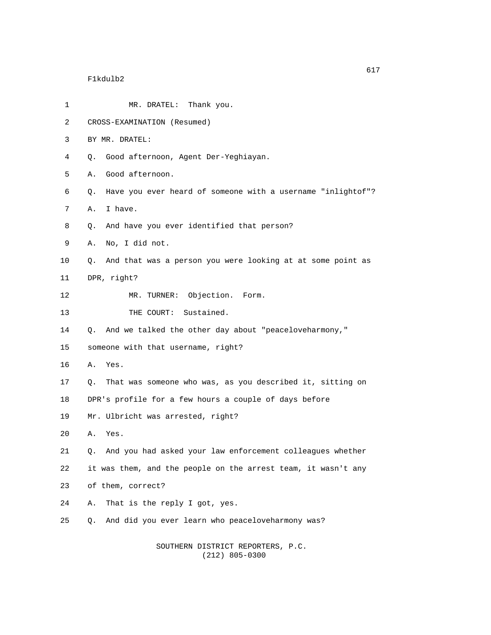| 1              | MR. DRATEL: Thank you.                                            |
|----------------|-------------------------------------------------------------------|
| 2              | CROSS-EXAMINATION (Resumed)                                       |
| 3              | BY MR. DRATEL:                                                    |
| 4              | Good afternoon, Agent Der-Yeghiayan.<br>Q.                        |
| 5              | Good afternoon.<br>Α.                                             |
| 6              | Have you ever heard of someone with a username "inlightof"?<br>Q. |
| $\overline{7}$ | I have.<br>Α.                                                     |
| 8              | And have you ever identified that person?<br>Q.                   |
| 9              | No, I did not.<br>Α.                                              |
| 10             | And that was a person you were looking at at some point as<br>0.  |
| 11             | DPR, right?                                                       |
| 12             | MR. TURNER: Objection. Form.                                      |
| 13             | THE COURT: Sustained.                                             |
| 14             | And we talked the other day about "peaceloveharmony,"<br>0.       |
| 15             | someone with that username, right?                                |
| 16             | Yes.<br>А.                                                        |
| 17             | That was someone who was, as you described it, sitting on<br>Q.   |
| 18             | DPR's profile for a few hours a couple of days before             |
| 19             | Mr. Ulbricht was arrested, right?                                 |
| 20             | Yes.<br>Α.                                                        |
| 21             | And you had asked your law enforcement colleagues whether<br>Q.   |
| 22             | it was them, and the people on the arrest team, it wasn't any     |
| 23             | of them, correct?                                                 |
| 24             | That is the reply I got, yes.<br>Α.                               |
| 25             | And did you ever learn who peaceloveharmony was?<br>Q.            |
|                | SOUTHERN DISTRICT REPORTERS, P.C.                                 |

 $(212)$  805-0300

 $617$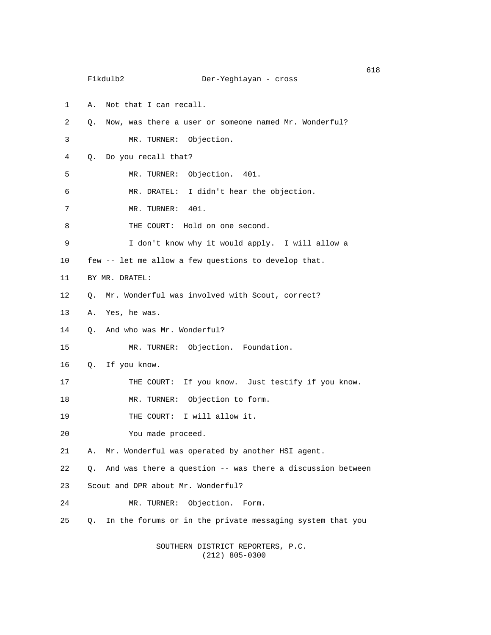# F1kdulb2 Der-Yeghiayan - cross

1 A. Not that I can recall. 2 Q. Now, was there a user or someone named Mr. Wonderful? 3 MR. TURNER: Objection. 4 Q. Do you recall that? 5 MR. TURNER: Objection. 401. 6 MR. DRATEL: I didn't hear the objection. 7 MR. TURNER: 401. 8 THE COURT: Hold on one second. 9 I don't know why it would apply. I will allow a 10 few -- let me allow a few questions to develop that. 11 BY MR. DRATEL: 12 Q. Mr. Wonderful was involved with Scout, correct? 13 A. Yes, he was. 14 Q. And who was Mr. Wonderful? 15 MR. TURNER: Objection. Foundation. 16 Q. If you know. 17 THE COURT: If you know. Just testify if you know. 18 MR. TURNER: Objection to form. 19 THE COURT: I will allow it. 20 You made proceed. 21 A. Mr. Wonderful was operated by another HSI agent. 22 Q. And was there a question -- was there a discussion between 23 Scout and DPR about Mr. Wonderful? 24 MR. TURNER: Objection. Form. 25 Q. In the forums or in the private messaging system that you

 SOUTHERN DISTRICT REPORTERS, P.C. (212) 805-0300

entration of the contract of the contract of the contract of the contract of the contract of the contract of the contract of the contract of the contract of the contract of the contract of the contract of the contract of t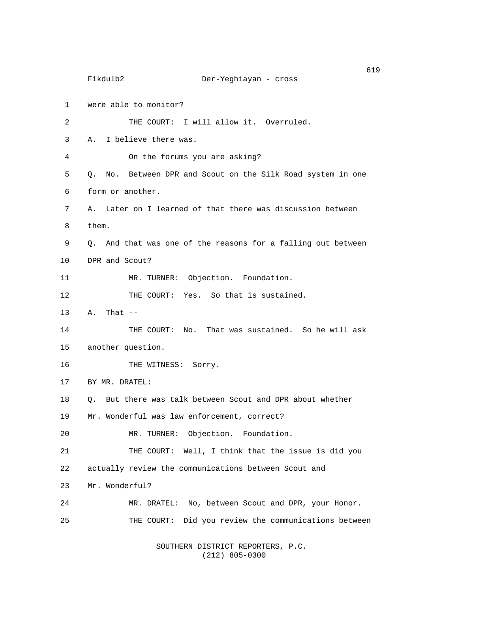F1kdulb2 Der-Yeghiayan - cross 1 were able to monitor? 2 THE COURT: I will allow it. Overruled. 3 A. I believe there was. 4 On the forums you are asking? 5 Q. No. Between DPR and Scout on the Silk Road system in one 6 form or another. 7 A. Later on I learned of that there was discussion between 8 them. 9 Q. And that was one of the reasons for a falling out between 10 DPR and Scout? 11 MR. TURNER: Objection. Foundation. 12 THE COURT: Yes. So that is sustained. 13 A. That -- 14 THE COURT: No. That was sustained. So he will ask 15 another question. 16 THE WITNESS: Sorry. 17 BY MR. DRATEL: 18 Q. But there was talk between Scout and DPR about whether 19 Mr. Wonderful was law enforcement, correct? 20 MR. TURNER: Objection. Foundation. 21 THE COURT: Well, I think that the issue is did you 22 actually review the communications between Scout and 23 Mr. Wonderful? 24 MR. DRATEL: No, between Scout and DPR, your Honor. 25 THE COURT: Did you review the communications between

> SOUTHERN DISTRICT REPORTERS, P.C. (212) 805-0300

en de la construction de la construction de la construction de la construction de la construction de la construction de la construction de la construction de la construction de la construction de la construction de la cons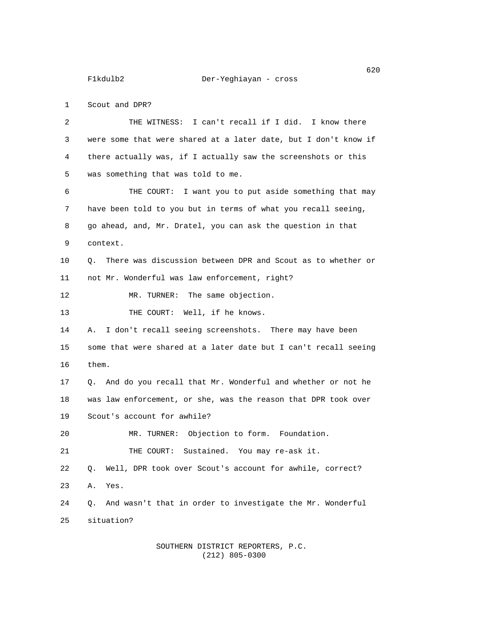1 Scout and DPR? 2 THE WITNESS: I can't recall if I did. I know there 3 were some that were shared at a later date, but I don't know if 4 there actually was, if I actually saw the screenshots or this 5 was something that was told to me. 6 THE COURT: I want you to put aside something that may 7 have been told to you but in terms of what you recall seeing, 8 go ahead, and, Mr. Dratel, you can ask the question in that 9 context. 10 Q. There was discussion between DPR and Scout as to whether or 11 not Mr. Wonderful was law enforcement, right? 12 MR. TURNER: The same objection. 13 THE COURT: Well, if he knows. 14 A. I don't recall seeing screenshots. There may have been 15 some that were shared at a later date but I can't recall seeing 16 them. 17 Q. And do you recall that Mr. Wonderful and whether or not he 18 was law enforcement, or she, was the reason that DPR took over 19 Scout's account for awhile? 20 MR. TURNER: Objection to form. Foundation. 21 THE COURT: Sustained. You may re-ask it. 22 Q. Well, DPR took over Scout's account for awhile, correct? 23 A. Yes. 24 Q. And wasn't that in order to investigate the Mr. Wonderful 25 situation?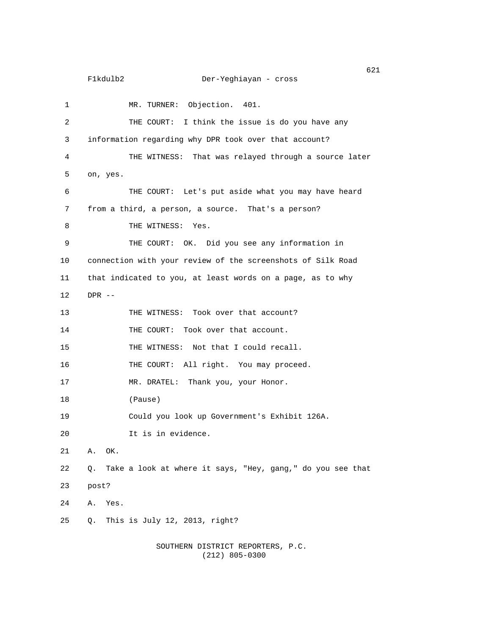$\sim$  621 F1kdulb2 Der-Yeghiayan - cross 1 MR. TURNER: Objection. 401. 2 THE COURT: I think the issue is do you have any 3 information regarding why DPR took over that account? 4 THE WITNESS: That was relayed through a source later 5 on, yes. 6 THE COURT: Let's put aside what you may have heard 7 from a third, a person, a source. That's a person? 8 THE WITNESS: Yes. 9 THE COURT: OK. Did you see any information in 10 connection with your review of the screenshots of Silk Road 11 that indicated to you, at least words on a page, as to why 12 DPR -- 13 THE WITNESS: Took over that account? 14 THE COURT: Took over that account. 15 THE WITNESS: Not that I could recall. 16 THE COURT: All right. You may proceed. 17 MR. DRATEL: Thank you, your Honor. 18 (Pause) 19 Could you look up Government's Exhibit 126A. 20 It is in evidence. 21 A. OK. 22 Q. Take a look at where it says, "Hey, gang," do you see that 23 post? 24 A. Yes. 25 Q. This is July 12, 2013, right?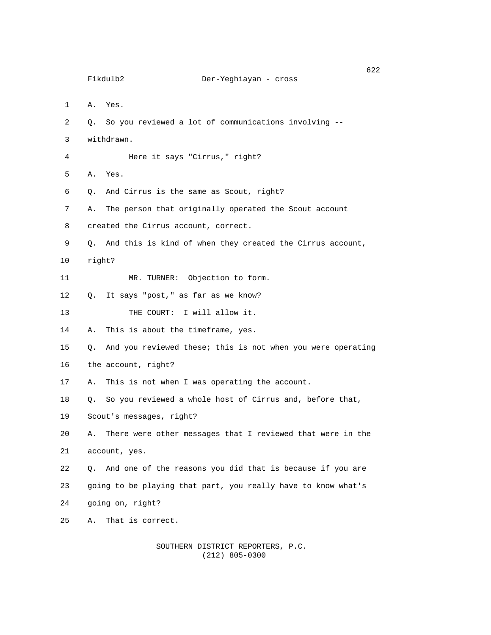$\sim$  622 F1kdulb2 Der-Yeghiayan - cross 1 A. Yes. 2 Q. So you reviewed a lot of communications involving -- 3 withdrawn. 4 Here it says "Cirrus," right? 5 A. Yes. 6 Q. And Cirrus is the same as Scout, right? 7 A. The person that originally operated the Scout account 8 created the Cirrus account, correct. 9 Q. And this is kind of when they created the Cirrus account, 10 right? 11 MR. TURNER: Objection to form. 12 Q. It says "post," as far as we know? 13 THE COURT: I will allow it. 14 A. This is about the timeframe, yes. 15 Q. And you reviewed these; this is not when you were operating 16 the account, right? 17 A. This is not when I was operating the account. 18 Q. So you reviewed a whole host of Cirrus and, before that, 19 Scout's messages, right? 20 A. There were other messages that I reviewed that were in the 21 account, yes. 22 Q. And one of the reasons you did that is because if you are 23 going to be playing that part, you really have to know what's 24 going on, right? 25 A. That is correct.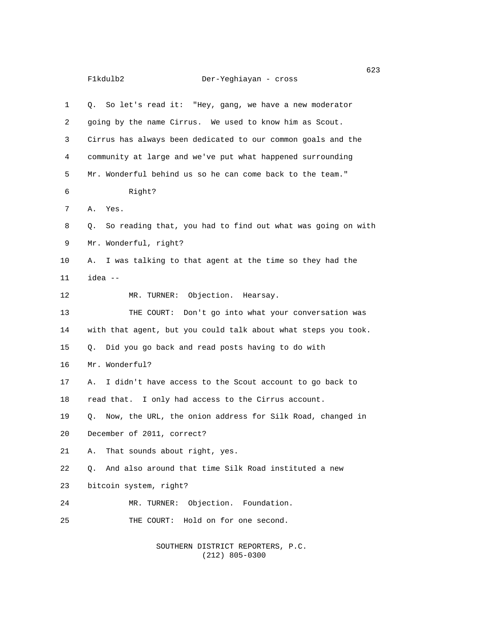|                | F1kdulb2<br>Der-Yeghiayan - cross                                 |
|----------------|-------------------------------------------------------------------|
| 1              | Q. So let's read it: "Hey, gang, we have a new moderator          |
| 2              | going by the name Cirrus. We used to know him as Scout.           |
| 3              | Cirrus has always been dedicated to our common goals and the      |
| 4              | community at large and we've put what happened surrounding        |
| 5              | Mr. Wonderful behind us so he can come back to the team."         |
| 6              | Right?                                                            |
| $\overline{7}$ | Yes.<br>Α.                                                        |
| 8              | So reading that, you had to find out what was going on with<br>Q. |
| 9              | Mr. Wonderful, right?                                             |
| 10             | A. I was talking to that agent at the time so they had the        |
| 11             | idea --                                                           |
| 12             | MR. TURNER: Objection. Hearsay.                                   |
| 13             | THE COURT: Don't go into what your conversation was               |
| 14             | with that agent, but you could talk about what steps you took.    |
| 15             | Did you go back and read posts having to do with<br>О.            |
| 16             | Mr. Wonderful?                                                    |
| 17             | I didn't have access to the Scout account to go back to<br>А.     |
| 18             | read that. I only had access to the Cirrus account.               |
| 19             | Now, the URL, the onion address for Silk Road, changed in<br>Q.   |
| 20             | December of 2011, correct?                                        |
| 21             | That sounds about right, yes.<br>Α.                               |
| 22             | And also around that time Silk Road instituted a new<br>0.        |
| 23             | bitcoin system, right?                                            |
| 24             | MR. TURNER:<br>Objection. Foundation.                             |
| 25             | Hold on for one second.<br>THE COURT:                             |
|                |                                                                   |

 SOUTHERN DISTRICT REPORTERS, P.C.  $(212)$  805-0300

623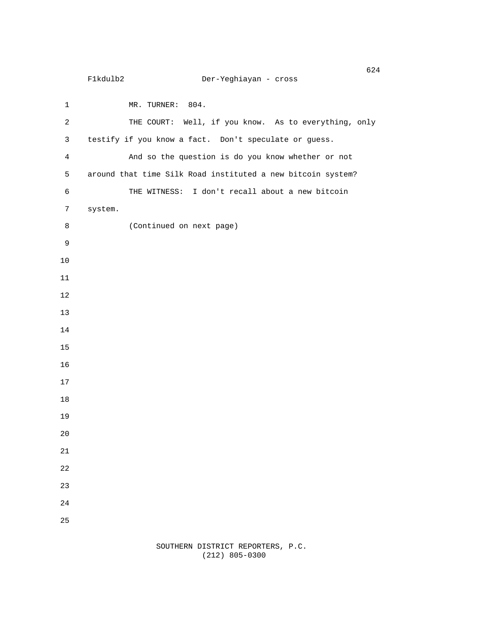```
\sim 624
     F1kdulb2 Der-Yeghiayan - cross
1 MR. TURNER: 804.
2 THE COURT: Well, if you know. As to everything, only
3 testify if you know a fact. Don't speculate or guess.
4 And so the question is do you know whether or not
5 around that time Silk Road instituted a new bitcoin system?
6 THE WITNESS: I don't recall about a new bitcoin
7 system.
8 (Continued on next page)
9
10
11
12
13
14
15
16
17
18
19
20
21
22
23
24
25
```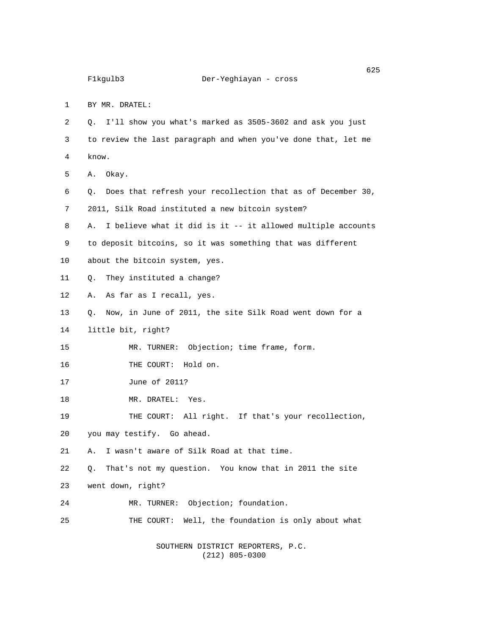1 BY MR. DRATEL:

2 Q. I'll show you what's marked as 3505-3602 and ask you just 3 to review the last paragraph and when you've done that, let me 4 know. 5 A. Okay. 6 Q. Does that refresh your recollection that as of December 30, 7 2011, Silk Road instituted a new bitcoin system? 8 A. I believe what it did is it -- it allowed multiple accounts 9 to deposit bitcoins, so it was something that was different 10 about the bitcoin system, yes. 11 Q. They instituted a change? 12 A. As far as I recall, yes. 13 Q. Now, in June of 2011, the site Silk Road went down for a 14 little bit, right? 15 MR. TURNER: Objection; time frame, form. 16 THE COURT: Hold on. 17 June of 2011? 18 MR. DRATEL: Yes. 19 THE COURT: All right. If that's your recollection, 20 you may testify. Go ahead. 21 A. I wasn't aware of Silk Road at that time. 22 Q. That's not my question. You know that in 2011 the site 23 went down, right? 24 MR. TURNER: Objection; foundation. 25 THE COURT: Well, the foundation is only about what SOUTHERN DISTRICT REPORTERS, P.C. (212) 805-0300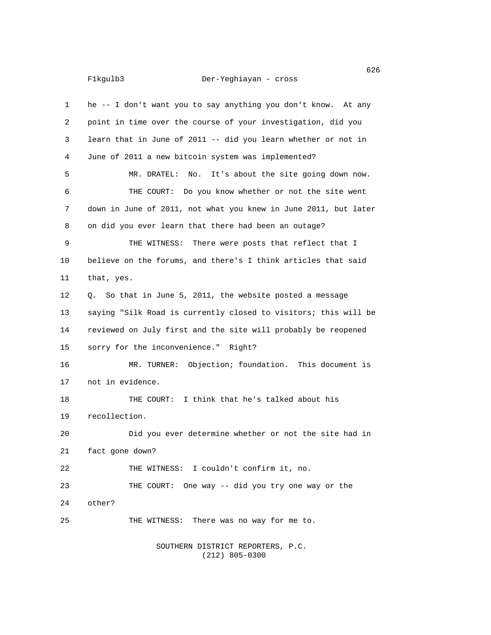1 he -- I don't want you to say anything you don't know. At any 2 point in time over the course of your investigation, did you 3 learn that in June of 2011 -- did you learn whether or not in 4 June of 2011 a new bitcoin system was implemented? 5 MR. DRATEL: No. It's about the site going down now. 6 THE COURT: Do you know whether or not the site went 7 down in June of 2011, not what you knew in June 2011, but later 8 on did you ever learn that there had been an outage? 9 THE WITNESS: There were posts that reflect that I 10 believe on the forums, and there's I think articles that said 11 that, yes. 12 Q. So that in June 5, 2011, the website posted a message 13 saying "Silk Road is currently closed to visitors; this will be 14 reviewed on July first and the site will probably be reopened 15 sorry for the inconvenience." Right? 16 MR. TURNER: Objection; foundation. This document is 17 not in evidence. 18 THE COURT: I think that he's talked about his 19 recollection. 20 Did you ever determine whether or not the site had in 21 fact gone down? 22 THE WITNESS: I couldn't confirm it, no. 23 THE COURT: One way -- did you try one way or the 24 other? 25 THE WITNESS: There was no way for me to.

> SOUTHERN DISTRICT REPORTERS, P.C. (212) 805-0300

en de la construcción de la construcción de la construcción de la construcción de la construcción de la construcción de la construcción de la construcción de la construcción de la construcción de la construcción de la cons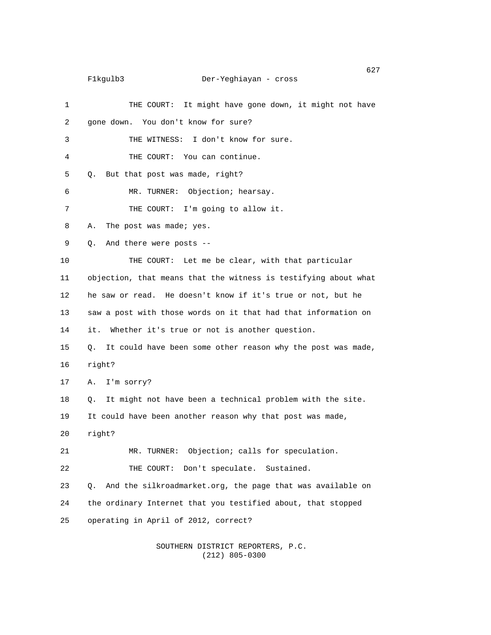1 THE COURT: It might have gone down, it might not have 2 gone down. You don't know for sure? 3 THE WITNESS: I don't know for sure. 4 THE COURT: You can continue. 5 Q. But that post was made, right? 6 MR. TURNER: Objection; hearsay. 7 THE COURT: I'm going to allow it. 8 A. The post was made; yes. 9 Q. And there were posts -- 10 THE COURT: Let me be clear, with that particular 11 objection, that means that the witness is testifying about what 12 he saw or read. He doesn't know if it's true or not, but he 13 saw a post with those words on it that had that information on 14 it. Whether it's true or not is another question. 15 Q. It could have been some other reason why the post was made, 16 right? 17 A. I'm sorry? 18 Q. It might not have been a technical problem with the site. 19 It could have been another reason why that post was made, 20 right? 21 MR. TURNER: Objection; calls for speculation. 22 THE COURT: Don't speculate. Sustained. 23 Q. And the silkroadmarket.org, the page that was available on 24 the ordinary Internet that you testified about, that stopped 25 operating in April of 2012, correct?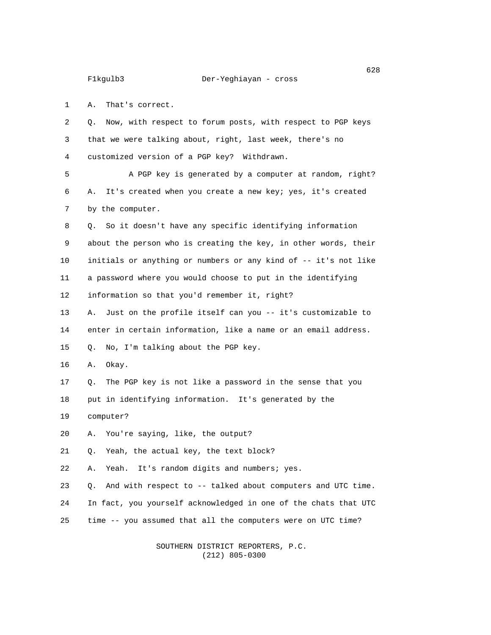1 A. That's correct. 2 Q. Now, with respect to forum posts, with respect to PGP keys 3 that we were talking about, right, last week, there's no 4 customized version of a PGP key? Withdrawn. 5 A PGP key is generated by a computer at random, right? 6 A. It's created when you create a new key; yes, it's created 7 by the computer. 8 Q. So it doesn't have any specific identifying information 9 about the person who is creating the key, in other words, their 10 initials or anything or numbers or any kind of -- it's not like 11 a password where you would choose to put in the identifying 12 information so that you'd remember it, right? 13 A. Just on the profile itself can you -- it's customizable to 14 enter in certain information, like a name or an email address. 15 Q. No, I'm talking about the PGP key. 16 A. Okay. 17 Q. The PGP key is not like a password in the sense that you 18 put in identifying information. It's generated by the 19 computer? 20 A. You're saying, like, the output? 21 Q. Yeah, the actual key, the text block? 22 A. Yeah. It's random digits and numbers; yes. 23 Q. And with respect to -- talked about computers and UTC time. 24 In fact, you yourself acknowledged in one of the chats that UTC 25 time -- you assumed that all the computers were on UTC time?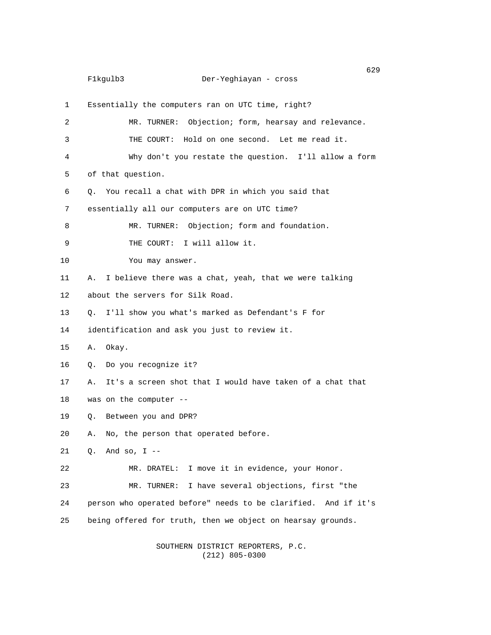1 Essentially the computers ran on UTC time, right? 2 MR. TURNER: Objection; form, hearsay and relevance. 3 THE COURT: Hold on one second. Let me read it. 4 Why don't you restate the question. I'll allow a form 5 of that question. 6 Q. You recall a chat with DPR in which you said that 7 essentially all our computers are on UTC time? 8 MR. TURNER: Objection; form and foundation. 9 THE COURT: I will allow it. 10 You may answer. 11 A. I believe there was a chat, yeah, that we were talking 12 about the servers for Silk Road. 13 Q. I'll show you what's marked as Defendant's F for 14 identification and ask you just to review it. 15 A. Okay. 16 Q. Do you recognize it? 17 A. It's a screen shot that I would have taken of a chat that 18 was on the computer -- 19 Q. Between you and DPR? 20 A. No, the person that operated before. 21 Q. And so, I -- 22 MR. DRATEL: I move it in evidence, your Honor. 23 MR. TURNER: I have several objections, first "the 24 person who operated before" needs to be clarified. And if it's 25 being offered for truth, then we object on hearsay grounds.

> SOUTHERN DISTRICT REPORTERS, P.C. (212) 805-0300

 $\sim$  629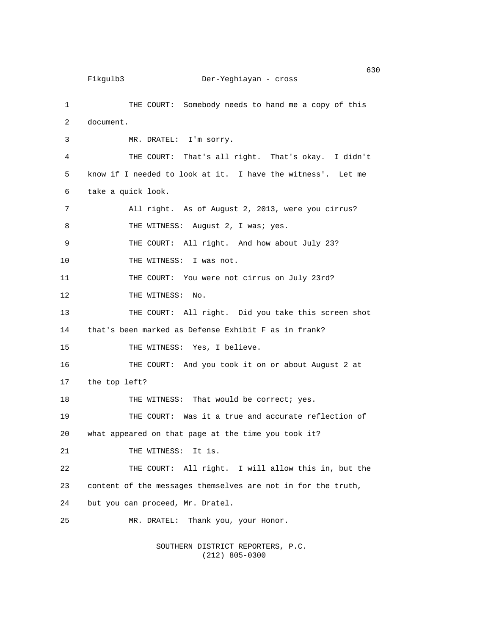1 THE COURT: Somebody needs to hand me a copy of this 2 document. 3 MR. DRATEL: I'm sorry. 4 THE COURT: That's all right. That's okay. I didn't 5 know if I needed to look at it. I have the witness'. Let me 6 take a quick look. 7 All right. As of August 2, 2013, were you cirrus? 8 THE WITNESS: August 2, I was; yes. 9 THE COURT: All right. And how about July 23? 10 THE WITNESS: I was not. 11 THE COURT: You were not cirrus on July 23rd? 12 THE WITNESS: No. 13 THE COURT: All right. Did you take this screen shot 14 that's been marked as Defense Exhibit F as in frank? 15 THE WITNESS: Yes, I believe. 16 THE COURT: And you took it on or about August 2 at 17 the top left? 18 THE WITNESS: That would be correct; yes. 19 THE COURT: Was it a true and accurate reflection of 20 what appeared on that page at the time you took it? 21 THE WITNESS: It is. 22 THE COURT: All right. I will allow this in, but the 23 content of the messages themselves are not in for the truth, 24 but you can proceed, Mr. Dratel. 25 MR. DRATEL: Thank you, your Honor.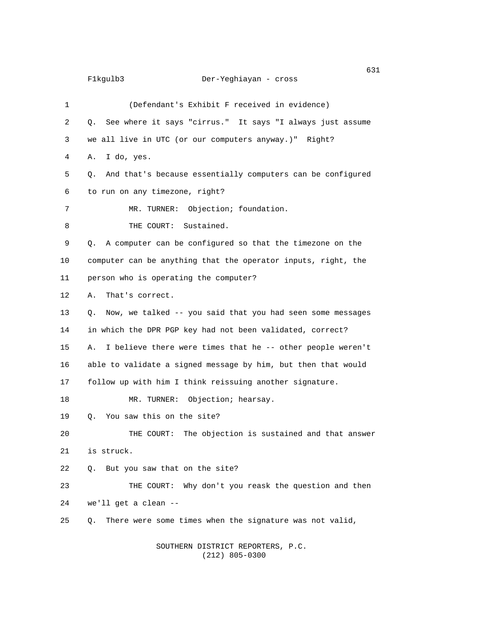| 1  | (Defendant's Exhibit F received in evidence)                     |
|----|------------------------------------------------------------------|
| 2  | See where it says "cirrus." It says "I always just assume<br>Q.  |
| 3  | we all live in UTC (or our computers anyway.)" Right?            |
| 4  | I do, yes.<br>А.                                                 |
| 5  | And that's because essentially computers can be configured<br>Q. |
| 6  | to run on any timezone, right?                                   |
| 7  | MR. TURNER: Objection; foundation.                               |
| 8  | THE COURT: Sustained.                                            |
| 9  | A computer can be configured so that the timezone on the<br>Q.   |
| 10 | computer can be anything that the operator inputs, right, the    |
| 11 | person who is operating the computer?                            |
| 12 | That's correct.<br>А.                                            |
| 13 | Now, we talked -- you said that you had seen some messages<br>Q. |
| 14 | in which the DPR PGP key had not been validated, correct?        |
| 15 | I believe there were times that he -- other people weren't<br>А. |
| 16 | able to validate a signed message by him, but then that would    |
| 17 | follow up with him I think reissuing another signature.          |
| 18 | MR. TURNER: Objection; hearsay.                                  |
| 19 | You saw this on the site?<br>Q.                                  |
| 20 | THE COURT: The objection is sustained and that answer            |
| 21 | is struck.                                                       |
| 22 | But you saw that on the site?<br>Q.                              |
| 23 | THE COURT: Why don't you reask the question and then             |
| 24 | we'll get a clean --                                             |
| 25 | There were some times when the signature was not valid,<br>Q.    |
|    | SOUTHERN DISTRICT REPORTERS, P.C.                                |

 $(212)$  805-0300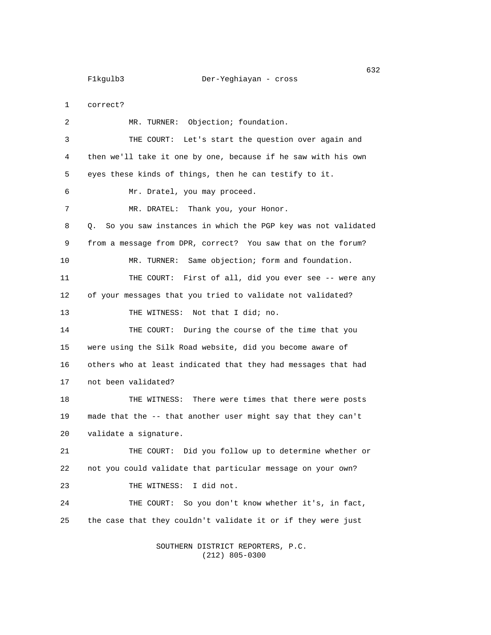1 correct?

2 MR. TURNER: Objection; foundation. 3 THE COURT: Let's start the question over again and 4 then we'll take it one by one, because if he saw with his own 5 eyes these kinds of things, then he can testify to it. 6 Mr. Dratel, you may proceed. 7 MR. DRATEL: Thank you, your Honor. 8 Q. So you saw instances in which the PGP key was not validated 9 from a message from DPR, correct? You saw that on the forum? 10 MR. TURNER: Same objection; form and foundation. 11 THE COURT: First of all, did you ever see -- were any 12 of your messages that you tried to validate not validated? 13 THE WITNESS: Not that I did; no. 14 THE COURT: During the course of the time that you 15 were using the Silk Road website, did you become aware of 16 others who at least indicated that they had messages that had 17 not been validated? 18 THE WITNESS: There were times that there were posts 19 made that the -- that another user might say that they can't 20 validate a signature. 21 THE COURT: Did you follow up to determine whether or 22 not you could validate that particular message on your own? 23 THE WITNESS: I did not. 24 THE COURT: So you don't know whether it's, in fact, 25 the case that they couldn't validate it or if they were just

> SOUTHERN DISTRICT REPORTERS, P.C. (212) 805-0300

 $\sim$  632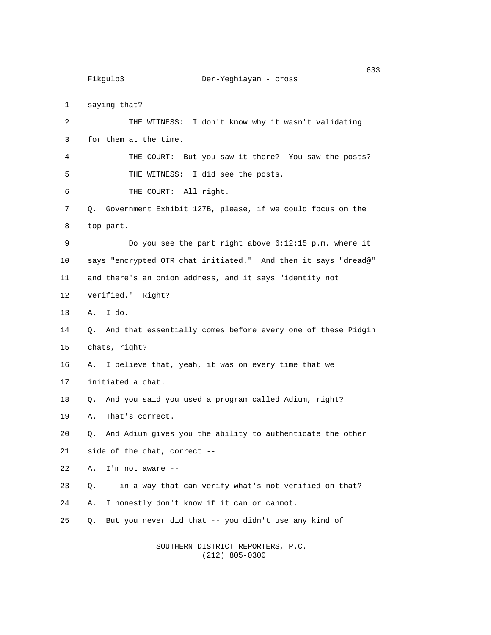estados de 1992, en 1993, en 1993, en 1993, en 1993, en 1993, en 1993, en 1993, en 1993, en 1993, en 1993, en F1kgulb3 Der-Yeghiayan - cross 1 saying that? 2 THE WITNESS: I don't know why it wasn't validating 3 for them at the time. 4 THE COURT: But you saw it there? You saw the posts? 5 THE WITNESS: I did see the posts. 6 THE COURT: All right. 7 Q. Government Exhibit 127B, please, if we could focus on the 8 top part. 9 Do you see the part right above 6:12:15 p.m. where it 10 says "encrypted OTR chat initiated." And then it says "dread@" 11 and there's an onion address, and it says "identity not 12 verified." Right? 13 A. I do. 14 Q. And that essentially comes before every one of these Pidgin 15 chats, right? 16 A. I believe that, yeah, it was on every time that we 17 initiated a chat. 18 Q. And you said you used a program called Adium, right? 19 A. That's correct. 20 Q. And Adium gives you the ability to authenticate the other 21 side of the chat, correct -- 22 A. I'm not aware -- 23 Q. -- in a way that can verify what's not verified on that? 24 A. I honestly don't know if it can or cannot. 25 Q. But you never did that -- you didn't use any kind of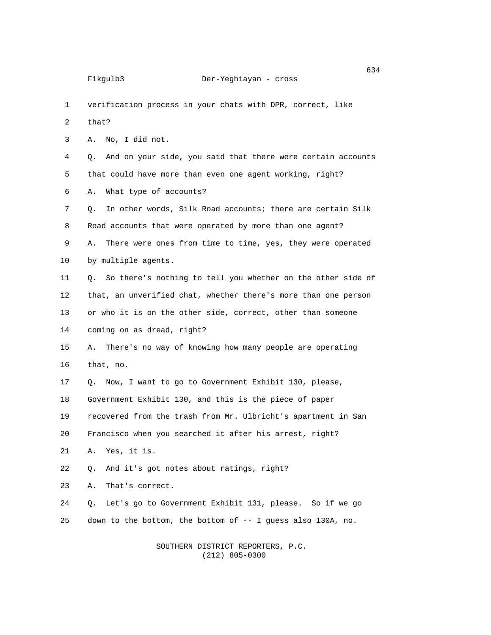3 A. No, I did not.

|   | 1 verification process in your chats with DPR, correct, like |  |  |  |  |
|---|--------------------------------------------------------------|--|--|--|--|
| 2 | that?                                                        |  |  |  |  |

4 Q. And on your side, you said that there were certain accounts 5 that could have more than even one agent working, right? 6 A. What type of accounts? 7 Q. In other words, Silk Road accounts; there are certain Silk 8 Road accounts that were operated by more than one agent? 9 A. There were ones from time to time, yes, they were operated 10 by multiple agents. 11 Q. So there's nothing to tell you whether on the other side of 12 that, an unverified chat, whether there's more than one person 13 or who it is on the other side, correct, other than someone

14 coming on as dread, right?

15 A. There's no way of knowing how many people are operating 16 that, no.

17 Q. Now, I want to go to Government Exhibit 130, please,

18 Government Exhibit 130, and this is the piece of paper

19 recovered from the trash from Mr. Ulbricht's apartment in San

20 Francisco when you searched it after his arrest, right?

21 A. Yes, it is.

22 Q. And it's got notes about ratings, right?

23 A. That's correct.

24 Q. Let's go to Government Exhibit 131, please. So if we go 25 down to the bottom, the bottom of -- I guess also 130A, no.

> SOUTHERN DISTRICT REPORTERS, P.C. (212) 805-0300

 $\sim$  634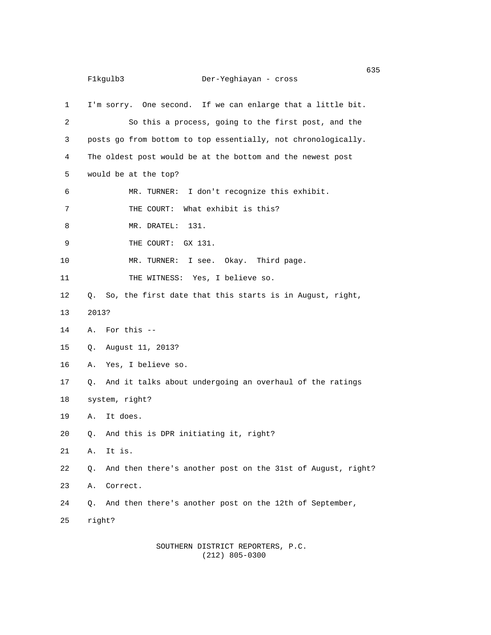|    | 635<br>F1kgulb3<br>Der-Yeghiayan - cross                          |
|----|-------------------------------------------------------------------|
| 1  | I'm sorry. One second. If we can enlarge that a little bit.       |
| 2  | So this a process, going to the first post, and the               |
| 3  | posts go from bottom to top essentially, not chronologically.     |
| 4  | The oldest post would be at the bottom and the newest post        |
| 5  | would be at the top?                                              |
| 6  | MR. TURNER: I don't recognize this exhibit.                       |
| 7  | THE COURT: What exhibit is this?                                  |
| 8  | MR. DRATEL:<br>131.                                               |
| 9  | THE COURT: GX 131.                                                |
| 10 | MR. TURNER: I see. Okay. Third page.                              |
| 11 | THE WITNESS: Yes, I believe so.                                   |
| 12 | So, the first date that this starts is in August, right,<br>0.    |
| 13 | 2013?                                                             |
| 14 | For this --<br>А.                                                 |
| 15 | August 11, 2013?<br>Q.                                            |
| 16 | Yes, I believe so.<br>А.                                          |
| 17 | And it talks about undergoing an overhaul of the ratings<br>Q.    |
| 18 | system, right?                                                    |
| 19 | It does.<br>А.                                                    |
| 20 | And this is DPR initiating it, right?<br>Q.                       |
| 21 | It is.<br>Α.                                                      |
| 22 | And then there's another post on the 31st of August, right?<br>Q. |
| 23 | Correct.<br>Α.                                                    |
| 24 | And then there's another post on the 12th of September,<br>0.     |
| 25 | right?                                                            |
|    |                                                                   |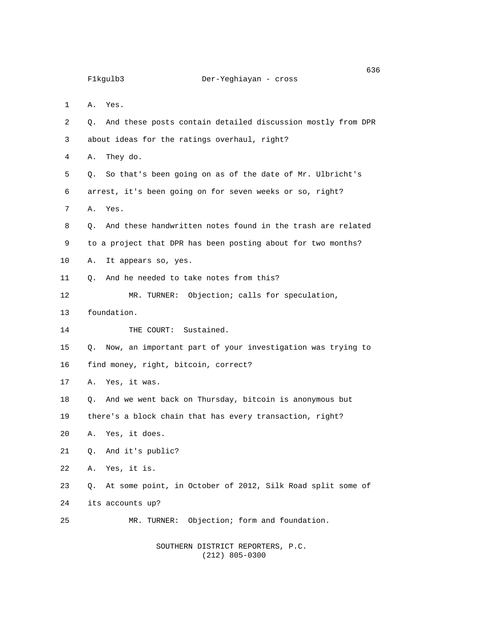1 A. Yes.

2 Q. And these posts contain detailed discussion mostly from DPR 3 about ideas for the ratings overhaul, right? 4 A. They do. 5 Q. So that's been going on as of the date of Mr. Ulbricht's

- 6 arrest, it's been going on for seven weeks or so, right?
- 7 A. Yes.
- 8 Q. And these handwritten notes found in the trash are related 9 to a project that DPR has been posting about for two months?
- 10 A. It appears so, yes.
- 11 Q. And he needed to take notes from this?
- 12 MR. TURNER: Objection; calls for speculation,
- 13 foundation.
- 14 THE COURT: Sustained.

15 Q. Now, an important part of your investigation was trying to

- 16 find money, right, bitcoin, correct?
- 17 A. Yes, it was.
- 18 Q. And we went back on Thursday, bitcoin is anonymous but
- 19 there's a block chain that has every transaction, right?
- 20 A. Yes, it does.
- 21 Q. And it's public?
- 22 A. Yes, it is.
- 23 Q. At some point, in October of 2012, Silk Road split some of
- 24 its accounts up?
- 25 MR. TURNER: Objection; form and foundation.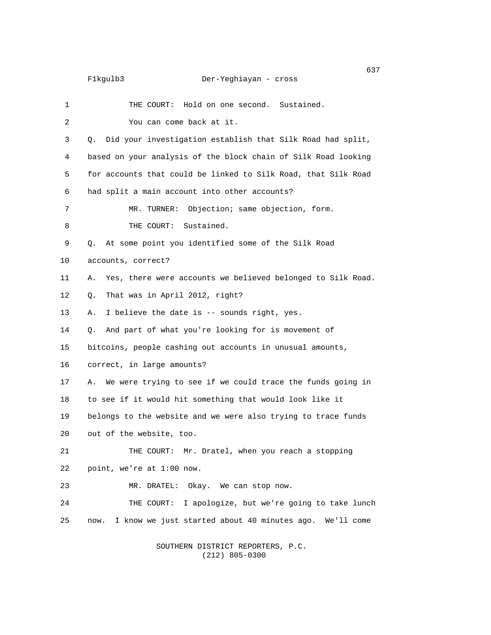| $\mathbf{1}$   | THE COURT: Hold on one second. Sustained.                         |
|----------------|-------------------------------------------------------------------|
| $\overline{2}$ | You can come back at it.                                          |
| 3              | Did your investigation establish that Silk Road had split,<br>0.  |
| 4              | based on your analysis of the block chain of Silk Road looking    |
| 5              | for accounts that could be linked to Silk Road, that Silk Road    |
| 6              | had split a main account into other accounts?                     |
| 7              | MR. TURNER: Objection; same objection, form.                      |
| 8              | THE COURT:<br>Sustained.                                          |
| 9              | At some point you identified some of the Silk Road<br>0.          |
| 10             | accounts, correct?                                                |
| 11             | Yes, there were accounts we believed belonged to Silk Road.<br>А. |
| 12             | That was in April 2012, right?<br>О.                              |
| 13             | I believe the date is -- sounds right, yes.<br>А.                 |
| 14             | And part of what you're looking for is movement of<br>О.          |
| 15             | bitcoins, people cashing out accounts in unusual amounts,         |
| 16             | correct, in large amounts?                                        |
| 17             | We were trying to see if we could trace the funds going in<br>А.  |
| 18             | to see if it would hit something that would look like it          |
| 19             | belongs to the website and we were also trying to trace funds     |
| 20             | out of the website, too.                                          |
| 21             | Mr. Dratel, when you reach a stopping<br>THE COURT:               |
| 22             | point, we're at 1:00 now.                                         |
| 23             | MR. DRATEL: Okay. We can stop now.                                |
| 24             | THE COURT: I apologize, but we're going to take lunch             |
| 25             | I know we just started about 40 minutes ago. We'll come<br>now.   |
|                |                                                                   |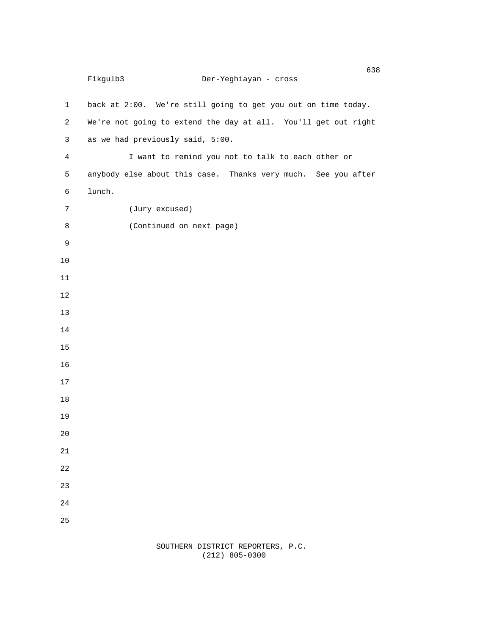```
en de la construcción de la construcción de la construcción de la construcción de la construcción de la constr
      F1kgulb3 Der-Yeghiayan - cross
 1 back at 2:00. We're still going to get you out on time today.
 2 We're not going to extend the day at all. You'll get out right
 3 as we had previously said, 5:00.
 4 I want to remind you not to talk to each other or
 5 anybody else about this case. Thanks very much. See you after
 6 lunch.
 7 (Jury excused)
 8 (Continued on next page)
 9
10
11
12
13
14
15
16
17
18
19
20
21
22
23
24
25
```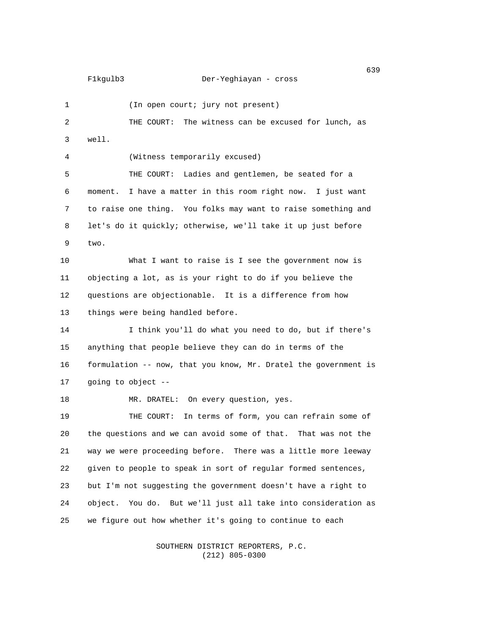1 (In open court; jury not present) 2 THE COURT: The witness can be excused for lunch, as 3 well. 4 (Witness temporarily excused) 5 THE COURT: Ladies and gentlemen, be seated for a 6 moment. I have a matter in this room right now. I just want 7 to raise one thing. You folks may want to raise something and 8 let's do it quickly; otherwise, we'll take it up just before 9 two. 10 What I want to raise is I see the government now is 11 objecting a lot, as is your right to do if you believe the 12 questions are objectionable. It is a difference from how 13 things were being handled before. 14 I think you'll do what you need to do, but if there's 15 anything that people believe they can do in terms of the 16 formulation -- now, that you know, Mr. Dratel the government is 17 going to object -- 18 MR. DRATEL: On every question, yes. 19 THE COURT: In terms of form, you can refrain some of 20 the questions and we can avoid some of that. That was not the 21 way we were proceeding before. There was a little more leeway 22 given to people to speak in sort of regular formed sentences, 23 but I'm not suggesting the government doesn't have a right to 24 object. You do. But we'll just all take into consideration as 25 we figure out how whether it's going to continue to each

> SOUTHERN DISTRICT REPORTERS, P.C. (212) 805-0300

en de la construcción de la construcción de la construcción de la construcción de la construcción de la constru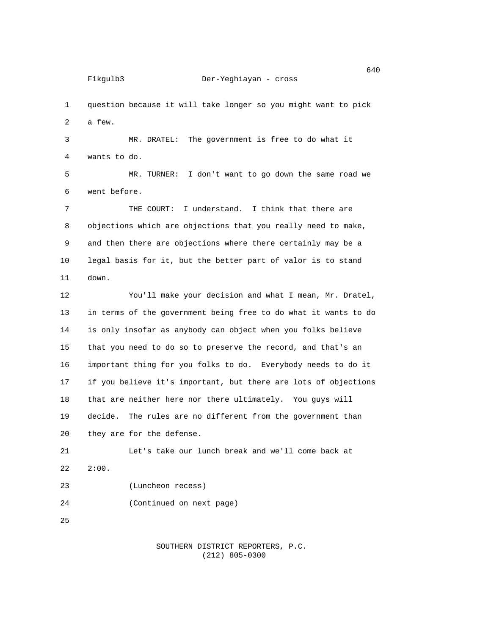1 question because it will take longer so you might want to pick 2 a few.

3 MR. DRATEL: The government is free to do what it 4 wants to do.

5 MR. TURNER: I don't want to go down the same road we 6 went before.

7 THE COURT: I understand. I think that there are 8 objections which are objections that you really need to make, 9 and then there are objections where there certainly may be a 10 legal basis for it, but the better part of valor is to stand 11 down.

12 You'll make your decision and what I mean, Mr. Dratel, 13 in terms of the government being free to do what it wants to do 14 is only insofar as anybody can object when you folks believe 15 that you need to do so to preserve the record, and that's an 16 important thing for you folks to do. Everybody needs to do it 17 if you believe it's important, but there are lots of objections 18 that are neither here nor there ultimately. You guys will 19 decide. The rules are no different from the government than 20 they are for the defense.

21 Let's take our lunch break and we'll come back at 22 2:00.

23 (Luncheon recess)

24 (Continued on next page)

25

 SOUTHERN DISTRICT REPORTERS, P.C. (212) 805-0300

 $\sim$  640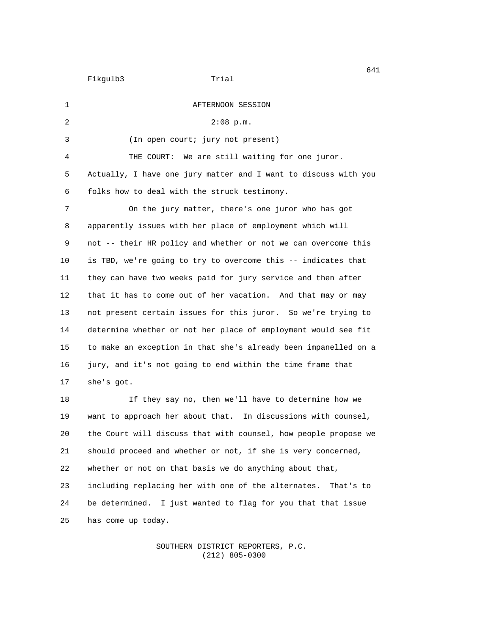F1kgulb3 Trial 1 AFTERNOON SESSION 2 2:08 p.m. 3 (In open court; jury not present) 4 THE COURT: We are still waiting for one juror. 5 Actually, I have one jury matter and I want to discuss with you 6 folks how to deal with the struck testimony. 7 On the jury matter, there's one juror who has got 8 apparently issues with her place of employment which will 9 not -- their HR policy and whether or not we can overcome this 10 is TBD, we're going to try to overcome this -- indicates that 11 they can have two weeks paid for jury service and then after 12 that it has to come out of her vacation. And that may or may 13 not present certain issues for this juror. So we're trying to 14 determine whether or not her place of employment would see fit 15 to make an exception in that she's already been impanelled on a 16 jury, and it's not going to end within the time frame that 17 she's got. 18 If they say no, then we'll have to determine how we 19 want to approach her about that. In discussions with counsel, 20 the Court will discuss that with counsel, how people propose we 21 should proceed and whether or not, if she is very concerned, 22 whether or not on that basis we do anything about that, 23 including replacing her with one of the alternates. That's to 24 be determined. I just wanted to flag for you that that issue

> SOUTHERN DISTRICT REPORTERS, P.C. (212) 805-0300

25 has come up today.

 $\sim$  641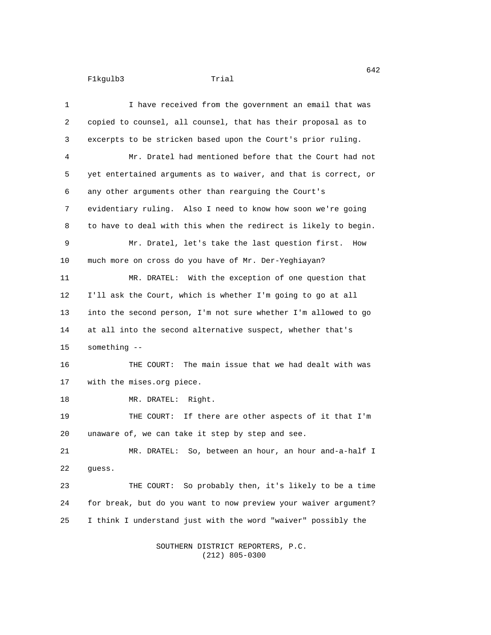| 1              | I have received from the government an email that was           |
|----------------|-----------------------------------------------------------------|
| $\overline{2}$ | copied to counsel, all counsel, that has their proposal as to   |
| 3              | excerpts to be stricken based upon the Court's prior ruling.    |
| 4              | Mr. Dratel had mentioned before that the Court had not          |
| 5              | yet entertained arguments as to waiver, and that is correct, or |
| 6              | any other arguments other than rearguing the Court's            |
| 7              | evidentiary ruling. Also I need to know how soon we're going    |
| 8              | to have to deal with this when the redirect is likely to begin. |
| 9              | Mr. Dratel, let's take the last question first.<br>How          |
| 10             | much more on cross do you have of Mr. Der-Yeghiayan?            |
| 11             | MR. DRATEL: With the exception of one question that             |
| 12             | I'll ask the Court, which is whether I'm going to go at all     |
| 13             | into the second person, I'm not sure whether I'm allowed to go  |
| 14             | at all into the second alternative suspect, whether that's      |
| 15             | something $-$                                                   |
| 16             | THE COURT: The main issue that we had dealt with was            |
| 17             | with the mises.org piece.                                       |
| 18             | MR. DRATEL: Right.                                              |
| 19             | THE COURT: If there are other aspects of it that I'm            |
| 20             | unaware of, we can take it step by step and see.                |
| 21             | MR. DRATEL: So, between an hour, an hour and-a-half I           |
| 22             | guess.                                                          |
| 23             | THE COURT: So probably then, it's likely to be a time           |
| 24             | for break, but do you want to now preview your waiver argument? |
| 25             | I think I understand just with the word "waiver" possibly the   |
|                |                                                                 |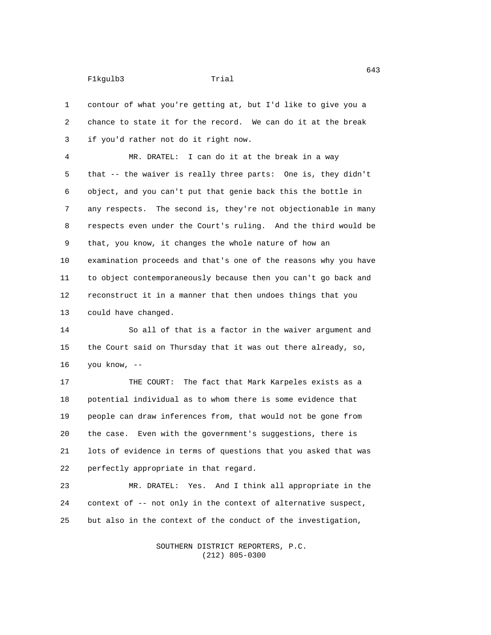1 contour of what you're getting at, but I'd like to give you a 2 chance to state it for the record. We can do it at the break 3 if you'd rather not do it right now.

4 MR. DRATEL: I can do it at the break in a way 5 that -- the waiver is really three parts: One is, they didn't 6 object, and you can't put that genie back this the bottle in 7 any respects. The second is, they're not objectionable in many 8 respects even under the Court's ruling. And the third would be 9 that, you know, it changes the whole nature of how an 10 examination proceeds and that's one of the reasons why you have 11 to object contemporaneously because then you can't go back and 12 reconstruct it in a manner that then undoes things that you 13 could have changed.

14 So all of that is a factor in the waiver argument and 15 the Court said on Thursday that it was out there already, so, 16 you know, --

17 THE COURT: The fact that Mark Karpeles exists as a 18 potential individual as to whom there is some evidence that 19 people can draw inferences from, that would not be gone from 20 the case. Even with the government's suggestions, there is 21 lots of evidence in terms of questions that you asked that was 22 perfectly appropriate in that regard.

23 MR. DRATEL: Yes. And I think all appropriate in the 24 context of -- not only in the context of alternative suspect, 25 but also in the context of the conduct of the investigation,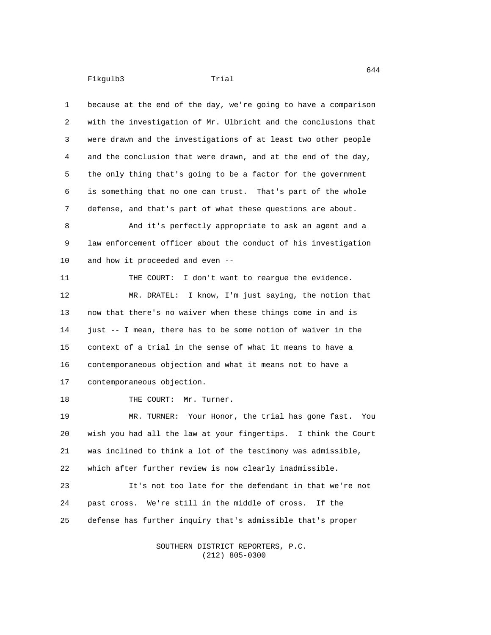1 because at the end of the day, we're going to have a comparison 2 with the investigation of Mr. Ulbricht and the conclusions that 3 were drawn and the investigations of at least two other people 4 and the conclusion that were drawn, and at the end of the day, 5 the only thing that's going to be a factor for the government 6 is something that no one can trust. That's part of the whole 7 defense, and that's part of what these questions are about. 8 And it's perfectly appropriate to ask an agent and a 9 law enforcement officer about the conduct of his investigation 10 and how it proceeded and even -- 11 THE COURT: I don't want to reargue the evidence. 12 MR. DRATEL: I know, I'm just saying, the notion that 13 now that there's no waiver when these things come in and is 14 just -- I mean, there has to be some notion of waiver in the 15 context of a trial in the sense of what it means to have a

16 contemporaneous objection and what it means not to have a 17 contemporaneous objection.

18 THE COURT: Mr. Turner.

19 MR. TURNER: Your Honor, the trial has gone fast. You 20 wish you had all the law at your fingertips. I think the Court 21 was inclined to think a lot of the testimony was admissible, 22 which after further review is now clearly inadmissible.

23 It's not too late for the defendant in that we're not 24 past cross. We're still in the middle of cross. If the 25 defense has further inquiry that's admissible that's proper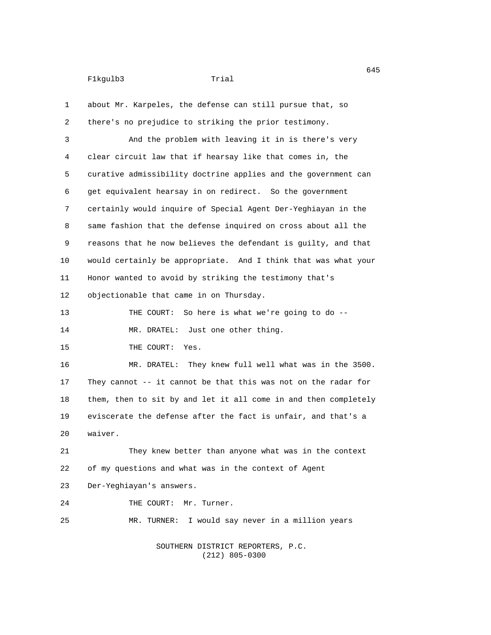1 about Mr. Karpeles, the defense can still pursue that, so 2 there's no prejudice to striking the prior testimony. 3 And the problem with leaving it in is there's very 4 clear circuit law that if hearsay like that comes in, the 5 curative admissibility doctrine applies and the government can 6 get equivalent hearsay in on redirect. So the government 7 certainly would inquire of Special Agent Der-Yeghiayan in the 8 same fashion that the defense inquired on cross about all the 9 reasons that he now believes the defendant is guilty, and that 10 would certainly be appropriate. And I think that was what your 11 Honor wanted to avoid by striking the testimony that's 12 objectionable that came in on Thursday. 13 THE COURT: So here is what we're going to do -- 14 MR. DRATEL: Just one other thing. 15 THE COURT: Yes. 16 MR. DRATEL: They knew full well what was in the 3500. 17 They cannot -- it cannot be that this was not on the radar for 18 them, then to sit by and let it all come in and then completely 19 eviscerate the defense after the fact is unfair, and that's a 20 waiver. 21 They knew better than anyone what was in the context 22 of my questions and what was in the context of Agent 23 Der-Yeghiayan's answers. 24 THE COURT: Mr. Turner. 25 MR. TURNER: I would say never in a million years SOUTHERN DISTRICT REPORTERS, P.C.

(212) 805-0300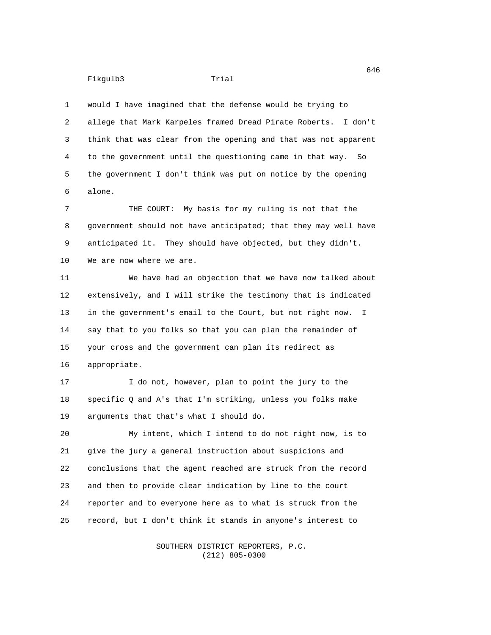1 would I have imagined that the defense would be trying to 2 allege that Mark Karpeles framed Dread Pirate Roberts. I don't 3 think that was clear from the opening and that was not apparent 4 to the government until the questioning came in that way. So 5 the government I don't think was put on notice by the opening 6 alone.

7 THE COURT: My basis for my ruling is not that the 8 government should not have anticipated; that they may well have 9 anticipated it. They should have objected, but they didn't. 10 We are now where we are.

11 We have had an objection that we have now talked about 12 extensively, and I will strike the testimony that is indicated 13 in the government's email to the Court, but not right now. I 14 say that to you folks so that you can plan the remainder of 15 your cross and the government can plan its redirect as 16 appropriate.

17 I do not, however, plan to point the jury to the 18 specific Q and A's that I'm striking, unless you folks make 19 arguments that that's what I should do.

20 My intent, which I intend to do not right now, is to 21 give the jury a general instruction about suspicions and 22 conclusions that the agent reached are struck from the record 23 and then to provide clear indication by line to the court 24 reporter and to everyone here as to what is struck from the 25 record, but I don't think it stands in anyone's interest to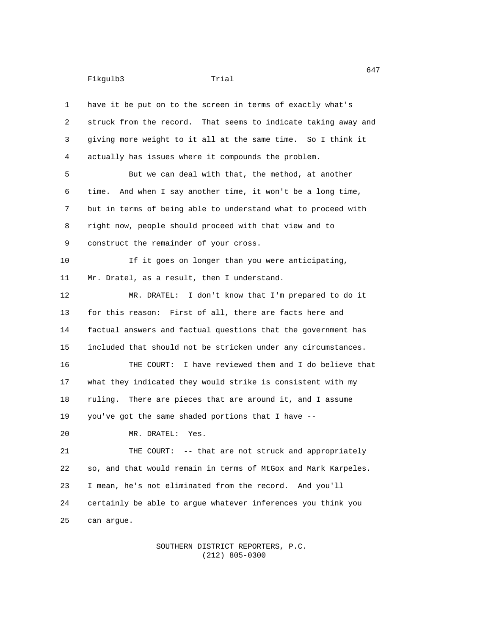1 have it be put on to the screen in terms of exactly what's 2 struck from the record. That seems to indicate taking away and 3 giving more weight to it all at the same time. So I think it 4 actually has issues where it compounds the problem. 5 But we can deal with that, the method, at another 6 time. And when I say another time, it won't be a long time, 7 but in terms of being able to understand what to proceed with 8 right now, people should proceed with that view and to 9 construct the remainder of your cross. 10 If it goes on longer than you were anticipating, 11 Mr. Dratel, as a result, then I understand. 12 MR. DRATEL: I don't know that I'm prepared to do it 13 for this reason: First of all, there are facts here and 14 factual answers and factual questions that the government has 15 included that should not be stricken under any circumstances. 16 THE COURT: I have reviewed them and I do believe that 17 what they indicated they would strike is consistent with my 18 ruling. There are pieces that are around it, and I assume 19 you've got the same shaded portions that I have -- 20 MR. DRATEL: Yes. 21 THE COURT: -- that are not struck and appropriately 22 so, and that would remain in terms of MtGox and Mark Karpeles. 23 I mean, he's not eliminated from the record. And you'll 24 certainly be able to argue whatever inferences you think you 25 can argue.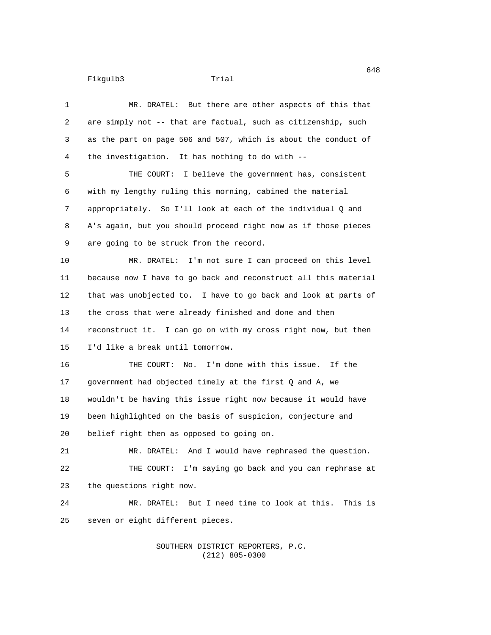| $\mathbf{1}$   | MR. DRATEL: But there are other aspects of this that            |
|----------------|-----------------------------------------------------------------|
| $\overline{2}$ | are simply not -- that are factual, such as citizenship, such   |
| 3              | as the part on page 506 and 507, which is about the conduct of  |
| 4              | the investigation. It has nothing to do with --                 |
| 5              | THE COURT: I believe the government has, consistent             |
| 6              | with my lengthy ruling this morning, cabined the material       |
| $\overline{7}$ | appropriately. So I'll look at each of the individual Q and     |
| 8              | A's again, but you should proceed right now as if those pieces  |
| 9              | are going to be struck from the record.                         |
| 10             | MR. DRATEL: I'm not sure I can proceed on this level            |
| 11             | because now I have to go back and reconstruct all this material |
| 12             | that was unobjected to. I have to go back and look at parts of  |
| 13             | the cross that were already finished and done and then          |
| 14             | reconstruct it. I can go on with my cross right now, but then   |
| 15             | I'd like a break until tomorrow.                                |
| 16             | THE COURT: No. I'm done with this issue. If the                 |
| 17             | government had objected timely at the first Q and A, we         |
| 18             | wouldn't be having this issue right now because it would have   |
| 19             | been highlighted on the basis of suspicion, conjecture and      |
| 20             | belief right then as opposed to going on.                       |
| 21             | MR. DRATEL: And I would have rephrased the question.            |
| 22             | THE COURT: I'm saying go back and you can rephrase at           |
| 23             | the questions right now.                                        |
| 24             | MR. DRATEL: But I need time to look at this. This is            |
| 25             | seven or eight different pieces.                                |
|                | SOUTHERN DISTRICT REPORTERS, P.C.<br>$(212)$ 805-0300           |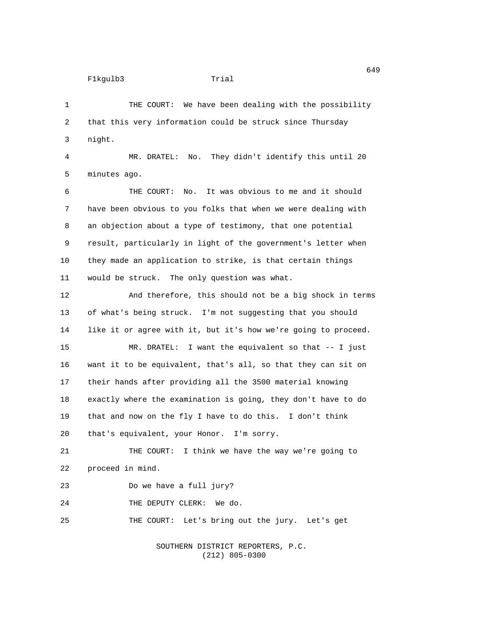1 THE COURT: We have been dealing with the possibility 2 that this very information could be struck since Thursday 3 night. 4 MR. DRATEL: No. They didn't identify this until 20 5 minutes ago. 6 THE COURT: No. It was obvious to me and it should 7 have been obvious to you folks that when we were dealing with 8 an objection about a type of testimony, that one potential 9 result, particularly in light of the government's letter when 10 they made an application to strike, is that certain things 11 would be struck. The only question was what. 12 And therefore, this should not be a big shock in terms 13 of what's being struck. I'm not suggesting that you should 14 like it or agree with it, but it's how we're going to proceed. 15 MR. DRATEL: I want the equivalent so that -- I just 16 want it to be equivalent, that's all, so that they can sit on 17 their hands after providing all the 3500 material knowing 18 exactly where the examination is going, they don't have to do 19 that and now on the fly I have to do this. I don't think 20 that's equivalent, your Honor. I'm sorry. 21 THE COURT: I think we have the way we're going to 22 proceed in mind. 23 Do we have a full jury? 24 THE DEPUTY CLERK: We do. 25 THE COURT: Let's bring out the jury. Let's get SOUTHERN DISTRICT REPORTERS, P.C.

(212) 805-0300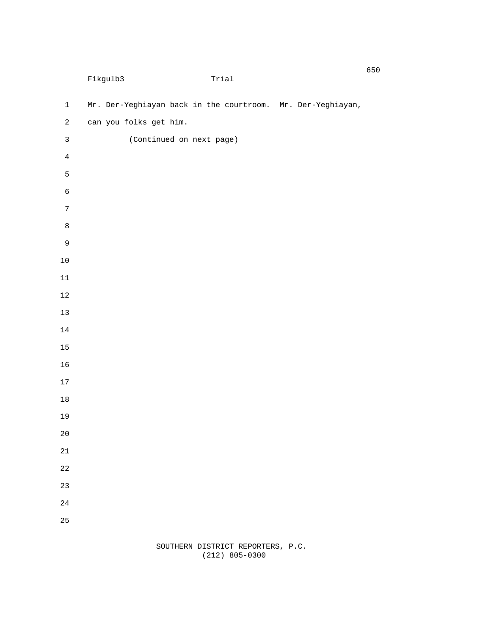|                         | F1kgulb3               | $\texttt{Trial}$                                            | ບບບ |
|-------------------------|------------------------|-------------------------------------------------------------|-----|
| $\mathbf 1$             |                        | Mr. Der-Yeghiayan back in the courtroom. Mr. Der-Yeghiayan, |     |
| $\overline{c}$          | can you folks get him. |                                                             |     |
| 3                       |                        | (Continued on next page)                                    |     |
| $\overline{\mathbf{4}}$ |                        |                                                             |     |
| $\mathbf 5$             |                        |                                                             |     |
| $\,6$                   |                        |                                                             |     |
| $\boldsymbol{7}$        |                        |                                                             |     |
| $\bf 8$                 |                        |                                                             |     |
| $\boldsymbol{9}$        |                        |                                                             |     |
| 10                      |                        |                                                             |     |
| 11                      |                        |                                                             |     |
| 12                      |                        |                                                             |     |
| 13                      |                        |                                                             |     |
| 14                      |                        |                                                             |     |
| 15                      |                        |                                                             |     |
| 16                      |                        |                                                             |     |
| 17                      |                        |                                                             |     |
| 18                      |                        |                                                             |     |
| 19                      |                        |                                                             |     |
| 20                      |                        |                                                             |     |
| 21                      |                        |                                                             |     |
| 22                      |                        |                                                             |     |
| 23                      |                        |                                                             |     |
| 24                      |                        |                                                             |     |
| 25                      |                        |                                                             |     |
|                         |                        |                                                             |     |

## SOUTHERN DISTRICT REPORTERS, P.C. (212) 805-0300

 $\sim$  650  $\,$  650  $\,$  650  $\,$  650  $\,$  650  $\,$  650  $\,$  650  $\,$  650  $\,$  650  $\,$  650  $\,$  650  $\,$  650  $\,$  650  $\,$  650  $\,$  650  $\,$  650  $\,$  650  $\,$  650  $\,$  650  $\,$  650  $\,$  650  $\,$  650  $\,$  650  $\,$  650  $\,$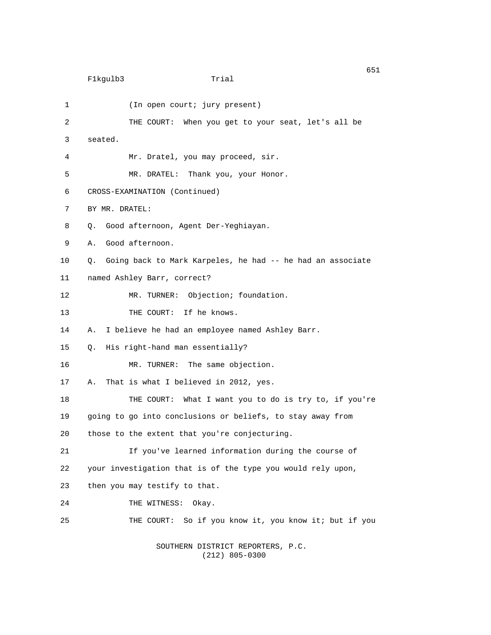```
 F1kgulb3 Trial
```
1 (In open court; jury present) 2 THE COURT: When you get to your seat, let's all be 3 seated. 4 Mr. Dratel, you may proceed, sir. 5 MR. DRATEL: Thank you, your Honor. 6 CROSS-EXAMINATION (Continued) 7 BY MR. DRATEL: 8 Q. Good afternoon, Agent Der-Yeghiayan. 9 A. Good afternoon. 10 Q. Going back to Mark Karpeles, he had -- he had an associate 11 named Ashley Barr, correct? 12 MR. TURNER: Objection; foundation. 13 THE COURT: If he knows. 14 A. I believe he had an employee named Ashley Barr. 15 Q. His right-hand man essentially? 16 MR. TURNER: The same objection. 17 A. That is what I believed in 2012, yes. 18 THE COURT: What I want you to do is try to, if you're 19 going to go into conclusions or beliefs, to stay away from 20 those to the extent that you're conjecturing. 21 If you've learned information during the course of 22 your investigation that is of the type you would rely upon, 23 then you may testify to that. 24 THE WITNESS: Okay. 25 THE COURT: So if you know it, you know it; but if you SOUTHERN DISTRICT REPORTERS, P.C.

(212) 805-0300

 $\sim$  651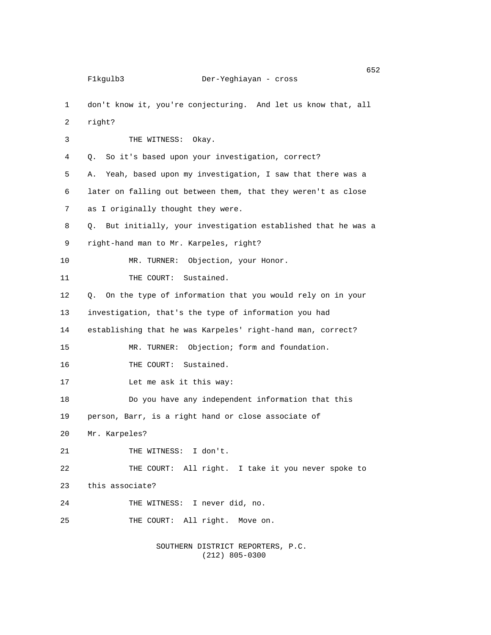1 don't know it, you're conjecturing. And let us know that, all 2 right? 3 THE WITNESS: Okay. 4 Q. So it's based upon your investigation, correct? 5 A. Yeah, based upon my investigation, I saw that there was a 6 later on falling out between them, that they weren't as close 7 as I originally thought they were. 8 Q. But initially, your investigation established that he was a 9 right-hand man to Mr. Karpeles, right? 10 MR. TURNER: Objection, your Honor. 11 THE COURT: Sustained. 12 Q. On the type of information that you would rely on in your 13 investigation, that's the type of information you had 14 establishing that he was Karpeles' right-hand man, correct? 15 MR. TURNER: Objection; form and foundation. 16 THE COURT: Sustained. 17 Let me ask it this way: 18 Do you have any independent information that this 19 person, Barr, is a right hand or close associate of 20 Mr. Karpeles? 21 THE WITNESS: I don't. 22 THE COURT: All right. I take it you never spoke to 23 this associate? 24 THE WITNESS: I never did, no. 25 THE COURT: All right. Move on. SOUTHERN DISTRICT REPORTERS, P.C.

(212) 805-0300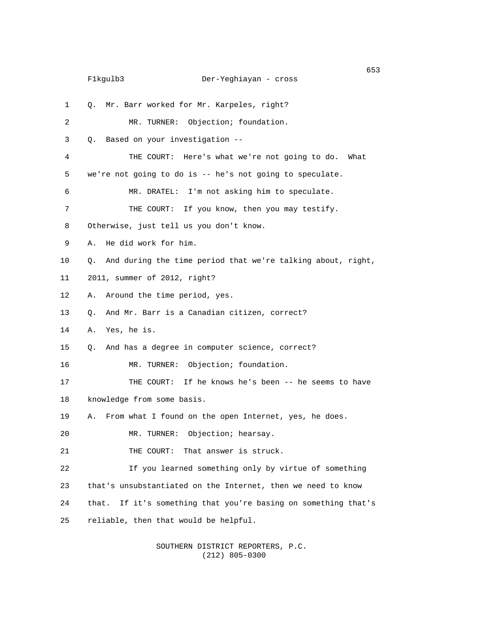| 1              | Mr. Barr worked for Mr. Karpeles, right?<br>Q.                    |
|----------------|-------------------------------------------------------------------|
| $\overline{c}$ | MR. TURNER: Objection; foundation.                                |
| 3              | Based on your investigation --<br>Q.                              |
| 4              | THE COURT: Here's what we're not going to do.<br>What             |
| 5              | we're not going to do is -- he's not going to speculate.          |
| 6              | MR. DRATEL: I'm not asking him to speculate.                      |
| 7              | THE COURT: If you know, then you may testify.                     |
| 8              | Otherwise, just tell us you don't know.                           |
| 9              | He did work for him.<br>А.                                        |
| 10             | And during the time period that we're talking about, right,<br>О. |
| 11             | 2011, summer of 2012, right?                                      |
| 12             | Around the time period, yes.<br>Α.                                |
| 13             | And Mr. Barr is a Canadian citizen, correct?<br>Q.                |
| 14             | Yes, he is.<br>А.                                                 |
| 15             | And has a degree in computer science, correct?<br>О.              |
| 16             | MR. TURNER: Objection; foundation.                                |
| 17             | THE COURT: If he knows he's been -- he seems to have              |
| 18             | knowledge from some basis.                                        |
| 19             | From what I found on the open Internet, yes, he does.<br>А.       |
| 20             | Objection; hearsay.<br>MR. TURNER:                                |
| 21             | THE COURT: That answer is struck.                                 |
| 22             | If you learned something only by virtue of something              |
| 23             | that's unsubstantiated on the Internet, then we need to know      |
| 24             | that. If it's something that you're basing on something that's    |
| 25             | reliable, then that would be helpful.                             |
|                |                                                                   |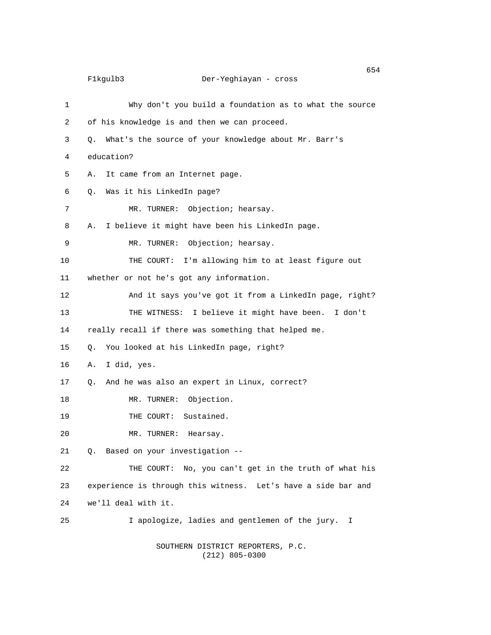| 1  | Why don't you build a foundation as to what the source        |
|----|---------------------------------------------------------------|
| 2  | of his knowledge is and then we can proceed.                  |
| 3  | Q. What's the source of your knowledge about Mr. Barr's       |
| 4  | education?                                                    |
| 5  | Α.<br>It came from an Internet page.                          |
| 6  | Was it his LinkedIn page?<br>Q.                               |
| 7  | MR. TURNER: Objection; hearsay.                               |
| 8  | I believe it might have been his LinkedIn page.<br>А.         |
| 9  | Objection; hearsay.<br>MR. TURNER:                            |
| 10 | THE COURT: I'm allowing him to at least figure out            |
| 11 | whether or not he's got any information.                      |
| 12 | And it says you've got it from a LinkedIn page, right?        |
| 13 | THE WITNESS: I believe it might have been. I don't            |
| 14 | really recall if there was something that helped me.          |
| 15 | You looked at his LinkedIn page, right?<br>Q.                 |
| 16 | I did, yes.<br>А.                                             |
| 17 | And he was also an expert in Linux, correct?<br>Q.            |
| 18 | MR. TURNER:<br>Objection.                                     |
| 19 | THE COURT: Sustained.                                         |
| 20 | MR. TURNER:<br>Hearsay.                                       |
| 21 | Based on your investigation --<br>0.                          |
| 22 | THE COURT: No, you can't get in the truth of what his         |
| 23 | experience is through this witness. Let's have a side bar and |
| 24 | we'll deal with it.                                           |
| 25 | I apologize, ladies and gentlemen of the jury.<br>I           |

SOUTHERN DISTRICT REPORTERS, P.C.

 $(212)$  805-0300

 $\sim$  654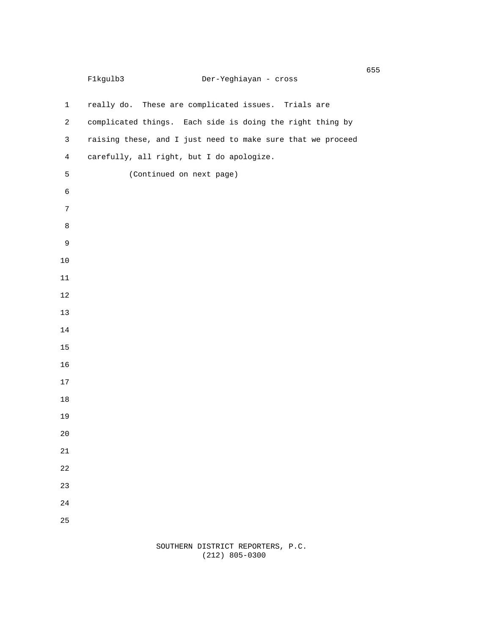```
 F1kgulb3 Der-Yeghiayan - cross
1 really do. These are complicated issues. Trials are
2 complicated things. Each side is doing the right thing by
3 raising these, and I just need to make sure that we proceed
4 carefully, all right, but I do apologize.
5 (Continued on next page)
6
7
8
9
10
11
12
13
14
15
16
17
18
19
20
21
22
23
24
25
```
en de la construcción de la construcción de la construcción de la construcción de la construcción de la constru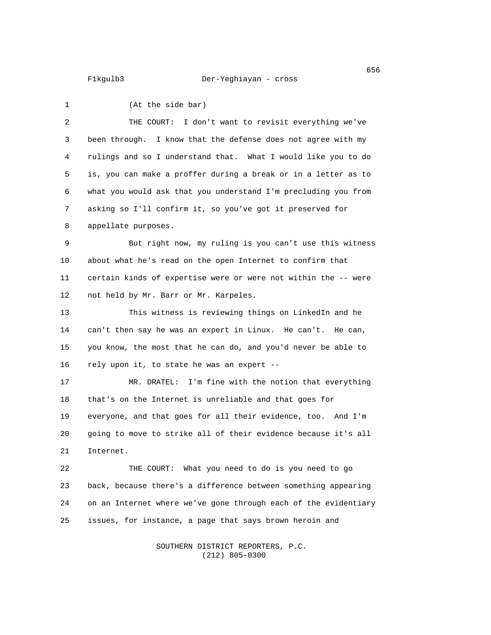## F1kgulb3 Der-Yeghiayan - cross

1 (At the side bar) 2 THE COURT: I don't want to revisit everything we've 3 been through. I know that the defense does not agree with my 4 rulings and so I understand that. What I would like you to do 5 is, you can make a proffer during a break or in a letter as to 6 what you would ask that you understand I'm precluding you from 7 asking so I'll confirm it, so you've got it preserved for 8 appellate purposes. 9 But right now, my ruling is you can't use this witness 10 about what he's read on the open Internet to confirm that 11 certain kinds of expertise were or were not within the -- were 12 not held by Mr. Barr or Mr. Karpeles. 13 This witness is reviewing things on LinkedIn and he 14 can't then say he was an expert in Linux. He can't. He can, 15 you know, the most that he can do, and you'd never be able to 16 rely upon it, to state he was an expert -- 17 MR. DRATEL: I'm fine with the notion that everything 18 that's on the Internet is unreliable and that goes for 19 everyone, and that goes for all their evidence, too. And I'm 20 going to move to strike all of their evidence because it's all 21 Internet. 22 THE COURT: What you need to do is you need to go 23 back, because there's a difference between something appearing 24 on an Internet where we've gone through each of the evidentiary 25 issues, for instance, a page that says brown heroin and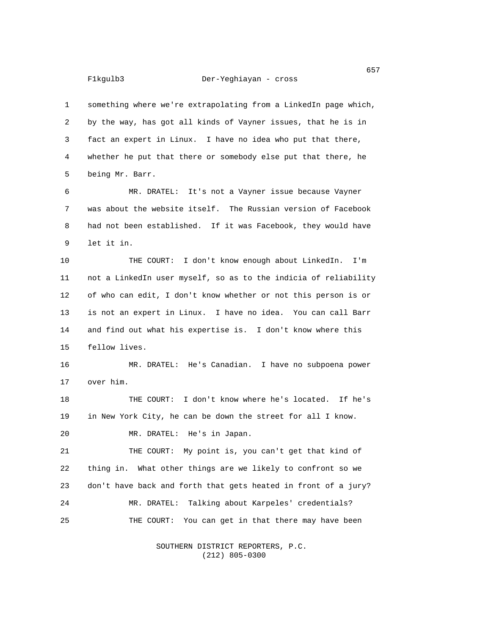1 something where we're extrapolating from a LinkedIn page which, 2 by the way, has got all kinds of Vayner issues, that he is in 3 fact an expert in Linux. I have no idea who put that there, 4 whether he put that there or somebody else put that there, he 5 being Mr. Barr.

6 MR. DRATEL: It's not a Vayner issue because Vayner 7 was about the website itself. The Russian version of Facebook 8 had not been established. If it was Facebook, they would have 9 let it in.

10 THE COURT: I don't know enough about LinkedIn. I'm 11 not a LinkedIn user myself, so as to the indicia of reliability 12 of who can edit, I don't know whether or not this person is or 13 is not an expert in Linux. I have no idea. You can call Barr 14 and find out what his expertise is. I don't know where this 15 fellow lives.

16 MR. DRATEL: He's Canadian. I have no subpoena power 17 over him.

18 THE COURT: I don't know where he's located. If he's 19 in New York City, he can be down the street for all I know. 20 MR. DRATEL: He's in Japan.

21 THE COURT: My point is, you can't get that kind of 22 thing in. What other things are we likely to confront so we 23 don't have back and forth that gets heated in front of a jury? 24 MR. DRATEL: Talking about Karpeles' credentials? 25 THE COURT: You can get in that there may have been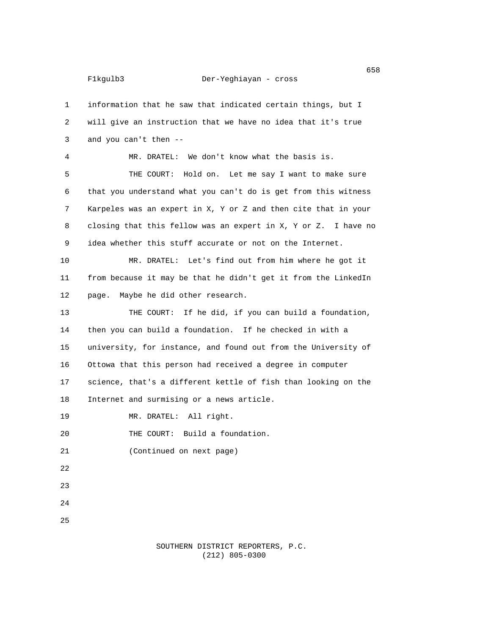1 information that he saw that indicated certain things, but I 2 will give an instruction that we have no idea that it's true 3 and you can't then -- 4 MR. DRATEL: We don't know what the basis is. 5 THE COURT: Hold on. Let me say I want to make sure 6 that you understand what you can't do is get from this witness 7 Karpeles was an expert in X, Y or Z and then cite that in your 8 closing that this fellow was an expert in X, Y or Z. I have no 9 idea whether this stuff accurate or not on the Internet. 10 MR. DRATEL: Let's find out from him where he got it 11 from because it may be that he didn't get it from the LinkedIn 12 page. Maybe he did other research. 13 THE COURT: If he did, if you can build a foundation, 14 then you can build a foundation. If he checked in with a 15 university, for instance, and found out from the University of 16 Ottowa that this person had received a degree in computer 17 science, that's a different kettle of fish than looking on the 18 Internet and surmising or a news article. 19 MR. DRATEL: All right. 20 THE COURT: Build a foundation. 21 (Continued on next page) 22 23 24 25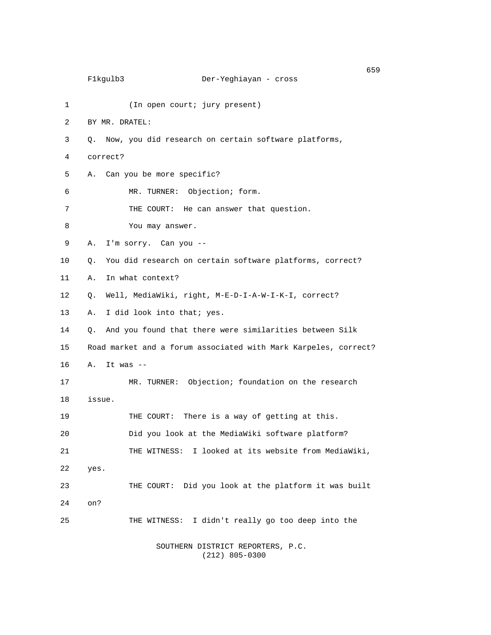```
\sim 659
     F1kgulb3 Der-Yeghiayan - cross
1 (In open court; jury present)
2 BY MR. DRATEL:
3 Q. Now, you did research on certain software platforms,
4 correct?
5 A. Can you be more specific?
6 MR. TURNER: Objection; form.
7 THE COURT: He can answer that question.
8 You may answer.
9 A. I'm sorry. Can you --
10 Q. You did research on certain software platforms, correct?
11 A. In what context?
12 Q. Well, MediaWiki, right, M-E-D-I-A-W-I-K-I, correct?
13 A. I did look into that; yes.
14 Q. And you found that there were similarities between Silk
15 Road market and a forum associated with Mark Karpeles, correct?
16 A. It was --
17 MR. TURNER: Objection; foundation on the research
18 issue.
19 THE COURT: There is a way of getting at this.
20 Did you look at the MediaWiki software platform?
21 THE WITNESS: I looked at its website from MediaWiki,
22 yes.
23 THE COURT: Did you look at the platform it was built
24 on?
25 THE WITNESS: I didn't really go too deep into the
```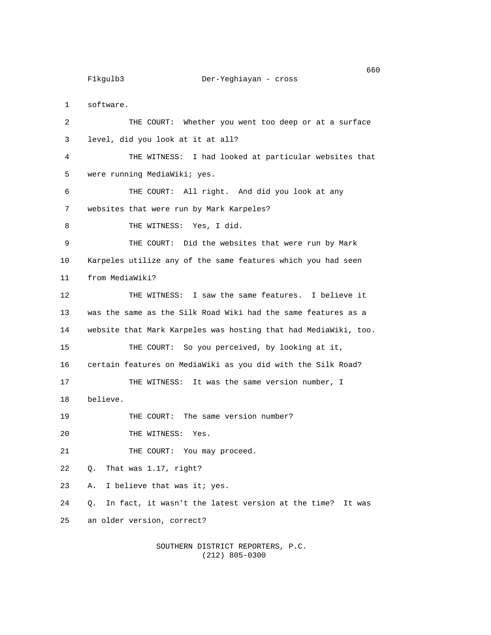1 software.

2 THE COURT: Whether you went too deep or at a surface 3 level, did you look at it at all? 4 THE WITNESS: I had looked at particular websites that 5 were running MediaWiki; yes. 6 THE COURT: All right. And did you look at any 7 websites that were run by Mark Karpeles? 8 THE WITNESS: Yes, I did. 9 THE COURT: Did the websites that were run by Mark 10 Karpeles utilize any of the same features which you had seen 11 from MediaWiki? 12 THE WITNESS: I saw the same features. I believe it 13 was the same as the Silk Road Wiki had the same features as a 14 website that Mark Karpeles was hosting that had MediaWiki, too. 15 THE COURT: So you perceived, by looking at it, 16 certain features on MediaWiki as you did with the Silk Road? 17 THE WITNESS: It was the same version number, I 18 believe. 19 THE COURT: The same version number? 20 THE WITNESS: Yes. 21 THE COURT: You may proceed. 22 Q. That was 1.17, right? 23 A. I believe that was it; yes. 24 Q. In fact, it wasn't the latest version at the time? It was 25 an older version, correct?

> SOUTHERN DISTRICT REPORTERS, P.C. (212) 805-0300

 $\sim$  660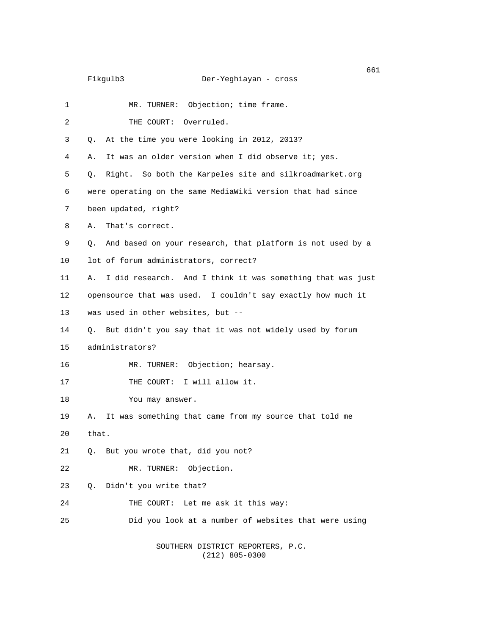| F1kgulb3 |  |  |
|----------|--|--|
|          |  |  |
|          |  |  |

| 1              | MR. TURNER: Objection; time frame.                               |
|----------------|------------------------------------------------------------------|
| $\overline{2}$ | THE COURT: Overruled.                                            |
| 3              | At the time you were looking in 2012, 2013?<br>О.                |
| 4              | It was an older version when I did observe it; yes.<br>А.        |
| 5              | Right. So both the Karpeles site and silkroadmarket.org<br>Q.    |
| 6              | were operating on the same MediaWiki version that had since      |
| $\overline{7}$ | been updated, right?                                             |
| 8              | That's correct.<br>А.                                            |
| 9              | And based on your research, that platform is not used by a<br>Q. |
| 10             | lot of forum administrators, correct?                            |
| 11             | I did research. And I think it was something that was just<br>А. |
| 12             | opensource that was used. I couldn't say exactly how much it     |
| 13             | was used in other websites, but --                               |
| 14             | Q. But didn't you say that it was not widely used by forum       |
| 15             | administrators?                                                  |
| 16             | MR. TURNER: Objection; hearsay.                                  |
| 17             | THE COURT: I will allow it.                                      |
| 18             | You may answer.                                                  |
| 19             | It was something that came from my source that told me<br>А.     |
| 20             | that.                                                            |
| 21             | Q. But you wrote that, did you not?                              |
| 22             | MR. TURNER: Objection.                                           |
| 23             | Didn't you write that?<br>Q.                                     |
| 24             | THE COURT: Let me ask it this way:                               |
| 25             | Did you look at a number of websites that were using             |
|                | SOUTHERN DISTRICT REPORTERS, P.C.                                |

(212) 805-0300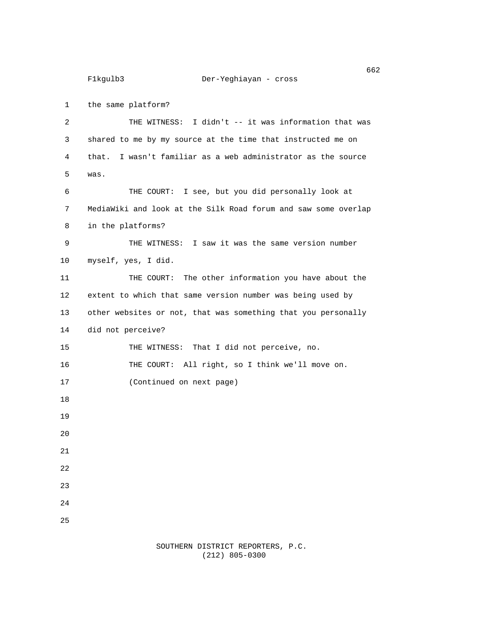1 the same platform? 2 THE WITNESS: I didn't -- it was information that was 3 shared to me by my source at the time that instructed me on 4 that. I wasn't familiar as a web administrator as the source 5 was. 6 THE COURT: I see, but you did personally look at 7 MediaWiki and look at the Silk Road forum and saw some overlap 8 in the platforms? 9 THE WITNESS: I saw it was the same version number 10 myself, yes, I did. 11 THE COURT: The other information you have about the 12 extent to which that same version number was being used by 13 other websites or not, that was something that you personally 14 did not perceive? 15 THE WITNESS: That I did not perceive, no. 16 THE COURT: All right, so I think we'll move on. 17 (Continued on next page) 18 19 20 21 22 23 24 25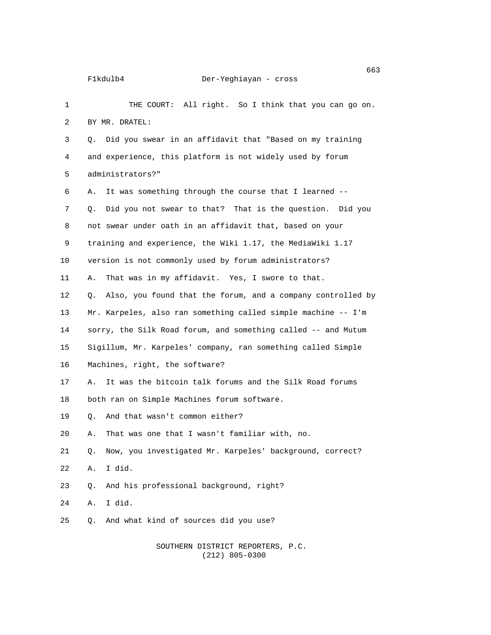1 THE COURT: All right. So I think that you can go on. 2 BY MR. DRATEL: 3 Q. Did you swear in an affidavit that "Based on my training 4 and experience, this platform is not widely used by forum 5 administrators?" 6 A. It was something through the course that I learned -- 7 Q. Did you not swear to that? That is the question. Did you 8 not swear under oath in an affidavit that, based on your 9 training and experience, the Wiki 1.17, the MediaWiki 1.17 10 version is not commonly used by forum administrators? 11 A. That was in my affidavit. Yes, I swore to that. 12 Q. Also, you found that the forum, and a company controlled by 13 Mr. Karpeles, also ran something called simple machine -- I'm 14 sorry, the Silk Road forum, and something called -- and Mutum 15 Sigillum, Mr. Karpeles' company, ran something called Simple 16 Machines, right, the software? 17 A. It was the bitcoin talk forums and the Silk Road forums 18 both ran on Simple Machines forum software. 19 Q. And that wasn't common either? 20 A. That was one that I wasn't familiar with, no. 21 Q. Now, you investigated Mr. Karpeles' background, correct? 22 A. I did. 23 Q. And his professional background, right? 24 A. I did. 25 Q. And what kind of sources did you use?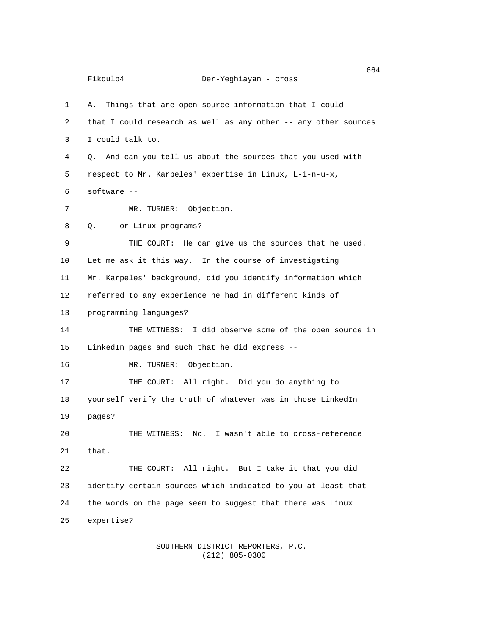6 software --

### F1kdulb4 Der-Yeghiayan - cross

1 A. Things that are open source information that I could -- 2 that I could research as well as any other -- any other sources 3 I could talk to. 4 Q. And can you tell us about the sources that you used with 5 respect to Mr. Karpeles' expertise in Linux, L-i-n-u-x, 7 MR. TURNER: Objection. 8 Q. -- or Linux programs? 9 THE COURT: He can give us the sources that he used. 10 Let me ask it this way. In the course of investigating 11 Mr. Karpeles' background, did you identify information which 12 referred to any experience he had in different kinds of 13 programming languages? 14 THE WITNESS: I did observe some of the open source in 15 LinkedIn pages and such that he did express -- 16 MR. TURNER: Objection.

17 THE COURT: All right. Did you do anything to 18 yourself verify the truth of whatever was in those LinkedIn 19 pages?

20 THE WITNESS: No. I wasn't able to cross-reference 21 that.

22 THE COURT: All right. But I take it that you did 23 identify certain sources which indicated to you at least that 24 the words on the page seem to suggest that there was Linux 25 expertise?

> SOUTHERN DISTRICT REPORTERS, P.C. (212) 805-0300

 $\sim$  664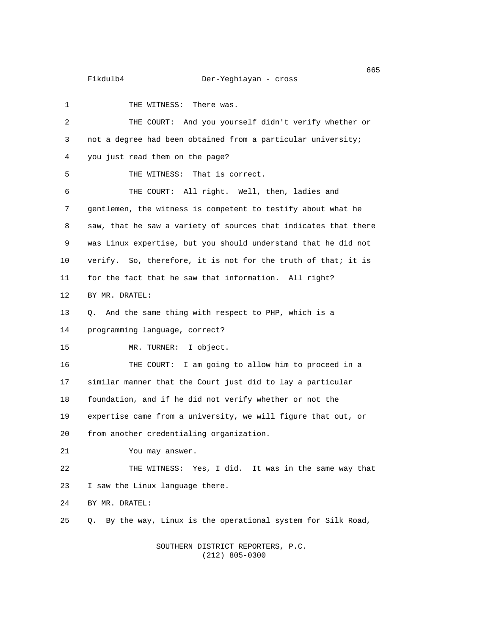# F1kdulb4 Der-Yeghiayan - cross

| 1              | THE WITNESS: There was.                                          |
|----------------|------------------------------------------------------------------|
| $\overline{2}$ | THE COURT: And you yourself didn't verify whether or             |
| 3              | not a degree had been obtained from a particular university;     |
| 4              | you just read them on the page?                                  |
| 5              | That is correct.<br>THE WITNESS:                                 |
| 6              | THE COURT: All right. Well, then, ladies and                     |
| 7              | gentlemen, the witness is competent to testify about what he     |
| 8              | saw, that he saw a variety of sources that indicates that there  |
| 9              | was Linux expertise, but you should understand that he did not   |
| 10             | verify. So, therefore, it is not for the truth of that; it is    |
| 11             | for the fact that he saw that information. All right?            |
| 12             | BY MR. DRATEL:                                                   |
| 13             | Q. And the same thing with respect to PHP, which is a            |
| 14             | programming language, correct?                                   |
| 15             | MR. TURNER: I object.                                            |
| 16             | THE COURT: I am going to allow him to proceed in a               |
| 17             | similar manner that the Court just did to lay a particular       |
| 18             | foundation, and if he did not verify whether or not the          |
| 19             | expertise came from a university, we will figure that out, or    |
| 20             | from another credentialing organization.                         |
| 21             | You may answer.                                                  |
| 22             | THE WITNESS: Yes, I did. It was in the same way that             |
| 23             | I saw the Linux language there.                                  |
| 24             | BY MR. DRATEL:                                                   |
| 25             | By the way, Linux is the operational system for Silk Road,<br>Q. |
|                |                                                                  |

 SOUTHERN DISTRICT REPORTERS, P.C. (212) 805-0300

en de la construcción de la construcción de la construcción de la construcción de la construcción de la construcción de la construcción de la construcción de la construcción de la construcción de la construcción de la cons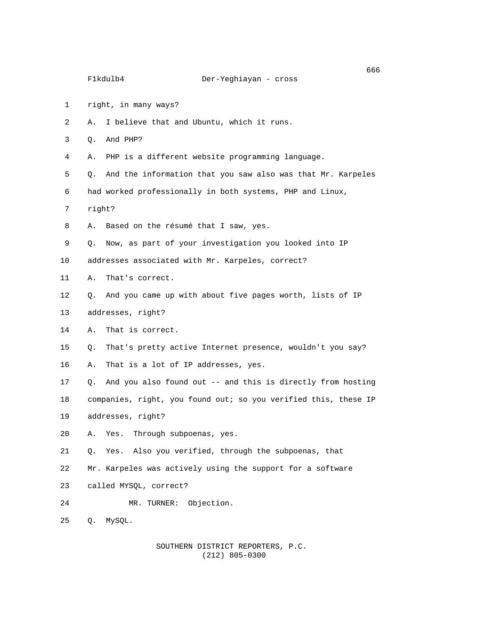- 1 right, in many ways?
- 2 A. I believe that and Ubuntu, which it runs.
- 3 Q. And PHP?
- 4 A. PHP is a different website programming language.
- 5 Q. And the information that you saw also was that Mr. Karpeles
- 6 had worked professionally in both systems, PHP and Linux,
- 7 right?
- 8 A. Based on the résumé that I saw, yes.
- 9 Q. Now, as part of your investigation you looked into IP
- 10 addresses associated with Mr. Karpeles, correct?
- 11 A. That's correct.
- 12 Q. And you came up with about five pages worth, lists of IP
- 13 addresses, right?
- 14 A. That is correct.
- 15 Q. That's pretty active Internet presence, wouldn't you say?
- 16 A. That is a lot of IP addresses, yes.
- 17 Q. And you also found out -- and this is directly from hosting
- 18 companies, right, you found out; so you verified this, these IP
- 19 addresses, right?
- 20 A. Yes. Through subpoenas, yes.
- 21 Q. Yes. Also you verified, through the subpoenas, that
- 22 Mr. Karpeles was actively using the support for a software
- 23 called MYSQL, correct?
- 24 MR. TURNER: Objection.
- 25 Q. MySQL.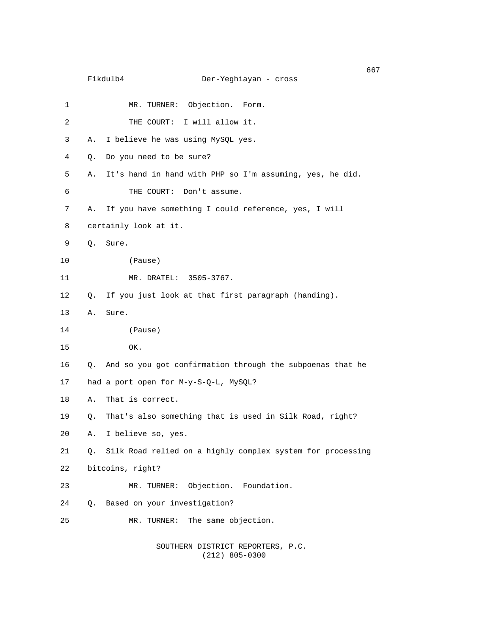| 1  |    | MR. TURNER: Objection. Form.                               |
|----|----|------------------------------------------------------------|
| 2  |    | THE COURT:<br>I will allow it.                             |
| 3  | Α. | I believe he was using MySQL yes.                          |
| 4  | Q. | Do you need to be sure?                                    |
| 5  | Α. | It's hand in hand with PHP so I'm assuming, yes, he did.   |
| 6  |    | THE COURT: Don't assume.                                   |
| 7  | Α. | If you have something I could reference, yes, I will       |
| 8  |    | certainly look at it.                                      |
| 9  | Q. | Sure.                                                      |
| 10 |    | (Pause)                                                    |
| 11 |    | MR. DRATEL: 3505-3767.                                     |
| 12 | Q. | If you just look at that first paragraph (handing).        |
| 13 | Α. | Sure.                                                      |
| 14 |    | (Pause)                                                    |
| 15 |    | OK.                                                        |
| 16 | Q. | And so you got confirmation through the subpoenas that he  |
| 17 |    | had a port open for M-y-S-Q-L, MySQL?                      |
| 18 | Α. | That is correct.                                           |
| 19 | Q. | That's also something that is used in Silk Road, right?    |
| 20 | Α. | I believe so, yes.                                         |
| 21 | Q. | Silk Road relied on a highly complex system for processing |
| 22 |    | bitcoins, right?                                           |
| 23 |    | Objection. Foundation.<br>MR. TURNER:                      |
| 24 | Q. | Based on your investigation?                               |
| 25 |    | MR. TURNER: The same objection.                            |
|    |    | SOUTHERN DISTRICT REPORTERS, P.C.                          |

 $(212)$  805-0300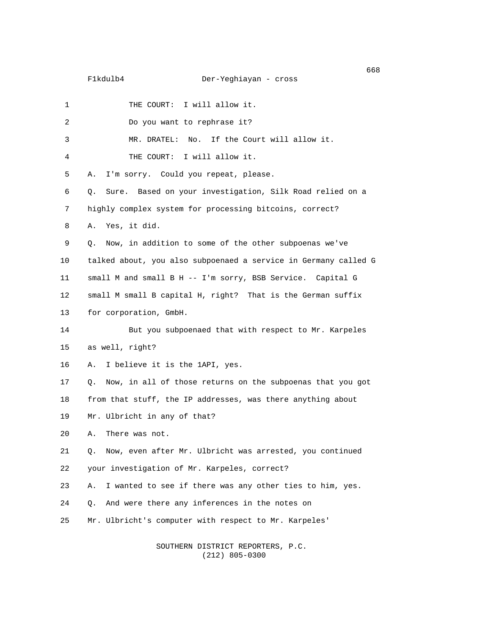F1kdulb4 Der-Yeghiayan - cross

| 1              | THE COURT: I will allow it.                                      |
|----------------|------------------------------------------------------------------|
| 2              | Do you want to rephrase it?                                      |
| 3              | MR. DRATEL: No. If the Court will allow it.                      |
| 4              | THE COURT: I will allow it.                                      |
| 5              | I'm sorry. Could you repeat, please.<br>Α.                       |
| 6              | Sure. Based on your investigation, Silk Road relied on a<br>Q.   |
| $\overline{7}$ | highly complex system for processing bitcoins, correct?          |
| 8              | Yes, it did.<br>Α.                                               |
| 9              | Now, in addition to some of the other subpoenas we've<br>О.      |
| 10             | talked about, you also subpoenaed a service in Germany called G  |
| 11             | small M and small B H -- I'm sorry, BSB Service. Capital G       |
| 12             | small M small B capital H, right? That is the German suffix      |
| 13             | for corporation, GmbH.                                           |
| 14             | But you subpoenaed that with respect to Mr. Karpeles             |
| 15             | as well, right?                                                  |
| 16             | I believe it is the 1API, yes.<br>А.                             |
| 17             | Now, in all of those returns on the subpoenas that you got<br>Q. |
| 18             | from that stuff, the IP addresses, was there anything about      |
| 19             | Mr. Ulbricht in any of that?                                     |
| 20             | There was not.<br>Α.                                             |
| 21             | Now, even after Mr. Ulbricht was arrested, you continued<br>Q.   |
| 22             | your investigation of Mr. Karpeles, correct?                     |
| 23             | I wanted to see if there was any other ties to him, yes.<br>Α.   |
| 24             | And were there any inferences in the notes on<br>Q.              |
| 25             | Mr. Ulbricht's computer with respect to Mr. Karpeles'            |
|                |                                                                  |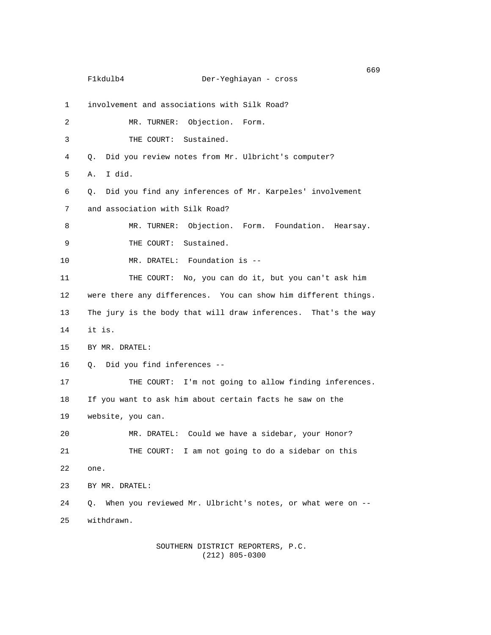1 involvement and associations with Silk Road? 2 MR. TURNER: Objection. Form. 3 THE COURT: Sustained. 4 Q. Did you review notes from Mr. Ulbricht's computer? 5 A. I did. 6 Q. Did you find any inferences of Mr. Karpeles' involvement 7 and association with Silk Road? 8 MR. TURNER: Objection. Form. Foundation. Hearsay. 9 THE COURT: Sustained. 10 MR. DRATEL: Foundation is -- 11 THE COURT: No, you can do it, but you can't ask him 12 were there any differences. You can show him different things. 13 The jury is the body that will draw inferences. That's the way 14 it is. 15 BY MR. DRATEL: 16 Q. Did you find inferences -- 17 THE COURT: I'm not going to allow finding inferences. 18 If you want to ask him about certain facts he saw on the 19 website, you can. 20 MR. DRATEL: Could we have a sidebar, your Honor? 21 THE COURT: I am not going to do a sidebar on this 22 one. 23 BY MR. DRATEL: 24 Q. When you reviewed Mr. Ulbricht's notes, or what were on -- 25 withdrawn.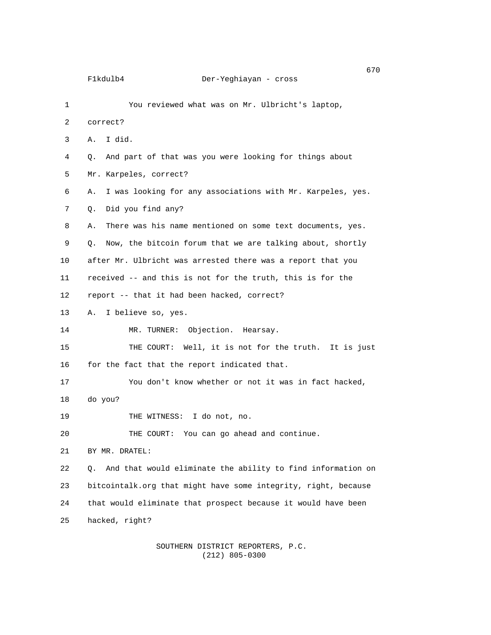1 You reviewed what was on Mr. Ulbricht's laptop, 2 correct? 3 A. I did. 4 Q. And part of that was you were looking for things about 5 Mr. Karpeles, correct? 6 A. I was looking for any associations with Mr. Karpeles, yes. 7 Q. Did you find any? 8 A. There was his name mentioned on some text documents, yes. 9 Q. Now, the bitcoin forum that we are talking about, shortly 10 after Mr. Ulbricht was arrested there was a report that you 11 received -- and this is not for the truth, this is for the 12 report -- that it had been hacked, correct? 13 A. I believe so, yes. 14 MR. TURNER: Objection. Hearsay. 15 THE COURT: Well, it is not for the truth. It is just 16 for the fact that the report indicated that. 17 You don't know whether or not it was in fact hacked, 18 do you? 19 THE WITNESS: I do not, no. 20 THE COURT: You can go ahead and continue. 21 BY MR. DRATEL: 22 Q. And that would eliminate the ability to find information on 23 bitcointalk.org that might have some integrity, right, because 24 that would eliminate that prospect because it would have been 25 hacked, right?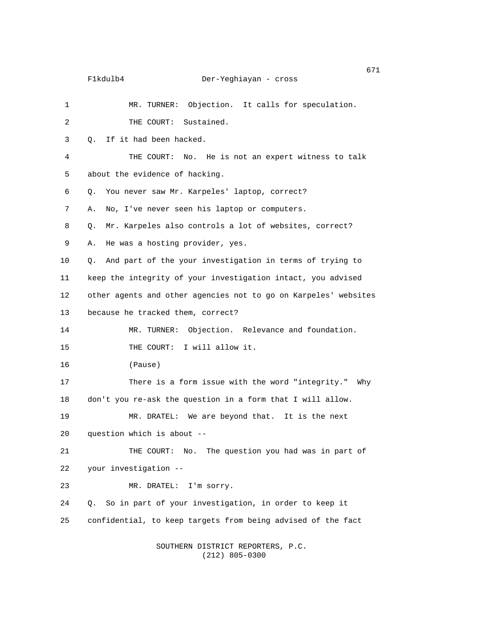F1kdulb4 Der-Yeghiayan - cross

| 1              | MR. TURNER: Objection. It calls for speculation.                |
|----------------|-----------------------------------------------------------------|
| 2              | THE COURT: Sustained.                                           |
| 3              | If it had been hacked.<br>0.                                    |
| 4              | THE COURT: No. He is not an expert witness to talk              |
| 5              | about the evidence of hacking.                                  |
| 6              | You never saw Mr. Karpeles' laptop, correct?<br>Q.              |
| $\overline{7}$ | No, I've never seen his laptop or computers.<br>А.              |
| 8              | Mr. Karpeles also controls a lot of websites, correct?<br>Q.    |
| 9              | He was a hosting provider, yes.<br>А.                           |
| 10             | And part of the your investigation in terms of trying to<br>Q.  |
| 11             | keep the integrity of your investigation intact, you advised    |
| 12             | other agents and other agencies not to go on Karpeles' websites |
| 13             | because he tracked them, correct?                               |
| 14             | MR. TURNER: Objection. Relevance and foundation.                |
| 15             | THE COURT: I will allow it.                                     |
| 16             | (Pause)                                                         |
| 17             | There is a form issue with the word "integrity." Why            |
| 18             | don't you re-ask the question in a form that I will allow.      |
| 19             | MR. DRATEL: We are beyond that. It is the next                  |
| 20             | question which is about --                                      |
| 21             | No. The question you had was in part of<br>THE COURT:           |
| 22             | your investigation --                                           |
| 23             | MR. DRATEL: I'm sorry.                                          |
| 24             | Q. So in part of your investigation, in order to keep it        |
| 25             | confidential, to keep targets from being advised of the fact    |
|                | SOUTHERN DISTRICT REPORTERS, P.C.                               |

 $(212)$  805-0300

 $\sim$  671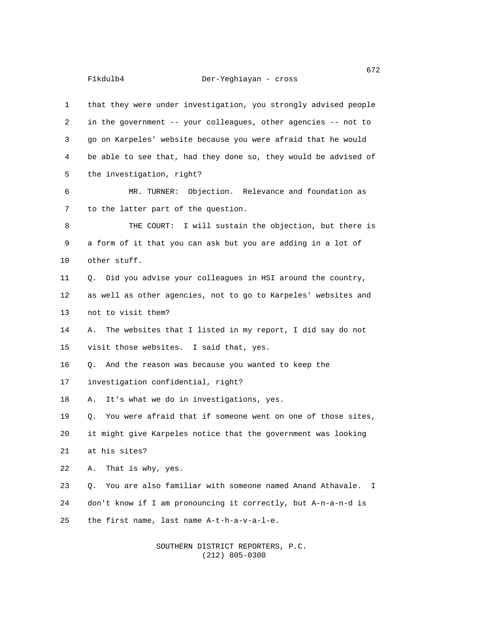1 that they were under investigation, you strongly advised people 2 in the government -- your colleagues, other agencies -- not to 3 go on Karpeles' website because you were afraid that he would 4 be able to see that, had they done so, they would be advised of 5 the investigation, right? 6 MR. TURNER: Objection. Relevance and foundation as 7 to the latter part of the question. 8 THE COURT: I will sustain the objection, but there is 9 a form of it that you can ask but you are adding in a lot of 10 other stuff. 11 Q. Did you advise your colleagues in HSI around the country, 12 as well as other agencies, not to go to Karpeles' websites and 13 not to visit them? 14 A. The websites that I listed in my report, I did say do not 15 visit those websites. I said that, yes. 16 Q. And the reason was because you wanted to keep the 17 investigation confidential, right? 18 A. It's what we do in investigations, yes. 19 Q. You were afraid that if someone went on one of those sites, 20 it might give Karpeles notice that the government was looking 21 at his sites? 22 A. That is why, yes. 23 Q. You are also familiar with someone named Anand Athavale. I 24 don't know if I am pronouncing it correctly, but A-n-a-n-d is 25 the first name, last name A-t-h-a-v-a-l-e.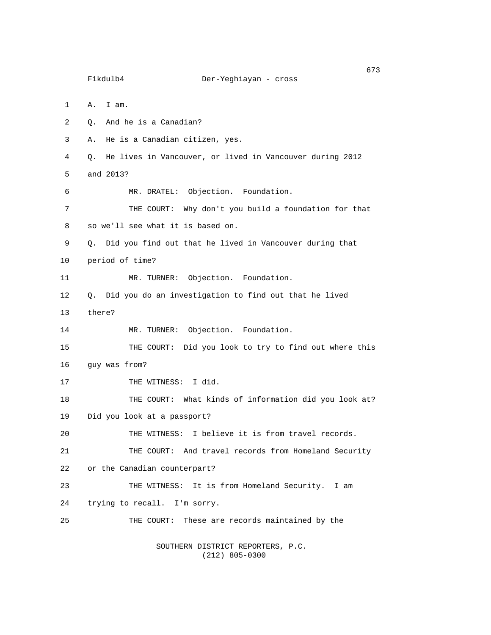1 A. I am. 2 Q. And he is a Canadian? 3 A. He is a Canadian citizen, yes. 4 Q. He lives in Vancouver, or lived in Vancouver during 2012 5 and 2013? 6 MR. DRATEL: Objection. Foundation. 7 THE COURT: Why don't you build a foundation for that 8 so we'll see what it is based on. 9 Q. Did you find out that he lived in Vancouver during that 10 period of time? 11 MR. TURNER: Objection. Foundation. 12 Q. Did you do an investigation to find out that he lived 13 there? 14 MR. TURNER: Objection. Foundation. 15 THE COURT: Did you look to try to find out where this 16 guy was from? 17 THE WITNESS: I did. 18 THE COURT: What kinds of information did you look at? 19 Did you look at a passport? 20 THE WITNESS: I believe it is from travel records. 21 THE COURT: And travel records from Homeland Security 22 or the Canadian counterpart? 23 THE WITNESS: It is from Homeland Security. I am 24 trying to recall. I'm sorry. 25 THE COURT: These are records maintained by the

F1kdulb4 Der-Yeghiayan - cross

 SOUTHERN DISTRICT REPORTERS, P.C. (212) 805-0300

673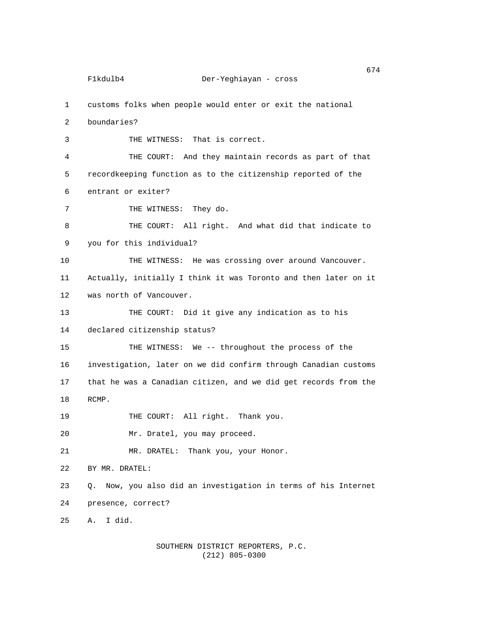1 customs folks when people would enter or exit the national 2 boundaries? 3 THE WITNESS: That is correct. 4 THE COURT: And they maintain records as part of that 5 recordkeeping function as to the citizenship reported of the 6 entrant or exiter? 7 THE WITNESS: They do. 8 THE COURT: All right. And what did that indicate to 9 you for this individual? 10 THE WITNESS: He was crossing over around Vancouver. 11 Actually, initially I think it was Toronto and then later on it 12 was north of Vancouver. 13 THE COURT: Did it give any indication as to his 14 declared citizenship status? 15 THE WITNESS: We -- throughout the process of the 16 investigation, later on we did confirm through Canadian customs 17 that he was a Canadian citizen, and we did get records from the 18 RCMP. 19 THE COURT: All right. Thank you. 20 Mr. Dratel, you may proceed. 21 MR. DRATEL: Thank you, your Honor. 22 BY MR. DRATEL: 23 Q. Now, you also did an investigation in terms of his Internet 24 presence, correct? 25 A. I did.

> SOUTHERN DISTRICT REPORTERS, P.C. (212) 805-0300

 $674$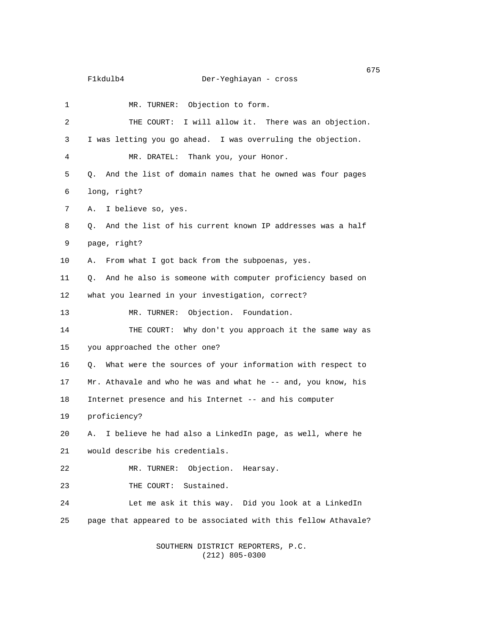| 1              | MR. TURNER: Objection to form.                                  |
|----------------|-----------------------------------------------------------------|
| $\overline{2}$ | THE COURT: I will allow it. There was an objection.             |
| 3              | I was letting you go ahead. I was overruling the objection.     |
| 4              | MR. DRATEL: Thank you, your Honor.                              |
| 5              | Q. And the list of domain names that he owned was four pages    |
| 6              | long, right?                                                    |
| 7              | I believe so, yes.<br>А.                                        |
| 8              | And the list of his current known IP addresses was a half<br>0. |
| 9              | page, right?                                                    |
| 10             | From what I got back from the subpoenas, yes.<br>А.             |
| 11             | And he also is someone with computer proficiency based on<br>0. |
| 12             | what you learned in your investigation, correct?                |
| 13             | MR. TURNER: Objection. Foundation.                              |
| 14             | THE COURT: Why don't you approach it the same way as            |
| 15             | you approached the other one?                                   |
| 16             | What were the sources of your information with respect to<br>Q. |
| 17             | Mr. Athavale and who he was and what he -- and, you know, his   |
| 18             | Internet presence and his Internet -- and his computer          |
| 19             | proficiency?                                                    |
| 20             | I believe he had also a LinkedIn page, as well, where he<br>А.  |
| 21             | would describe his credentials.                                 |
| 22             | MR. TURNER: Objection.<br>Hearsay.                              |
| 23             | THE COURT: Sustained.                                           |
| 24             | Let me ask it this way. Did you look at a LinkedIn              |
| 25             | page that appeared to be associated with this fellow Athavale?  |
|                |                                                                 |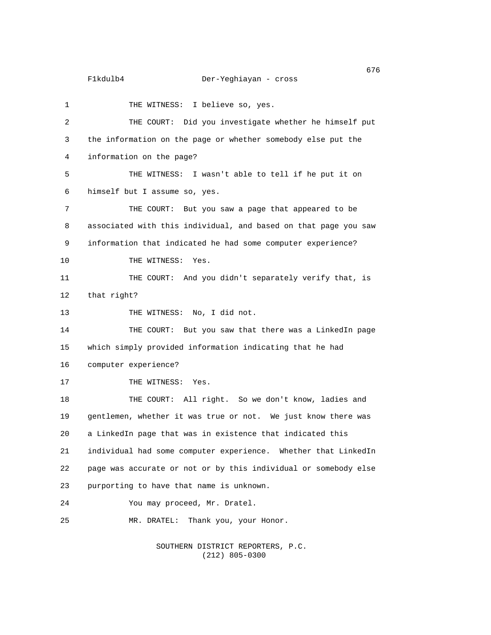F1kdulb4 Der-Yeghiayan - cross

1 THE WITNESS: I believe so, yes. 2 THE COURT: Did you investigate whether he himself put 3 the information on the page or whether somebody else put the 4 information on the page? 5 THE WITNESS: I wasn't able to tell if he put it on 6 himself but I assume so, yes. 7 THE COURT: But you saw a page that appeared to be 8 associated with this individual, and based on that page you saw 9 information that indicated he had some computer experience? 10 THE WITNESS: Yes. 11 THE COURT: And you didn't separately verify that, is 12 that right? 13 THE WITNESS: No, I did not. 14 THE COURT: But you saw that there was a LinkedIn page 15 which simply provided information indicating that he had 16 computer experience? 17 THE WITNESS: Yes. 18 THE COURT: All right. So we don't know, ladies and 19 gentlemen, whether it was true or not. We just know there was 20 a LinkedIn page that was in existence that indicated this 21 individual had some computer experience. Whether that LinkedIn 22 page was accurate or not or by this individual or somebody else 23 purporting to have that name is unknown. 24 You may proceed, Mr. Dratel. 25 MR. DRATEL: Thank you, your Honor.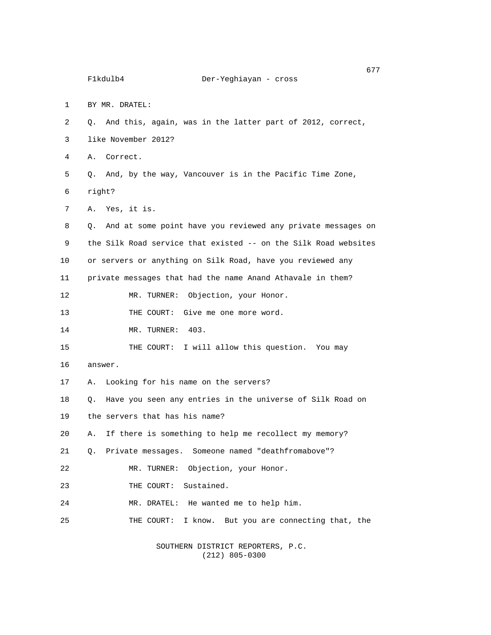1 BY MR. DRATEL:

2 Q. And this, again, was in the latter part of 2012, correct,

3 like November 2012?

4 A. Correct.

5 Q. And, by the way, Vancouver is in the Pacific Time Zone,

6 right?

7 A. Yes, it is.

8 Q. And at some point have you reviewed any private messages on 9 the Silk Road service that existed -- on the Silk Road websites 10 or servers or anything on Silk Road, have you reviewed any

11 private messages that had the name Anand Athavale in them?

12 MR. TURNER: Objection, your Honor.

13 THE COURT: Give me one more word.

14 MR. TURNER: 403.

15 THE COURT: I will allow this question. You may

16 answer.

17 A. Looking for his name on the servers?

18 Q. Have you seen any entries in the universe of Silk Road on 19 the servers that has his name?

20 A. If there is something to help me recollect my memory?

21 Q. Private messages. Someone named "deathfromabove"?

22 MR. TURNER: Objection, your Honor.

23 THE COURT: Sustained.

24 MR. DRATEL: He wanted me to help him.

25 THE COURT: I know. But you are connecting that, the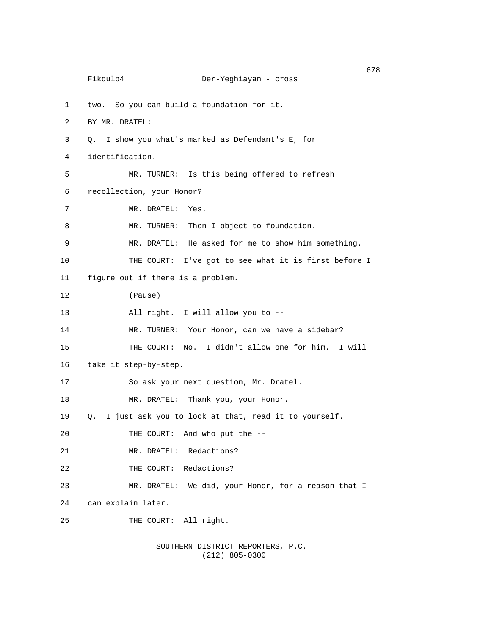```
en de la construcción de la construcción de la construcción de la construcción de la construcción de la construcción de la construcción de la construcción de la construcción de la construcción de la construcción de la cons
      F1kdulb4 Der-Yeghiayan - cross
1 two. So you can build a foundation for it.
2 BY MR. DRATEL:
3 Q. I show you what's marked as Defendant's E, for
4 identification.
5 MR. TURNER: Is this being offered to refresh
6 recollection, your Honor?
7 MR. DRATEL: Yes.
8 MR. TURNER: Then I object to foundation.
9 MR. DRATEL: He asked for me to show him something.
10 THE COURT: I've got to see what it is first before I
11 figure out if there is a problem.
12 (Pause)
13 All right. I will allow you to --
14 MR. TURNER: Your Honor, can we have a sidebar?
15 THE COURT: No. I didn't allow one for him. I will
16 take it step-by-step.
17 So ask your next question, Mr. Dratel.
18 MR. DRATEL: Thank you, your Honor.
19 Q. I just ask you to look at that, read it to yourself.
20 THE COURT: And who put the --
21 MR. DRATEL: Redactions?
22 THE COURT: Redactions?
23 MR. DRATEL: We did, your Honor, for a reason that I
24 can explain later.
25 THE COURT: All right.
```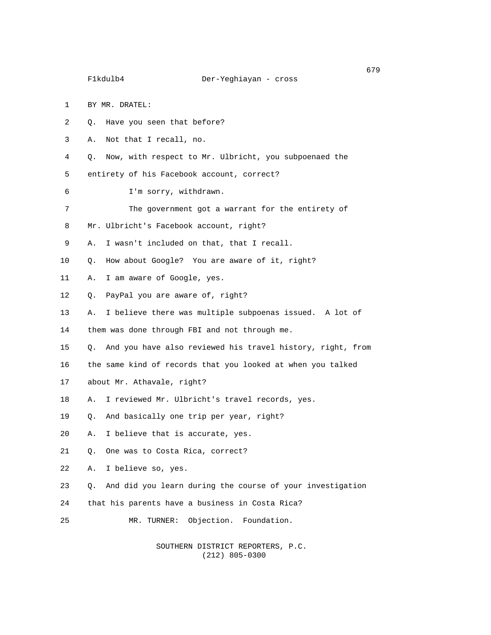1 BY MR. DRATEL:

- 2 Q. Have you seen that before?
- 3 A. Not that I recall, no.

4 Q. Now, with respect to Mr. Ulbricht, you subpoenaed the

- 5 entirety of his Facebook account, correct?
- 6 I'm sorry, withdrawn.
- 7 The government got a warrant for the entirety of
- 8 Mr. Ulbricht's Facebook account, right?
- 9 A. I wasn't included on that, that I recall.
- 10 Q. How about Google? You are aware of it, right?
- 11 A. I am aware of Google, yes.
- 12 Q. PayPal you are aware of, right?
- 13 A. I believe there was multiple subpoenas issued. A lot of
- 14 them was done through FBI and not through me.
- 15 Q. And you have also reviewed his travel history, right, from
- 16 the same kind of records that you looked at when you talked
- 17 about Mr. Athavale, right?
- 18 A. I reviewed Mr. Ulbricht's travel records, yes.
- 19 Q. And basically one trip per year, right?
- 20 A. I believe that is accurate, yes.
- 21 Q. One was to Costa Rica, correct?
- 22 A. I believe so, yes.
- 23 Q. And did you learn during the course of your investigation
- 24 that his parents have a business in Costa Rica?
- 25 MR. TURNER: Objection. Foundation.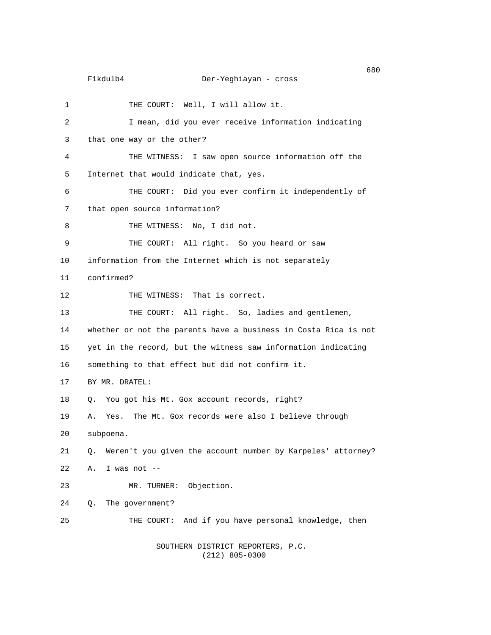en de la construcción de la construcción de la construcción de la construcción de la construcción de la constru F1kdulb4 Der-Yeghiayan - cross 1 THE COURT: Well, I will allow it. 2 I mean, did you ever receive information indicating 3 that one way or the other? 4 THE WITNESS: I saw open source information off the 5 Internet that would indicate that, yes. 6 THE COURT: Did you ever confirm it independently of 7 that open source information? 8 THE WITNESS: No, I did not. 9 THE COURT: All right. So you heard or saw 10 information from the Internet which is not separately 11 confirmed? 12 THE WITNESS: That is correct. 13 THE COURT: All right. So, ladies and gentlemen, 14 whether or not the parents have a business in Costa Rica is not 15 yet in the record, but the witness saw information indicating 16 something to that effect but did not confirm it. 17 BY MR. DRATEL: 18 Q. You got his Mt. Gox account records, right? 19 A. Yes. The Mt. Gox records were also I believe through 20 subpoena. 21 Q. Weren't you given the account number by Karpeles' attorney? 22 A. I was not -- 23 MR. TURNER: Objection. 24 Q. The government? 25 THE COURT: And if you have personal knowledge, then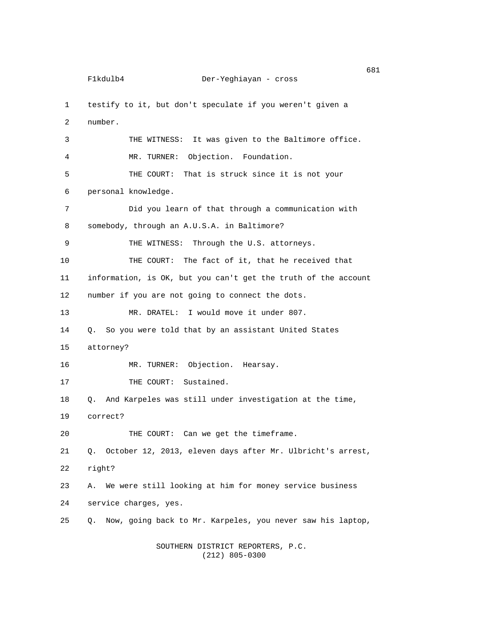```
\sim 681
     F1kdulb4 Der-Yeghiayan - cross
1 testify to it, but don't speculate if you weren't given a
2 number.
3 THE WITNESS: It was given to the Baltimore office.
4 MR. TURNER: Objection. Foundation.
5 THE COURT: That is struck since it is not your
6 personal knowledge.
7 Did you learn of that through a communication with
8 somebody, through an A.U.S.A. in Baltimore?
9 THE WITNESS: Through the U.S. attorneys.
10 THE COURT: The fact of it, that he received that
11 information, is OK, but you can't get the truth of the account
12 number if you are not going to connect the dots.
13 MR. DRATEL: I would move it under 807.
14 Q. So you were told that by an assistant United States
15 attorney?
16 MR. TURNER: Objection. Hearsay.
17 THE COURT: Sustained.
18 Q. And Karpeles was still under investigation at the time,
19 correct?
20 THE COURT: Can we get the timeframe.
21 Q. October 12, 2013, eleven days after Mr. Ulbricht's arrest,
22 right?
23 A. We were still looking at him for money service business
24 service charges, yes.
25 Q. Now, going back to Mr. Karpeles, you never saw his laptop,
```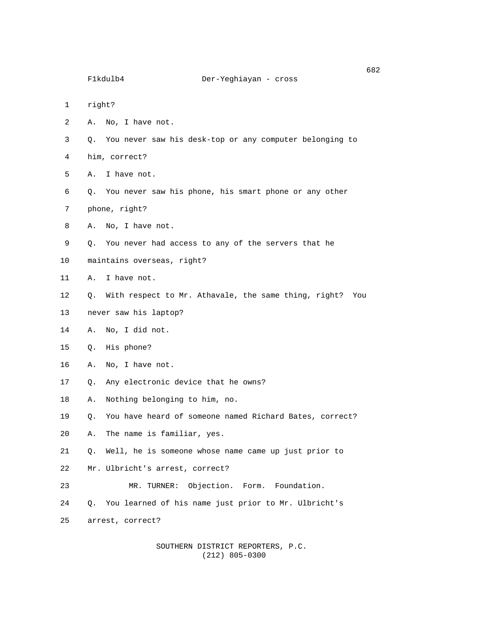- 1 right?
- 2 A. No, I have not.
- 3 Q. You never saw his desk-top or any computer belonging to
- 4 him, correct?
- 5 A. I have not.
- 6 Q. You never saw his phone, his smart phone or any other
- 7 phone, right?
- 8 A. No, I have not.
- 9 Q. You never had access to any of the servers that he
- 10 maintains overseas, right?
- 11 A. I have not.
- 12 Q. With respect to Mr. Athavale, the same thing, right? You
- 13 never saw his laptop?
- 14 A. No, I did not.
- 15 Q. His phone?
- 16 A. No, I have not.
- 17 Q. Any electronic device that he owns?
- 18 A. Nothing belonging to him, no.
- 19 Q. You have heard of someone named Richard Bates, correct?
- 20 A. The name is familiar, yes.
- 21 Q. Well, he is someone whose name came up just prior to
- 22 Mr. Ulbricht's arrest, correct?
- 23 MR. TURNER: Objection. Form. Foundation.
- 24 Q. You learned of his name just prior to Mr. Ulbricht's
- 25 arrest, correct?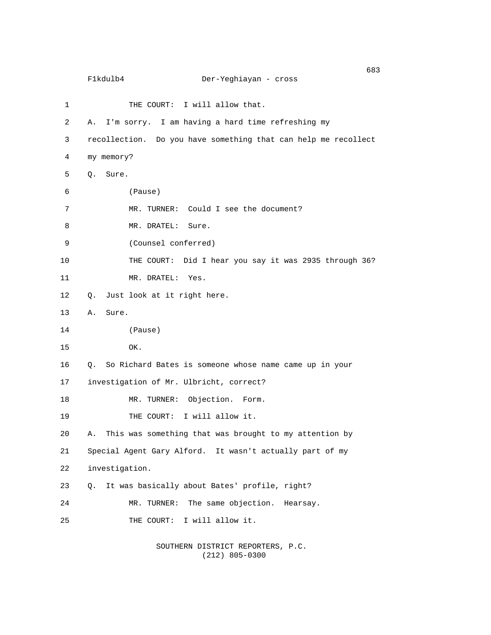|    | 683<br>F1kdulb4<br>Der-Yeghiayan - cross                       |
|----|----------------------------------------------------------------|
| 1  | THE COURT: I will allow that.                                  |
| 2  | I'm sorry. I am having a hard time refreshing my<br>А.         |
| 3  | recollection. Do you have something that can help me recollect |
| 4  | my memory?                                                     |
| 5  | Sure.<br>Q.                                                    |
| 6  | (Pause)                                                        |
| 7  | MR. TURNER: Could I see the document?                          |
| 8  | MR. DRATEL: Sure.                                              |
| 9  | (Counsel conferred)                                            |
| 10 | THE COURT: Did I hear you say it was 2935 through 36?          |
| 11 | MR. DRATEL: Yes.                                               |
| 12 | Just look at it right here.<br>Q.                              |
| 13 | Sure.<br>Α.                                                    |
| 14 | (Pause)                                                        |
| 15 | OK.                                                            |
| 16 | Q. So Richard Bates is someone whose name came up in your      |
| 17 | investigation of Mr. Ulbricht, correct?                        |
| 18 | MR. TURNER: Objection. Form.                                   |
| 19 | THE COURT: I will allow it.                                    |
| 20 | This was something that was brought to my attention by<br>Α.   |
| 21 | Special Agent Gary Alford. It wasn't actually part of my       |
| 22 | investigation.                                                 |
| 23 | It was basically about Bates' profile, right?<br>Q.            |
| 24 | The same objection.<br>MR. TURNER:<br>Hearsay.                 |
| 25 | THE COURT: I will allow it.                                    |
|    |                                                                |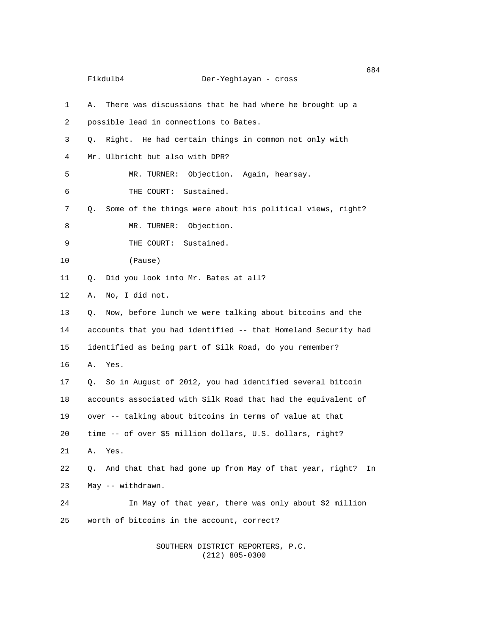F1kdulb4 Der-Yeghiayan - cross 1 A. There was discussions that he had where he brought up a 2 possible lead in connections to Bates. 3 Q. Right. He had certain things in common not only with 4 Mr. Ulbricht but also with DPR? 5 MR. TURNER: Objection. Again, hearsay. 6 THE COURT: Sustained. 7 Q. Some of the things were about his political views, right? 8 MR. TURNER: Objection. 9 THE COURT: Sustained. 10 (Pause) 11 Q. Did you look into Mr. Bates at all? 12 A. No, I did not. 13 Q. Now, before lunch we were talking about bitcoins and the 14 accounts that you had identified -- that Homeland Security had 15 identified as being part of Silk Road, do you remember? 16 A. Yes. 17 Q. So in August of 2012, you had identified several bitcoin 18 accounts associated with Silk Road that had the equivalent of 19 over -- talking about bitcoins in terms of value at that 20 time -- of over \$5 million dollars, U.S. dollars, right? 21 A. Yes. 22 Q. And that that had gone up from May of that year, right? In 23 May -- withdrawn. 24 In May of that year, there was only about \$2 million 25 worth of bitcoins in the account, correct?

> SOUTHERN DISTRICT REPORTERS, P.C. (212) 805-0300

en de la construcción de la construcción de la construcción de la construcción de la construcción de la construcción de la construcción de la construcción de la construcción de la construcción de la construcción de la cons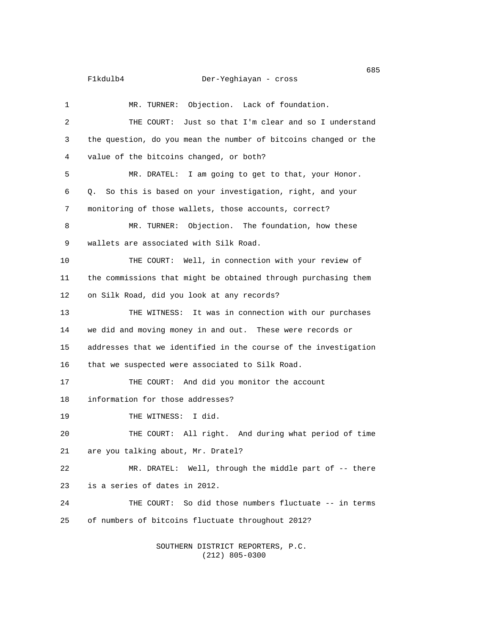### F1kdulb4 Der-Yeghiayan - cross

1 MR. TURNER: Objection. Lack of foundation. 2 THE COURT: Just so that I'm clear and so I understand 3 the question, do you mean the number of bitcoins changed or the 4 value of the bitcoins changed, or both? 5 MR. DRATEL: I am going to get to that, your Honor. 6 Q. So this is based on your investigation, right, and your 7 monitoring of those wallets, those accounts, correct? 8 MR. TURNER: Objection. The foundation, how these 9 wallets are associated with Silk Road. 10 THE COURT: Well, in connection with your review of 11 the commissions that might be obtained through purchasing them 12 on Silk Road, did you look at any records? 13 THE WITNESS: It was in connection with our purchases 14 we did and moving money in and out. These were records or 15 addresses that we identified in the course of the investigation 16 that we suspected were associated to Silk Road. 17 THE COURT: And did you monitor the account 18 information for those addresses? 19 THE WITNESS: I did. 20 THE COURT: All right. And during what period of time 21 are you talking about, Mr. Dratel? 22 MR. DRATEL: Well, through the middle part of -- there 23 is a series of dates in 2012. 24 THE COURT: So did those numbers fluctuate -- in terms 25 of numbers of bitcoins fluctuate throughout 2012?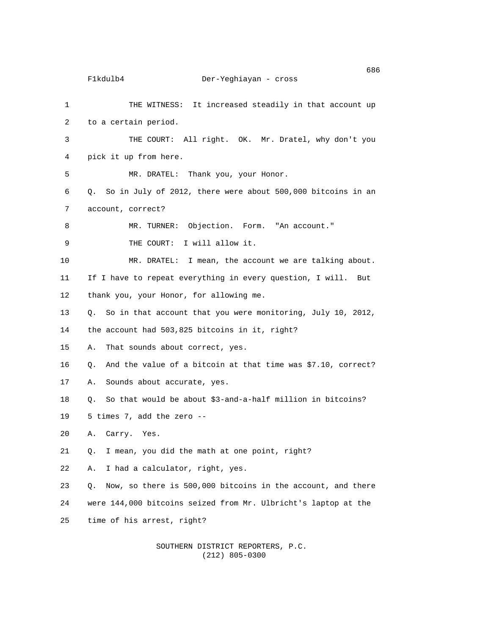1 THE WITNESS: It increased steadily in that account up 2 to a certain period. 3 THE COURT: All right. OK. Mr. Dratel, why don't you 4 pick it up from here. 5 MR. DRATEL: Thank you, your Honor. 6 Q. So in July of 2012, there were about 500,000 bitcoins in an 7 account, correct? 8 MR. TURNER: Objection. Form. "An account." 9 THE COURT: I will allow it. 10 MR. DRATEL: I mean, the account we are talking about. 11 If I have to repeat everything in every question, I will. But 12 thank you, your Honor, for allowing me. 13 Q. So in that account that you were monitoring, July 10, 2012, 14 the account had 503,825 bitcoins in it, right? 15 A. That sounds about correct, yes. 16 Q. And the value of a bitcoin at that time was \$7.10, correct? 17 A. Sounds about accurate, yes. 18 Q. So that would be about \$3-and-a-half million in bitcoins? 19 5 times 7, add the zero -- 20 A. Carry. Yes. 21 Q. I mean, you did the math at one point, right? 22 A. I had a calculator, right, yes. 23 Q. Now, so there is 500,000 bitcoins in the account, and there 24 were 144,000 bitcoins seized from Mr. Ulbricht's laptop at the 25 time of his arrest, right?

## SOUTHERN DISTRICT REPORTERS, P.C. (212) 805-0300

e de la construcción de la construcción de la construcción de la construcción de la construcción de la constru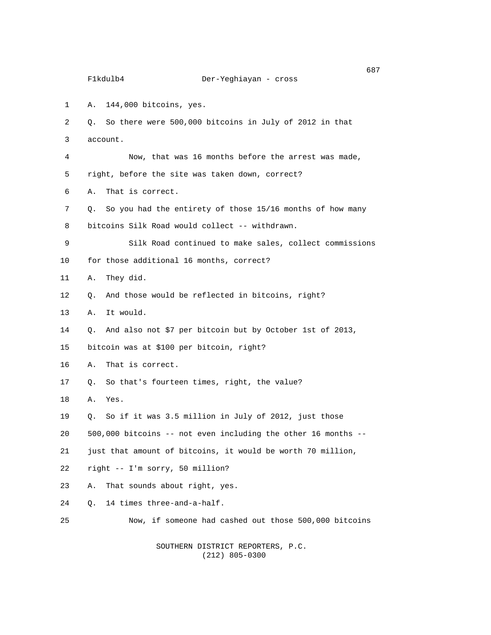### F1kdulb4 Der-Yeghiayan - cross

- 1 A. 144,000 bitcoins, yes.
- 2 Q. So there were 500,000 bitcoins in July of 2012 in that
- 3 account.
- 4 Now, that was 16 months before the arrest was made,
- 5 right, before the site was taken down, correct?
- 6 A. That is correct.
- 7 Q. So you had the entirety of those 15/16 months of how many
- 8 bitcoins Silk Road would collect -- withdrawn.
- 9 Silk Road continued to make sales, collect commissions 10 for those additional 16 months, correct?
- 11 A. They did.
- 12 Q. And those would be reflected in bitcoins, right?
- 13 A. It would.
- 14 Q. And also not \$7 per bitcoin but by October 1st of 2013,
- 15 bitcoin was at \$100 per bitcoin, right?
- 16 A. That is correct.
- 17 Q. So that's fourteen times, right, the value?
- 18 A. Yes.
- 19 Q. So if it was 3.5 million in July of 2012, just those
- 20 500,000 bitcoins -- not even including the other 16 months --
- 21 just that amount of bitcoins, it would be worth 70 million,
- 22 right -- I'm sorry, 50 million?
- 23 A. That sounds about right, yes.
- 24 Q. 14 times three-and-a-half.
- 25 Now, if someone had cashed out those 500,000 bitcoins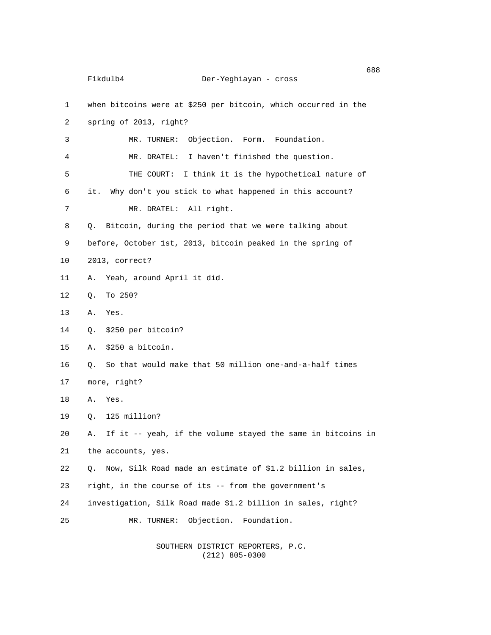```
en de la construcción de la construcción de la construcción de la construcción de la construcción de la constr
      F1kdulb4 Der-Yeghiayan - cross
1 when bitcoins were at $250 per bitcoin, which occurred in the
2 spring of 2013, right?
3 MR. TURNER: Objection. Form. Foundation.
4 MR. DRATEL: I haven't finished the question.
5 THE COURT: I think it is the hypothetical nature of
6 it. Why don't you stick to what happened in this account?
7 MR. DRATEL: All right.
8 Q. Bitcoin, during the period that we were talking about
9 before, October 1st, 2013, bitcoin peaked in the spring of
10 2013, correct?
11 A. Yeah, around April it did.
12 Q. To 250?
13 A. Yes.
14 Q. $250 per bitcoin?
15 A. $250 a bitcoin.
16 Q. So that would make that 50 million one-and-a-half times
17 more, right?
18 A. Yes.
19 Q. 125 million?
20 A. If it -- yeah, if the volume stayed the same in bitcoins in
21 the accounts, yes.
22 Q. Now, Silk Road made an estimate of $1.2 billion in sales,
23 right, in the course of its -- from the government's
24 investigation, Silk Road made $1.2 billion in sales, right?
25 MR. TURNER: Objection. Foundation.
```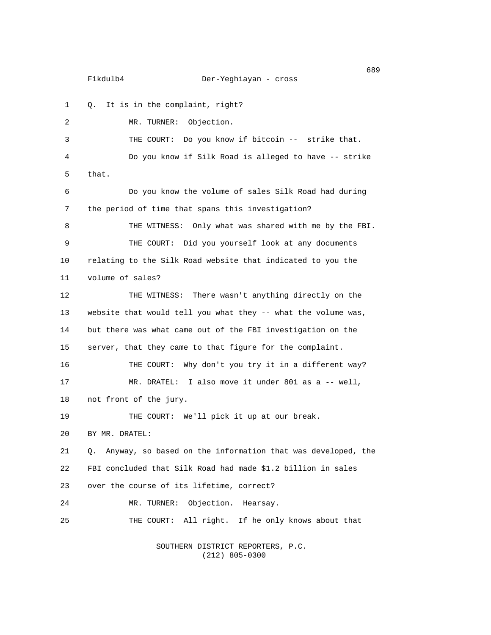F1kdulb4 Der-Yeghiayan - cross

1 Q. It is in the complaint, right? 2 MR. TURNER: Objection. 3 THE COURT: Do you know if bitcoin -- strike that. 4 Do you know if Silk Road is alleged to have -- strike 5 that. 6 Do you know the volume of sales Silk Road had during 7 the period of time that spans this investigation? 8 THE WITNESS: Only what was shared with me by the FBI. 9 THE COURT: Did you yourself look at any documents 10 relating to the Silk Road website that indicated to you the 11 volume of sales? 12 THE WITNESS: There wasn't anything directly on the 13 website that would tell you what they -- what the volume was, 14 but there was what came out of the FBI investigation on the 15 server, that they came to that figure for the complaint. 16 THE COURT: Why don't you try it in a different way? 17 MR. DRATEL: I also move it under 801 as a -- well, 18 not front of the jury. 19 THE COURT: We'll pick it up at our break. 20 BY MR. DRATEL: 21 Q. Anyway, so based on the information that was developed, the 22 FBI concluded that Silk Road had made \$1.2 billion in sales 23 over the course of its lifetime, correct? 24 MR. TURNER: Objection. Hearsay. 25 THE COURT: All right. If he only knows about that

> SOUTHERN DISTRICT REPORTERS, P.C. (212) 805-0300

en de la construction de la construction de la construction de la construction de la construction de la constr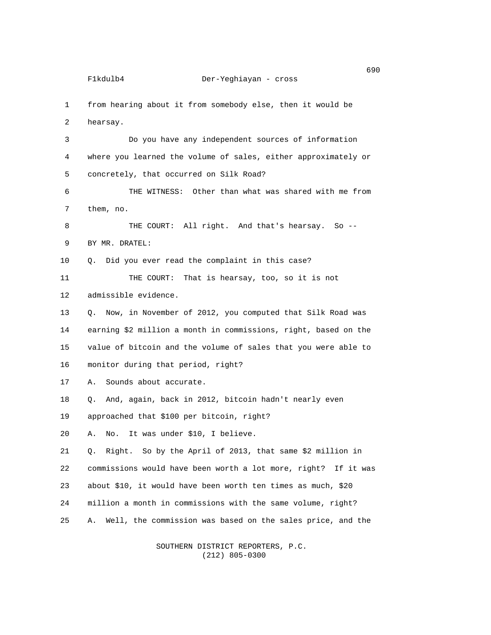1 from hearing about it from somebody else, then it would be 2 hearsay. 3 Do you have any independent sources of information 4 where you learned the volume of sales, either approximately or 5 concretely, that occurred on Silk Road? 6 THE WITNESS: Other than what was shared with me from 7 them, no. 8 THE COURT: All right. And that's hearsay. So -- 9 BY MR. DRATEL: 10 Q. Did you ever read the complaint in this case? 11 THE COURT: That is hearsay, too, so it is not 12 admissible evidence. 13 Q. Now, in November of 2012, you computed that Silk Road was 14 earning \$2 million a month in commissions, right, based on the 15 value of bitcoin and the volume of sales that you were able to 16 monitor during that period, right? 17 A. Sounds about accurate. 18 Q. And, again, back in 2012, bitcoin hadn't nearly even 19 approached that \$100 per bitcoin, right? 20 A. No. It was under \$10, I believe. 21 Q. Right. So by the April of 2013, that same \$2 million in 22 commissions would have been worth a lot more, right? If it was 23 about \$10, it would have been worth ten times as much, \$20 24 million a month in commissions with the same volume, right? 25 A. Well, the commission was based on the sales price, and the

> SOUTHERN DISTRICT REPORTERS, P.C. (212) 805-0300

en de la construction de la construction de la construction de la construction de la construction de la constr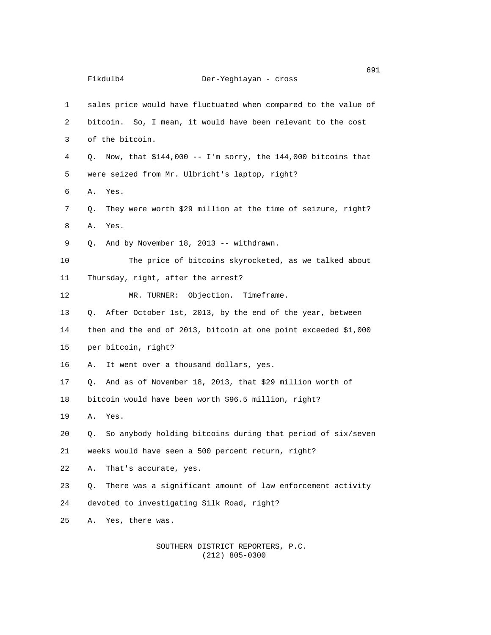|  | F1kdulb4 |  |
|--|----------|--|
|--|----------|--|

## Der-Yeghiayan - cross

1 sales price would have fluctuated when compared to the value of 2 bitcoin. So, I mean, it would have been relevant to the cost 3 of the bitcoin. 4 Q. Now, that \$144,000 -- I'm sorry, the 144,000 bitcoins that 5 were seized from Mr. Ulbricht's laptop, right? 6 A. Yes. 7 Q. They were worth \$29 million at the time of seizure, right? 8 A. Yes. 9 Q. And by November 18, 2013 -- withdrawn. 10 The price of bitcoins skyrocketed, as we talked about 11 Thursday, right, after the arrest? 12 MR. TURNER: Objection. Timeframe. 13 Q. After October 1st, 2013, by the end of the year, between 14 then and the end of 2013, bitcoin at one point exceeded \$1,000 15 per bitcoin, right? 16 A. It went over a thousand dollars, yes. 17 Q. And as of November 18, 2013, that \$29 million worth of 18 bitcoin would have been worth \$96.5 million, right? 19 A. Yes. 20 Q. So anybody holding bitcoins during that period of six/seven 21 weeks would have seen a 500 percent return, right? 22 A. That's accurate, yes. 23 Q. There was a significant amount of law enforcement activity 24 devoted to investigating Silk Road, right? 25 A. Yes, there was.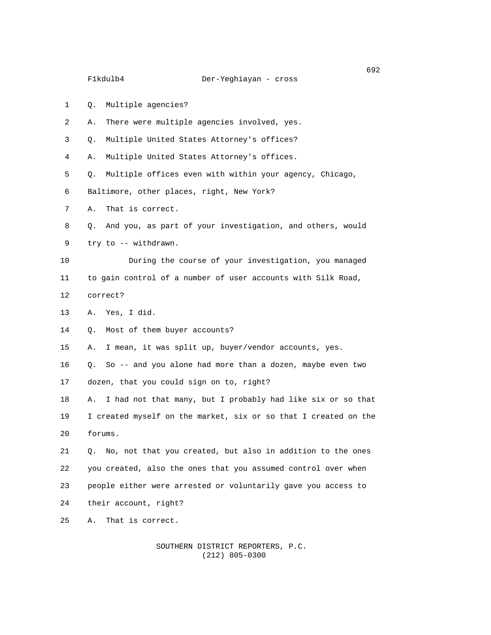1 Q. Multiple agencies? 2 A. There were multiple agencies involved, yes. 3 Q. Multiple United States Attorney's offices? 4 A. Multiple United States Attorney's offices. 5 Q. Multiple offices even with within your agency, Chicago, 6 Baltimore, other places, right, New York? 7 A. That is correct. 8 Q. And you, as part of your investigation, and others, would 9 try to -- withdrawn. 10 During the course of your investigation, you managed 11 to gain control of a number of user accounts with Silk Road, 12 correct? 13 A. Yes, I did. 14 Q. Most of them buyer accounts? 15 A. I mean, it was split up, buyer/vendor accounts, yes. 16 Q. So -- and you alone had more than a dozen, maybe even two 17 dozen, that you could sign on to, right? 18 A. I had not that many, but I probably had like six or so that 19 I created myself on the market, six or so that I created on the 20 forums. 21 Q. No, not that you created, but also in addition to the ones 22 you created, also the ones that you assumed control over when 23 people either were arrested or voluntarily gave you access to 24 their account, right? 25 A. That is correct.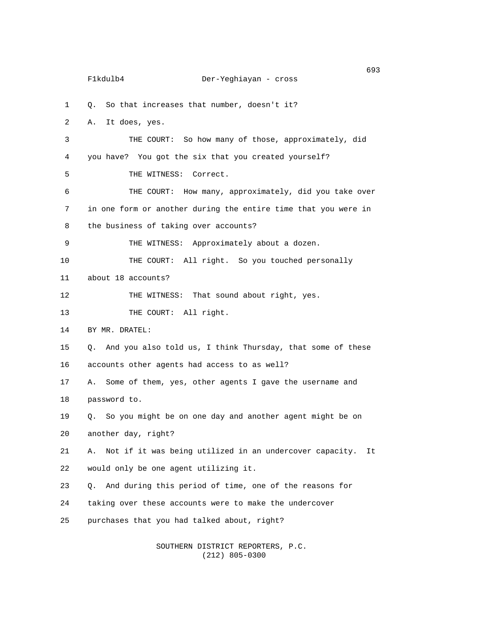estados de 1993, en 1993, en 1993, en 1993, en 1993, en 1993, en 1993, en 1993, en 1993, en 1993, en 1993, en F1kdulb4 Der-Yeghiayan - cross 1 Q. So that increases that number, doesn't it? 2 A. It does, yes. 3 THE COURT: So how many of those, approximately, did 4 you have? You got the six that you created yourself? 5 THE WITNESS: Correct. 6 THE COURT: How many, approximately, did you take over 7 in one form or another during the entire time that you were in 8 the business of taking over accounts? 9 THE WITNESS: Approximately about a dozen. 10 THE COURT: All right. So you touched personally 11 about 18 accounts? 12 THE WITNESS: That sound about right, yes. 13 THE COURT: All right. 14 BY MR. DRATEL: 15 Q. And you also told us, I think Thursday, that some of these 16 accounts other agents had access to as well? 17 A. Some of them, yes, other agents I gave the username and 18 password to. 19 Q. So you might be on one day and another agent might be on 20 another day, right? 21 A. Not if it was being utilized in an undercover capacity. It 22 would only be one agent utilizing it. 23 Q. And during this period of time, one of the reasons for 24 taking over these accounts were to make the undercover 25 purchases that you had talked about, right?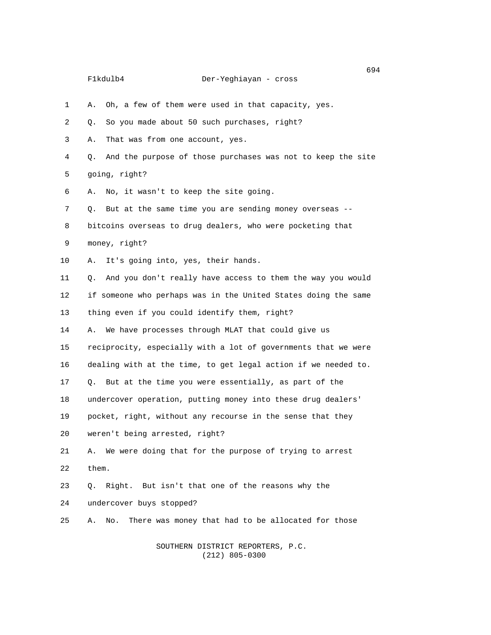1 A. Oh, a few of them were used in that capacity, yes. 2 Q. So you made about 50 such purchases, right? 3 A. That was from one account, yes. 4 Q. And the purpose of those purchases was not to keep the site 5 going, right? 6 A. No, it wasn't to keep the site going. 7 Q. But at the same time you are sending money overseas -- 8 bitcoins overseas to drug dealers, who were pocketing that 9 money, right? 10 A. It's going into, yes, their hands. 11 Q. And you don't really have access to them the way you would 12 if someone who perhaps was in the United States doing the same 13 thing even if you could identify them, right? 14 A. We have processes through MLAT that could give us 15 reciprocity, especially with a lot of governments that we were 16 dealing with at the time, to get legal action if we needed to. 17 Q. But at the time you were essentially, as part of the 18 undercover operation, putting money into these drug dealers' 19 pocket, right, without any recourse in the sense that they 20 weren't being arrested, right? 21 A. We were doing that for the purpose of trying to arrest 22 them. 23 Q. Right. But isn't that one of the reasons why the 24 undercover buys stopped? 25 A. No. There was money that had to be allocated for those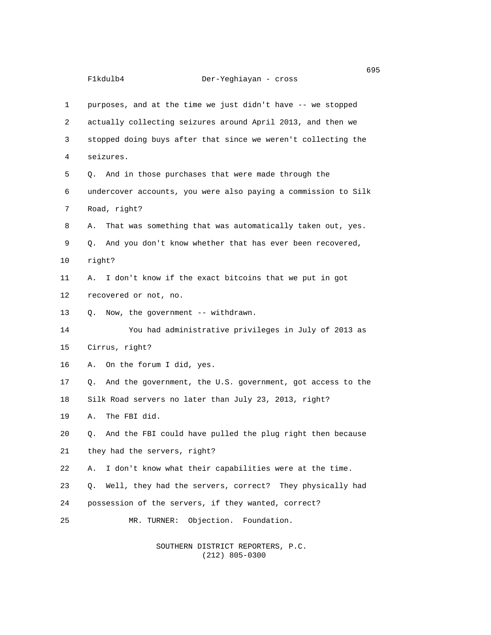| 1              | purposes, and at the time we just didn't have -- we stopped      |  |  |
|----------------|------------------------------------------------------------------|--|--|
| $\overline{2}$ | actually collecting seizures around April 2013, and then we      |  |  |
| 3              | stopped doing buys after that since we weren't collecting the    |  |  |
| 4              | seizures.                                                        |  |  |
| 5              | Q. And in those purchases that were made through the             |  |  |
| 6              | undercover accounts, you were also paying a commission to Silk   |  |  |
| 7              | Road, right?                                                     |  |  |
| 8              | That was something that was automatically taken out, yes.<br>А.  |  |  |
| 9              | Q. And you don't know whether that has ever been recovered,      |  |  |
| 10             | right?                                                           |  |  |
| 11             | A. I don't know if the exact bitcoins that we put in got         |  |  |
| 12             | recovered or not, no.                                            |  |  |
| 13             | Now, the government -- withdrawn.<br>0.                          |  |  |
| 14             | You had administrative privileges in July of 2013 as             |  |  |
| 15             | Cirrus, right?                                                   |  |  |
| 16             | On the forum I did, yes.<br>А.                                   |  |  |
| 17             | And the government, the U.S. government, got access to the<br>0. |  |  |
| 18             | Silk Road servers no later than July 23, 2013, right?            |  |  |
| 19             | The FBI did.<br>Α.                                               |  |  |
| 20             | Q. And the FBI could have pulled the plug right then because     |  |  |
| 21             | they had the servers, right?                                     |  |  |
| 22             | I don't know what their capabilities were at the time.<br>Α.     |  |  |
| 23             | Well, they had the servers, correct? They physically had<br>Q.   |  |  |
| 24             | possession of the servers, if they wanted, correct?              |  |  |
| 25             | Objection. Foundation.<br>MR. TURNER:                            |  |  |
|                |                                                                  |  |  |
|                |                                                                  |  |  |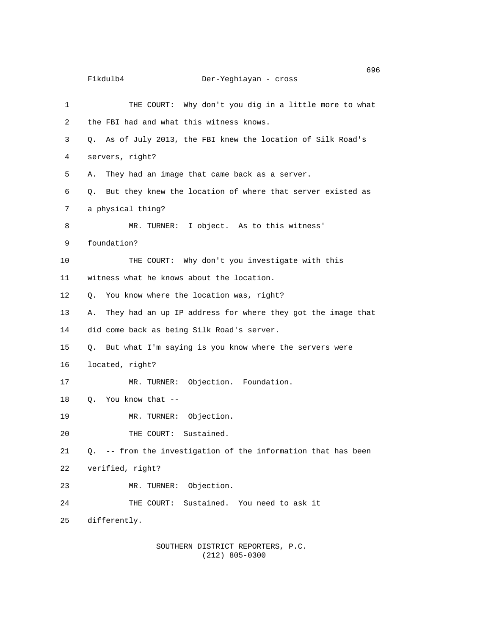| 1              | THE COURT: Why don't you dig in a little more to what             |
|----------------|-------------------------------------------------------------------|
| $\overline{2}$ | the FBI had and what this witness knows.                          |
| 3              | Q. As of July 2013, the FBI knew the location of Silk Road's      |
| 4              | servers, right?                                                   |
| 5              | They had an image that came back as a server.<br>А.               |
| 6              | Q. But they knew the location of where that server existed as     |
| $\overline{7}$ | a physical thing?                                                 |
| 8              | MR. TURNER: I object. As to this witness'                         |
| 9              | foundation?                                                       |
| 10             | THE COURT: Why don't you investigate with this                    |
| 11             | witness what he knows about the location.                         |
| 12             | Q. You know where the location was, right?                        |
| 13             | They had an up IP address for where they got the image that<br>А. |
| 14             | did come back as being Silk Road's server.                        |
| 15             | Q. But what I'm saying is you know where the servers were         |
| 16             | located, right?                                                   |
| 17             | MR. TURNER: Objection. Foundation.                                |
| 18             | You know that --<br>Q.                                            |
| 19             | MR. TURNER: Objection.                                            |
| 20             | THE COURT: Sustained.                                             |
| 21             | -- from the investigation of the information that has been<br>Q.  |
| 22             | verified, right?                                                  |
| 23             | Objection.<br>MR. TURNER:                                         |
| 24             | Sustained. You need to ask it<br>THE COURT:                       |
| 25             | differently.                                                      |
|                |                                                                   |

 SOUTHERN DISTRICT REPORTERS, P.C. (212) 805-0300

en de la construction de la construction de la construction de la construction de la construction de la constr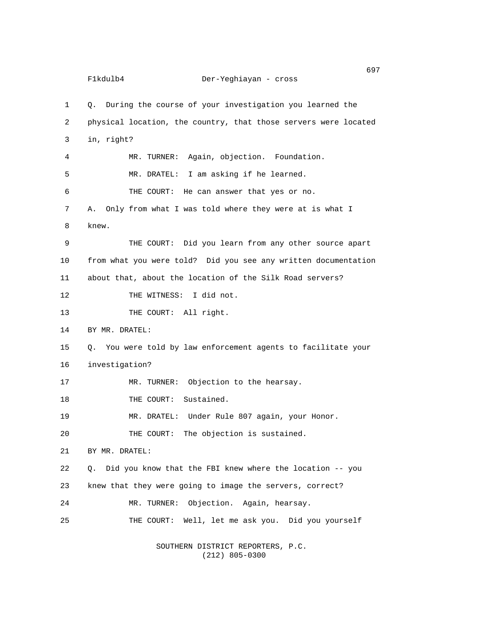F1kdulb4 Der-Yeghiayan - cross 1 Q. During the course of your investigation you learned the 2 physical location, the country, that those servers were located 3 in, right? 4 MR. TURNER: Again, objection. Foundation. 5 MR. DRATEL: I am asking if he learned. 6 THE COURT: He can answer that yes or no. 7 A. Only from what I was told where they were at is what I 8 knew. 9 THE COURT: Did you learn from any other source apart 10 from what you were told? Did you see any written documentation 11 about that, about the location of the Silk Road servers? 12 THE WITNESS: I did not. 13 THE COURT: All right. 14 BY MR. DRATEL: 15 Q. You were told by law enforcement agents to facilitate your 16 investigation? 17 MR. TURNER: Objection to the hearsay. 18 THE COURT: Sustained. 19 MR. DRATEL: Under Rule 807 again, your Honor. 20 THE COURT: The objection is sustained. 21 BY MR. DRATEL: 22 Q. Did you know that the FBI knew where the location -- you 23 knew that they were going to image the servers, correct? 24 MR. TURNER: Objection. Again, hearsay. 25 THE COURT: Well, let me ask you. Did you yourself

> SOUTHERN DISTRICT REPORTERS, P.C. (212) 805-0300

en de la construction de la construction de la construction de la construction de la construction de la construction de la construction de la construction de la construction de la construction de la construction de la cons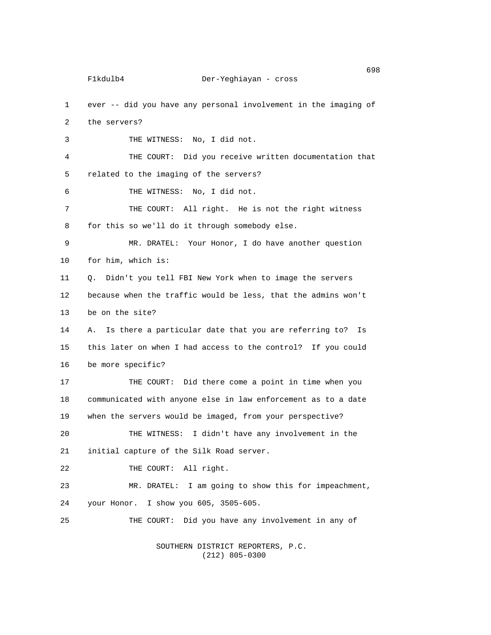1 ever -- did you have any personal involvement in the imaging of 2 the servers? 3 THE WITNESS: No, I did not. 4 THE COURT: Did you receive written documentation that 5 related to the imaging of the servers? 6 THE WITNESS: No, I did not. 7 THE COURT: All right. He is not the right witness 8 for this so we'll do it through somebody else. 9 MR. DRATEL: Your Honor, I do have another question 10 for him, which is: 11 Q. Didn't you tell FBI New York when to image the servers 12 because when the traffic would be less, that the admins won't 13 be on the site? 14 A. Is there a particular date that you are referring to? Is 15 this later on when I had access to the control? If you could 16 be more specific? 17 THE COURT: Did there come a point in time when you 18 communicated with anyone else in law enforcement as to a date 19 when the servers would be imaged, from your perspective? 20 THE WITNESS: I didn't have any involvement in the 21 initial capture of the Silk Road server. 22 THE COURT: All right. 23 MR. DRATEL: I am going to show this for impeachment, 24 your Honor. I show you 605, 3505-605. 25 THE COURT: Did you have any involvement in any of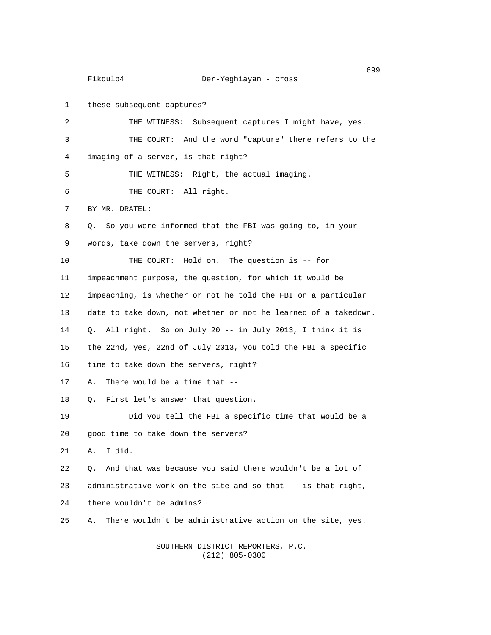1 these subsequent captures? 2 THE WITNESS: Subsequent captures I might have, yes. 3 THE COURT: And the word "capture" there refers to the 4 imaging of a server, is that right? 5 THE WITNESS: Right, the actual imaging. 6 THE COURT: All right. 7 BY MR. DRATEL: 8 Q. So you were informed that the FBI was going to, in your 9 words, take down the servers, right? 10 THE COURT: Hold on. The question is -- for 11 impeachment purpose, the question, for which it would be 12 impeaching, is whether or not he told the FBI on a particular 13 date to take down, not whether or not he learned of a takedown. 14 Q. All right. So on July 20 -- in July 2013, I think it is 15 the 22nd, yes, 22nd of July 2013, you told the FBI a specific 16 time to take down the servers, right? 17 A. There would be a time that -- 18 Q. First let's answer that question. 19 Did you tell the FBI a specific time that would be a 20 good time to take down the servers? 21 A. I did. 22 Q. And that was because you said there wouldn't be a lot of 23 administrative work on the site and so that -- is that right, 24 there wouldn't be admins? 25 A. There wouldn't be administrative action on the site, yes.

> SOUTHERN DISTRICT REPORTERS, P.C. (212) 805-0300

699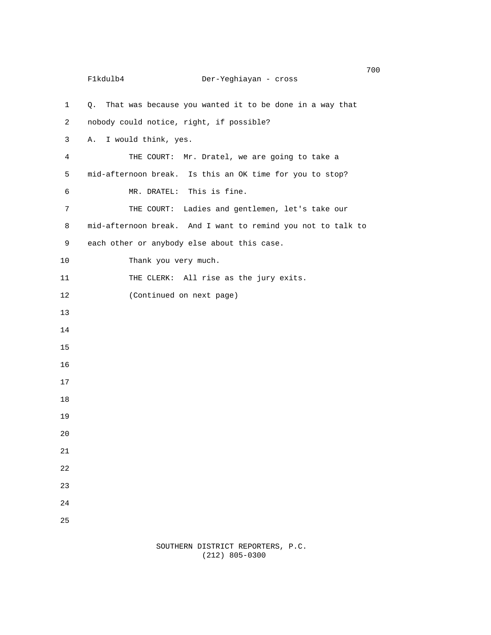```
na matangang kalendarya sa kasang sa mga 1900 na mga 1900 na mga 1900 na mga 1900 na mga 1900 na mga 1900 na m
      F1kdulb4 Der-Yeghiayan - cross
1 Q. That was because you wanted it to be done in a way that
 2 nobody could notice, right, if possible?
 3 A. I would think, yes.
 4 THE COURT: Mr. Dratel, we are going to take a
5 mid-afternoon break. Is this an OK time for you to stop?
6 MR. DRATEL: This is fine.
7 THE COURT: Ladies and gentlemen, let's take our
8 mid-afternoon break. And I want to remind you not to talk to
9 each other or anybody else about this case.
10 Thank you very much.
11 THE CLERK: All rise as the jury exits.
12 (Continued on next page)
13
14
15
16
17
18
19
20
21
22
23
24
25
```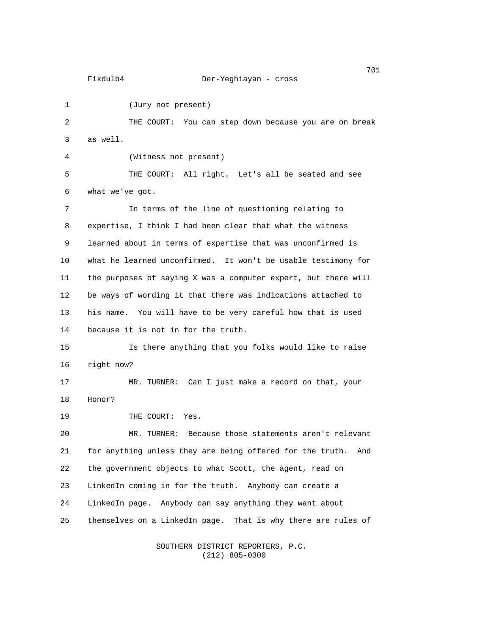1 (Jury not present) 2 THE COURT: You can step down because you are on break 3 as well. 4 (Witness not present) 5 THE COURT: All right. Let's all be seated and see 6 what we've got. 7 In terms of the line of questioning relating to 8 expertise, I think I had been clear that what the witness 9 learned about in terms of expertise that was unconfirmed is 10 what he learned unconfirmed. It won't be usable testimony for 11 the purposes of saying X was a computer expert, but there will 12 be ways of wording it that there was indications attached to 13 his name. You will have to be very careful how that is used 14 because it is not in for the truth. 15 Is there anything that you folks would like to raise 16 right now? 17 MR. TURNER: Can I just make a record on that, your 18 Honor? 19 THE COURT: Yes. 20 MR. TURNER: Because those statements aren't relevant 21 for anything unless they are being offered for the truth. And 22 the government objects to what Scott, the agent, read on 23 LinkedIn coming in for the truth. Anybody can create a 24 LinkedIn page. Anybody can say anything they want about 25 themselves on a LinkedIn page. That is why there are rules of

> SOUTHERN DISTRICT REPORTERS, P.C. (212) 805-0300

na matsay na katalog as na katalog as na katalog as na katalog as na katalog as na katalog as na katalog as na<br>Talaman na katalog as na katalog as na katalog as na katalog as na katalog as na katalog as na katalog as na k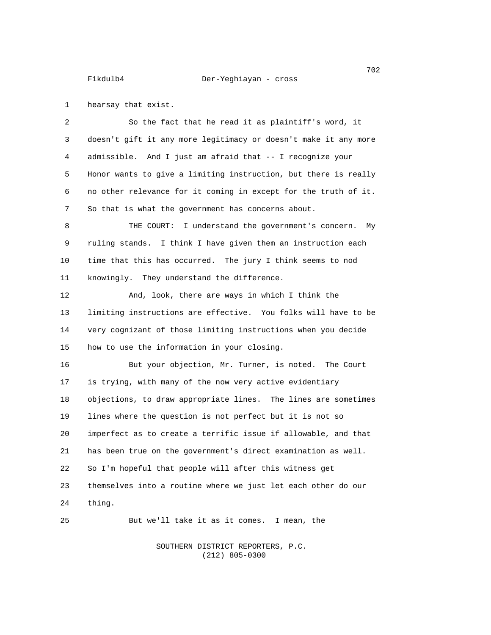1 hearsay that exist.

2 So the fact that he read it as plaintiff's word, it 3 doesn't gift it any more legitimacy or doesn't make it any more 4 admissible. And I just am afraid that -- I recognize your 5 Honor wants to give a limiting instruction, but there is really 6 no other relevance for it coming in except for the truth of it. 7 So that is what the government has concerns about.

8 THE COURT: I understand the government's concern. My 9 ruling stands. I think I have given them an instruction each 10 time that this has occurred. The jury I think seems to nod 11 knowingly. They understand the difference.

12 And, look, there are ways in which I think the 13 limiting instructions are effective. You folks will have to be 14 very cognizant of those limiting instructions when you decide 15 how to use the information in your closing.

16 But your objection, Mr. Turner, is noted. The Court 17 is trying, with many of the now very active evidentiary 18 objections, to draw appropriate lines. The lines are sometimes 19 lines where the question is not perfect but it is not so 20 imperfect as to create a terrific issue if allowable, and that 21 has been true on the government's direct examination as well. 22 So I'm hopeful that people will after this witness get 23 themselves into a routine where we just let each other do our 24 thing.

25 But we'll take it as it comes. I mean, the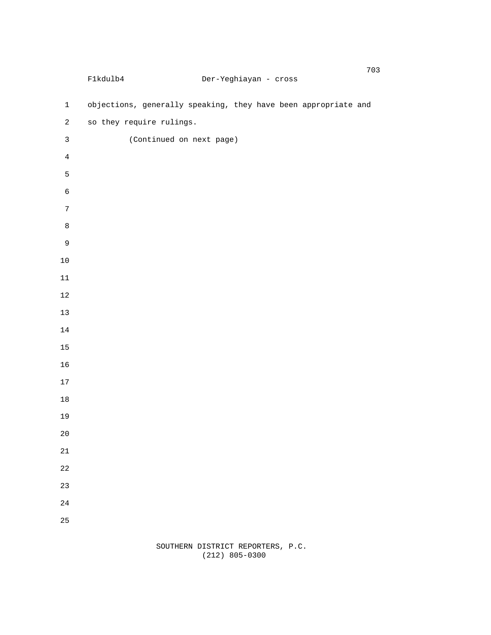|                         | F1kdulb4                                                       | Der-Yeghiayan - cross |  |  |
|-------------------------|----------------------------------------------------------------|-----------------------|--|--|
| $\mathbf 1$             | objections, generally speaking, they have been appropriate and |                       |  |  |
| $\overline{c}$          | so they require rulings.                                       |                       |  |  |
| $\mathbf{3}$            | (Continued on next page)                                       |                       |  |  |
| $\overline{\mathbf{4}}$ |                                                                |                       |  |  |
| 5                       |                                                                |                       |  |  |
| $\,6$                   |                                                                |                       |  |  |
| $\boldsymbol{7}$        |                                                                |                       |  |  |
| 8                       |                                                                |                       |  |  |
| 9                       |                                                                |                       |  |  |
| 10                      |                                                                |                       |  |  |
| 11                      |                                                                |                       |  |  |
| 12                      |                                                                |                       |  |  |
| 13                      |                                                                |                       |  |  |
| 14                      |                                                                |                       |  |  |
| 15                      |                                                                |                       |  |  |
| 16                      |                                                                |                       |  |  |
| 17                      |                                                                |                       |  |  |
| 18                      |                                                                |                       |  |  |
| 19                      |                                                                |                       |  |  |
| $20$                    |                                                                |                       |  |  |
| 21                      |                                                                |                       |  |  |
| 22                      |                                                                |                       |  |  |
| 23                      |                                                                |                       |  |  |
| 24                      |                                                                |                       |  |  |
| 25                      |                                                                |                       |  |  |
|                         |                                                                |                       |  |  |

## SOUTHERN DISTRICT REPORTERS, P.C. (212) 805-0300

na matangang kalendarya sa kasang taon ng mga 1938. Ang kasang pag-agamatay ng mga 1938 na mga 1933 na mga 193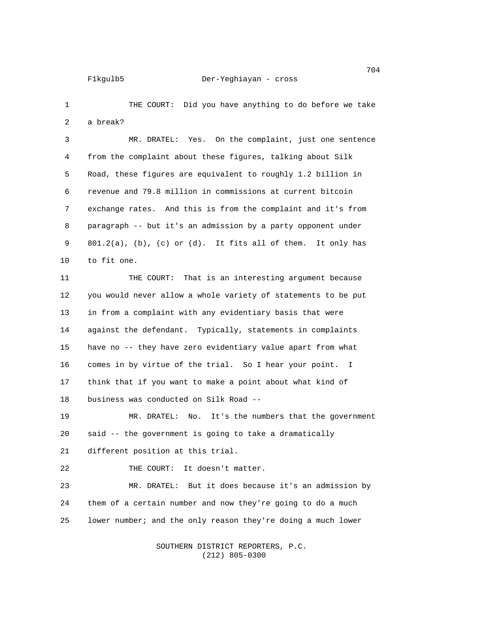1 THE COURT: Did you have anything to do before we take 2 a break?

3 MR. DRATEL: Yes. On the complaint, just one sentence 4 from the complaint about these figures, talking about Silk 5 Road, these figures are equivalent to roughly 1.2 billion in 6 revenue and 79.8 million in commissions at current bitcoin 7 exchange rates. And this is from the complaint and it's from 8 paragraph -- but it's an admission by a party opponent under 9 801.2(a), (b), (c) or (d). It fits all of them. It only has 10 to fit one.

11 THE COURT: That is an interesting argument because 12 you would never allow a whole variety of statements to be put 13 in from a complaint with any evidentiary basis that were 14 against the defendant. Typically, statements in complaints 15 have no -- they have zero evidentiary value apart from what 16 comes in by virtue of the trial. So I hear your point. I 17 think that if you want to make a point about what kind of 18 business was conducted on Silk Road --

19 MR. DRATEL: No. It's the numbers that the government 20 said -- the government is going to take a dramatically 21 different position at this trial.

22 THE COURT: It doesn't matter. 23 MR. DRATEL: But it does because it's an admission by 24 them of a certain number and now they're going to do a much

25 lower number; and the only reason they're doing a much lower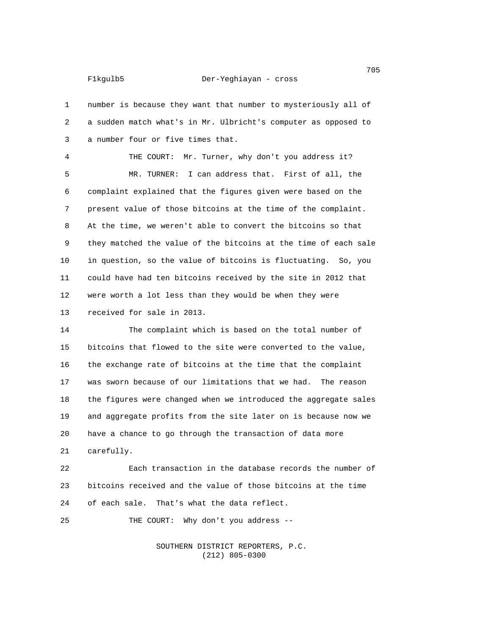1 number is because they want that number to mysteriously all of 2 a sudden match what's in Mr. Ulbricht's computer as opposed to 3 a number four or five times that.

4 THE COURT: Mr. Turner, why don't you address it? 5 MR. TURNER: I can address that. First of all, the 6 complaint explained that the figures given were based on the 7 present value of those bitcoins at the time of the complaint. 8 At the time, we weren't able to convert the bitcoins so that 9 they matched the value of the bitcoins at the time of each sale 10 in question, so the value of bitcoins is fluctuating. So, you 11 could have had ten bitcoins received by the site in 2012 that 12 were worth a lot less than they would be when they were 13 received for sale in 2013.

14 The complaint which is based on the total number of 15 bitcoins that flowed to the site were converted to the value, 16 the exchange rate of bitcoins at the time that the complaint 17 was sworn because of our limitations that we had. The reason 18 the figures were changed when we introduced the aggregate sales 19 and aggregate profits from the site later on is because now we 20 have a chance to go through the transaction of data more 21 carefully.

22 Each transaction in the database records the number of 23 bitcoins received and the value of those bitcoins at the time 24 of each sale. That's what the data reflect.

25 THE COURT: Why don't you address --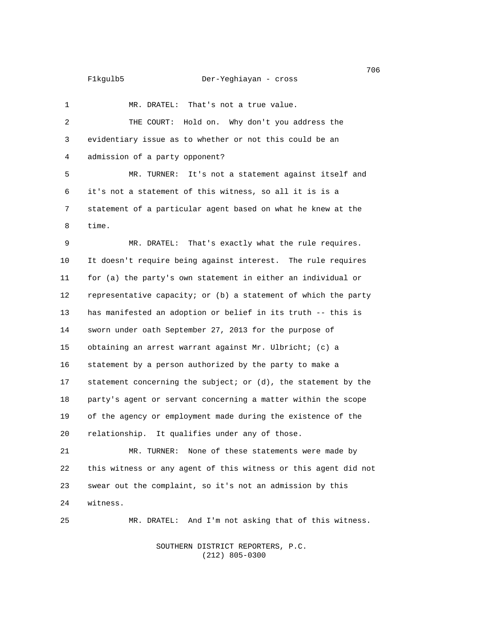1 MR. DRATEL: That's not a true value. 2 THE COURT: Hold on. Why don't you address the 3 evidentiary issue as to whether or not this could be an 4 admission of a party opponent? 5 MR. TURNER: It's not a statement against itself and 6 it's not a statement of this witness, so all it is is a 7 statement of a particular agent based on what he knew at the 8 time. 9 MR. DRATEL: That's exactly what the rule requires. 10 It doesn't require being against interest. The rule requires 11 for (a) the party's own statement in either an individual or 12 representative capacity; or (b) a statement of which the party 13 has manifested an adoption or belief in its truth -- this is 14 sworn under oath September 27, 2013 for the purpose of 15 obtaining an arrest warrant against Mr. Ulbricht; (c) a 16 statement by a person authorized by the party to make a 17 statement concerning the subject; or (d), the statement by the 18 party's agent or servant concerning a matter within the scope 19 of the agency or employment made during the existence of the 20 relationship. It qualifies under any of those. 21 MR. TURNER: None of these statements were made by 22 this witness or any agent of this witness or this agent did not 23 swear out the complaint, so it's not an admission by this

24 witness.

25 MR. DRATEL: And I'm not asking that of this witness.

 SOUTHERN DISTRICT REPORTERS, P.C. (212) 805-0300

na matsayan na katalog as na karang sa mga 1968. Ang isang mga 1968 na mga 1968 na mga 1968 na mga 1968 na mga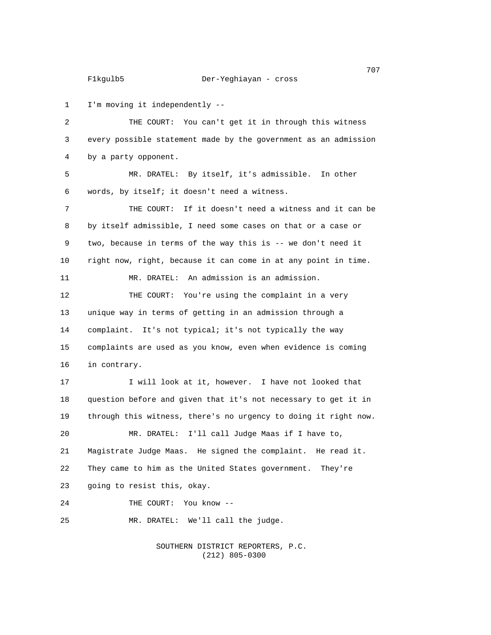1 I'm moving it independently --

2 THE COURT: You can't get it in through this witness 3 every possible statement made by the government as an admission 4 by a party opponent. 5 MR. DRATEL: By itself, it's admissible. In other 6 words, by itself; it doesn't need a witness. 7 THE COURT: If it doesn't need a witness and it can be 8 by itself admissible, I need some cases on that or a case or 9 two, because in terms of the way this is -- we don't need it

10 right now, right, because it can come in at any point in time. 11 MR. DRATEL: An admission is an admission.

12 THE COURT: You're using the complaint in a very 13 unique way in terms of getting in an admission through a 14 complaint. It's not typical; it's not typically the way 15 complaints are used as you know, even when evidence is coming 16 in contrary.

17 I will look at it, however. I have not looked that 18 question before and given that it's not necessary to get it in 19 through this witness, there's no urgency to doing it right now. 20 MR. DRATEL: I'll call Judge Maas if I have to, 21 Magistrate Judge Maas. He signed the complaint. He read it. 22 They came to him as the United States government. They're 23 going to resist this, okay.

24 THE COURT: You know --

25 MR. DRATEL: We'll call the judge.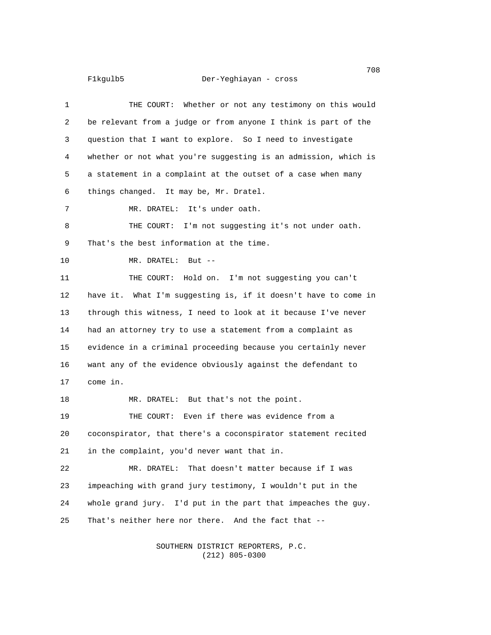| 1  | THE COURT: Whether or not any testimony on this would           |
|----|-----------------------------------------------------------------|
| 2  | be relevant from a judge or from anyone I think is part of the  |
| 3  | question that I want to explore. So I need to investigate       |
| 4  | whether or not what you're suggesting is an admission, which is |
| 5  | a statement in a complaint at the outset of a case when many    |
| 6  | things changed. It may be, Mr. Dratel.                          |
| 7  | MR. DRATEL: It's under oath.                                    |
| 8  | THE COURT: I'm not suggesting it's not under oath.              |
| 9  | That's the best information at the time.                        |
| 10 | MR. DRATEL:<br>But --                                           |
| 11 | THE COURT: Hold on. I'm not suggesting you can't                |
| 12 | have it. What I'm suggesting is, if it doesn't have to come in  |
| 13 | through this witness, I need to look at it because I've never   |
| 14 | had an attorney try to use a statement from a complaint as      |
| 15 | evidence in a criminal proceeding because you certainly never   |
| 16 | want any of the evidence obviously against the defendant to     |
| 17 | come in.                                                        |
| 18 | MR. DRATEL: But that's not the point.                           |
| 19 | THE COURT: Even if there was evidence from a                    |
| 20 | coconspirator, that there's a coconspirator statement recited   |
| 21 | in the complaint, you'd never want that in.                     |
| 22 | MR. DRATEL: That doesn't matter because if I was                |
| 23 | impeaching with grand jury testimony, I wouldn't put in the     |
| 24 | whole grand jury. I'd put in the part that impeaches the guy.   |
| 25 | That's neither here nor there. And the fact that --             |
|    |                                                                 |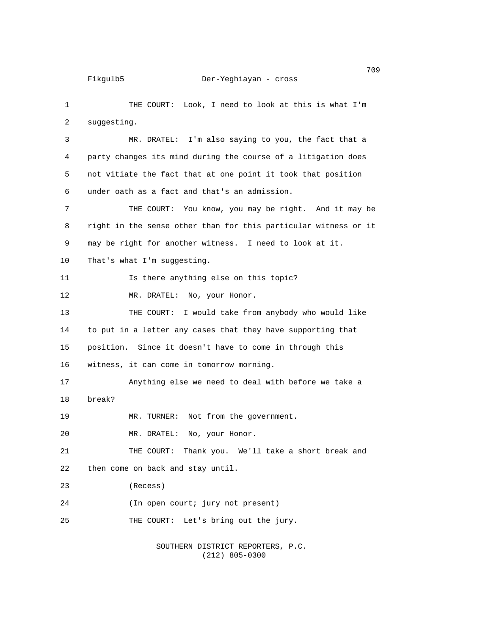1 THE COURT: Look, I need to look at this is what I'm 2 suggesting. 3 MR. DRATEL: I'm also saying to you, the fact that a 4 party changes its mind during the course of a litigation does 5 not vitiate the fact that at one point it took that position 6 under oath as a fact and that's an admission. 7 THE COURT: You know, you may be right. And it may be 8 right in the sense other than for this particular witness or it 9 may be right for another witness. I need to look at it. 10 That's what I'm suggesting. 11 **Is there anything else on this topic?** 12 MR. DRATEL: No, your Honor. 13 THE COURT: I would take from anybody who would like 14 to put in a letter any cases that they have supporting that 15 position. Since it doesn't have to come in through this 16 witness, it can come in tomorrow morning. 17 Anything else we need to deal with before we take a 18 break? 19 MR. TURNER: Not from the government. 20 MR. DRATEL: No, your Honor. 21 THE COURT: Thank you. We'll take a short break and 22 then come on back and stay until. 23 (Recess) 24 (In open court; jury not present) 25 THE COURT: Let's bring out the jury.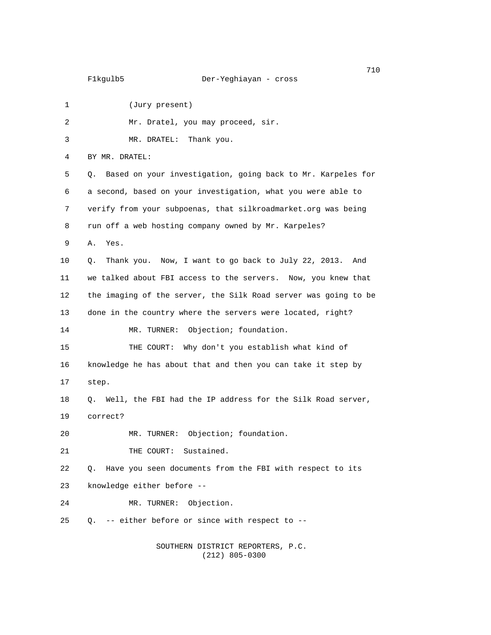| 1              | (Jury present)                                                    |
|----------------|-------------------------------------------------------------------|
| 2              | Mr. Dratel, you may proceed, sir.                                 |
| 3              | MR. DRATEL: Thank you.                                            |
| 4              | BY MR. DRATEL:                                                    |
| 5              | Based on your investigation, going back to Mr. Karpeles for<br>Q. |
| 6              | a second, based on your investigation, what you were able to      |
| $\overline{7}$ | verify from your subpoenas, that silkroadmarket.org was being     |
| 8              | run off a web hosting company owned by Mr. Karpeles?              |
| 9              | Yes.<br>А.                                                        |
| 10             | Thank you. Now, I want to go back to July 22, 2013. And<br>Q.     |
| 11             | we talked about FBI access to the servers. Now, you knew that     |
| 12             | the imaging of the server, the Silk Road server was going to be   |
| 13             | done in the country where the servers were located, right?        |
| 14             | MR. TURNER: Objection; foundation.                                |
| 15             | THE COURT: Why don't you establish what kind of                   |
| 16             | knowledge he has about that and then you can take it step by      |
| 17             | step.                                                             |
| 18             | Q. Well, the FBI had the IP address for the Silk Road server,     |
| 19             | correct?                                                          |
| 20             | MR. TURNER: Objection; foundation.                                |
| 21             | THE COURT: Sustained.                                             |
| 22             | Have you seen documents from the FBI with respect to its<br>Q.    |
| 23             | knowledge either before --                                        |
| 24             | MR. TURNER: Objection.                                            |
| 25             | Q. -- either before or since with respect to --                   |
|                | SOUTHERN DISTRICT REPORTERS, P.C.                                 |

 $(212)$  805-0300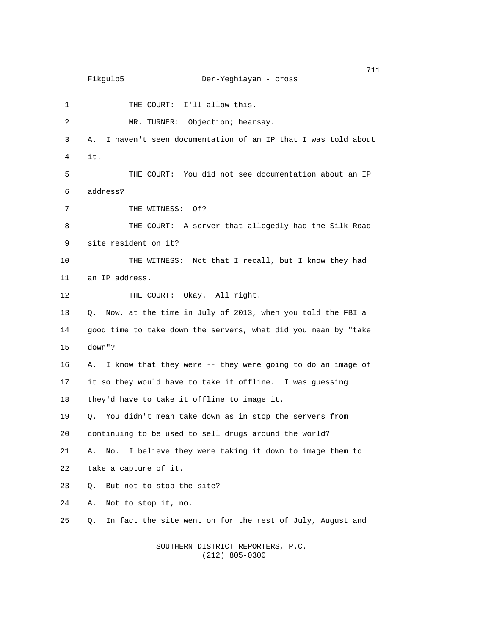1 THE COURT: I'll allow this. 2 MR. TURNER: Objection; hearsay. 3 A. I haven't seen documentation of an IP that I was told about 4 it. 5 THE COURT: You did not see documentation about an IP 6 address? 7 THE WITNESS: Of? 8 THE COURT: A server that allegedly had the Silk Road 9 site resident on it? 10 THE WITNESS: Not that I recall, but I know they had 11 an IP address. 12 THE COURT: Okay. All right. 13 Q. Now, at the time in July of 2013, when you told the FBI a 14 good time to take down the servers, what did you mean by "take 15 down"? 16 A. I know that they were -- they were going to do an image of 17 it so they would have to take it offline. I was guessing 18 they'd have to take it offline to image it. 19 Q. You didn't mean take down as in stop the servers from 20 continuing to be used to sell drugs around the world? 21 A. No. I believe they were taking it down to image them to 22 take a capture of it. 23 Q. But not to stop the site? 24 A. Not to stop it, no. 25 Q. In fact the site went on for the rest of July, August and

## SOUTHERN DISTRICT REPORTERS, P.C. (212) 805-0300

<u>711</u>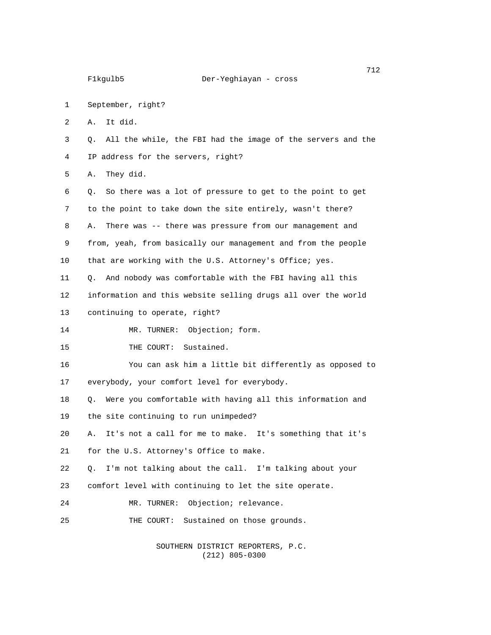1 September, right?

2 A. It did.

3 Q. All the while, the FBI had the image of the servers and the 4 IP address for the servers, right?

5 A. They did.

6 Q. So there was a lot of pressure to get to the point to get 7 to the point to take down the site entirely, wasn't there? 8 A. There was -- there was pressure from our management and 9 from, yeah, from basically our management and from the people 10 that are working with the U.S. Attorney's Office; yes. 11 Q. And nobody was comfortable with the FBI having all this 12 information and this website selling drugs all over the world 13 continuing to operate, right? 14 MR. TURNER: Objection; form. 15 THE COURT: Sustained. 16 You can ask him a little bit differently as opposed to 17 everybody, your comfort level for everybody. 18 Q. Were you comfortable with having all this information and 19 the site continuing to run unimpeded? 20 A. It's not a call for me to make. It's something that it's 21 for the U.S. Attorney's Office to make. 22 Q. I'm not talking about the call. I'm talking about your 23 comfort level with continuing to let the site operate.

24 MR. TURNER: Objection; relevance.

25 THE COURT: Sustained on those grounds.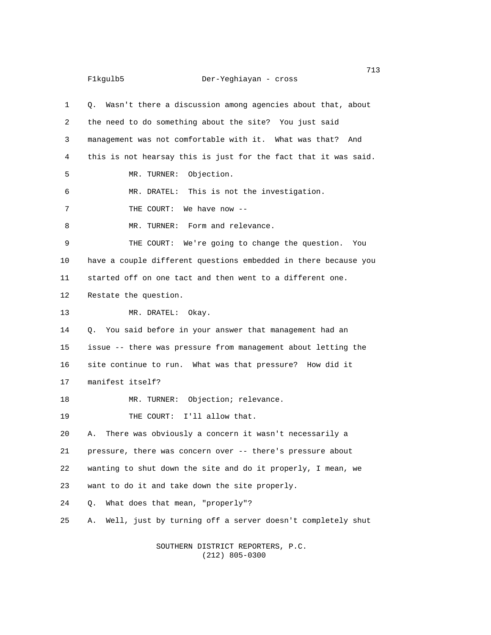1 Q. Wasn't there a discussion among agencies about that, about 2 the need to do something about the site? You just said 3 management was not comfortable with it. What was that? And 4 this is not hearsay this is just for the fact that it was said. 5 MR. TURNER: Objection. 6 MR. DRATEL: This is not the investigation. 7 THE COURT: We have now -- 8 MR. TURNER: Form and relevance. 9 THE COURT: We're going to change the question. You 10 have a couple different questions embedded in there because you 11 started off on one tact and then went to a different one. 12 Restate the question. 13 MR. DRATEL: Okay. 14 Q. You said before in your answer that management had an 15 issue -- there was pressure from management about letting the 16 site continue to run. What was that pressure? How did it 17 manifest itself? 18 MR. TURNER: Objection; relevance. 19 THE COURT: I'll allow that. 20 A. There was obviously a concern it wasn't necessarily a 21 pressure, there was concern over -- there's pressure about 22 wanting to shut down the site and do it properly, I mean, we 23 want to do it and take down the site properly. 24 Q. What does that mean, "properly"? 25 A. Well, just by turning off a server doesn't completely shut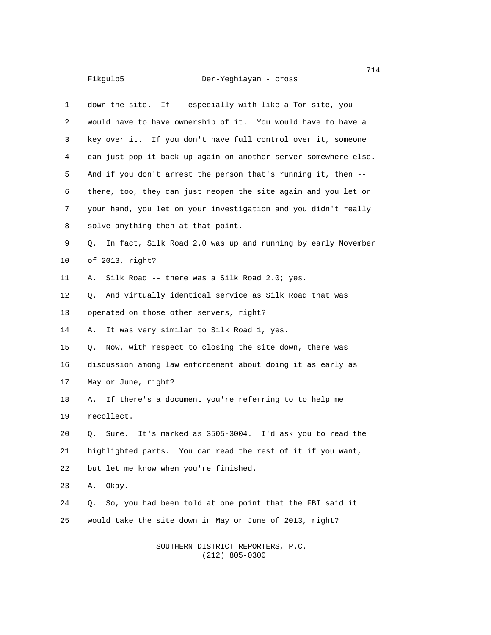| 1              | down the site. If -- especially with like a Tor site, you         |
|----------------|-------------------------------------------------------------------|
| $\overline{2}$ | would have to have ownership of it. You would have to have a      |
| 3              | key over it. If you don't have full control over it, someone      |
| 4              | can just pop it back up again on another server somewhere else.   |
| 5              | And if you don't arrest the person that's running it, then --     |
| 6              | there, too, they can just reopen the site again and you let on    |
| 7              | your hand, you let on your investigation and you didn't really    |
| 8              | solve anything then at that point.                                |
| 9              | In fact, Silk Road 2.0 was up and running by early November<br>Q. |
| 10             | of 2013, right?                                                   |
| 11             | Silk Road -- there was a Silk Road 2.0; yes.<br>А.                |
| 12             | And virtually identical service as Silk Road that was<br>О.       |
| 13             | operated on those other servers, right?                           |
| 14             | It was very similar to Silk Road 1, yes.<br>А.                    |
| 15             | Now, with respect to closing the site down, there was<br>Q.       |
| 16             | discussion among law enforcement about doing it as early as       |
| 17             | May or June, right?                                               |
| 18             | If there's a document you're referring to to help me<br>А.        |
| 19             | recollect.                                                        |
| 20             | It's marked as 3505-3004. I'd ask you to read the<br>Sure.<br>Q.  |
| 21             | highlighted parts. You can read the rest of it if you want,       |
| 22             | but let me know when you're finished.                             |
| 23             | Okay.<br>Α.                                                       |
| 24             | So, you had been told at one point that the FBI said it<br>О.     |
| 25             | would take the site down in May or June of 2013, right?           |
|                |                                                                   |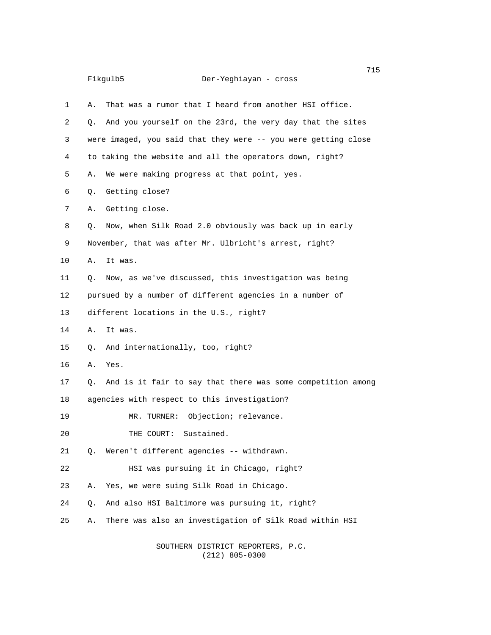| 1  | That was a rumor that I heard from another HSI office.<br>А.      |
|----|-------------------------------------------------------------------|
| 2  | And you yourself on the 23rd, the very day that the sites<br>Q.   |
| 3  | were imaged, you said that they were -- you were getting close    |
| 4  | to taking the website and all the operators down, right?          |
| 5  | We were making progress at that point, yes.<br>Α.                 |
| 6  | Getting close?<br>Q.                                              |
| 7  | Getting close.<br>А.                                              |
| 8  | Now, when Silk Road 2.0 obviously was back up in early<br>Q.      |
| 9  | November, that was after Mr. Ulbricht's arrest, right?            |
| 10 | А.<br>It was.                                                     |
| 11 | Now, as we've discussed, this investigation was being<br>Q.       |
| 12 | pursued by a number of different agencies in a number of          |
| 13 | different locations in the U.S., right?                           |
| 14 | It was.<br>А.                                                     |
| 15 | And internationally, too, right?<br>Q.                            |
| 16 | Yes.<br>А.                                                        |
| 17 | And is it fair to say that there was some competition among<br>Q. |
| 18 | agencies with respect to this investigation?                      |
| 19 | Objection; relevance.<br>MR. TURNER:                              |
| 20 | THE COURT: Sustained.                                             |
| 21 | Weren't different agencies -- withdrawn.<br>Q.                    |
| 22 | HSI was pursuing it in Chicago, right?                            |
| 23 | Yes, we were suing Silk Road in Chicago.<br>Α.                    |
| 24 | And also HSI Baltimore was pursuing it, right?<br>Q.              |
| 25 | There was also an investigation of Silk Road within HSI<br>А.     |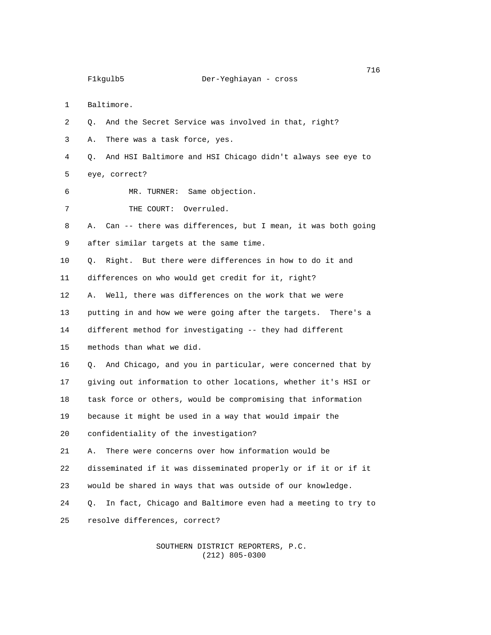1 Baltimore.

2 Q. And the Secret Service was involved in that, right?

3 A. There was a task force, yes.

4 Q. And HSI Baltimore and HSI Chicago didn't always see eye to 5 eye, correct?

6 MR. TURNER: Same objection.

7 THE COURT: Overruled.

8 A. Can -- there was differences, but I mean, it was both going 9 after similar targets at the same time.

10 Q. Right. But there were differences in how to do it and

11 differences on who would get credit for it, right?

12 A. Well, there was differences on the work that we were

13 putting in and how we were going after the targets. There's a

14 different method for investigating -- they had different

15 methods than what we did.

16 Q. And Chicago, and you in particular, were concerned that by

17 giving out information to other locations, whether it's HSI or

18 task force or others, would be compromising that information

19 because it might be used in a way that would impair the

20 confidentiality of the investigation?

21 A. There were concerns over how information would be

22 disseminated if it was disseminated properly or if it or if it

23 would be shared in ways that was outside of our knowledge.

24 Q. In fact, Chicago and Baltimore even had a meeting to try to 25 resolve differences, correct?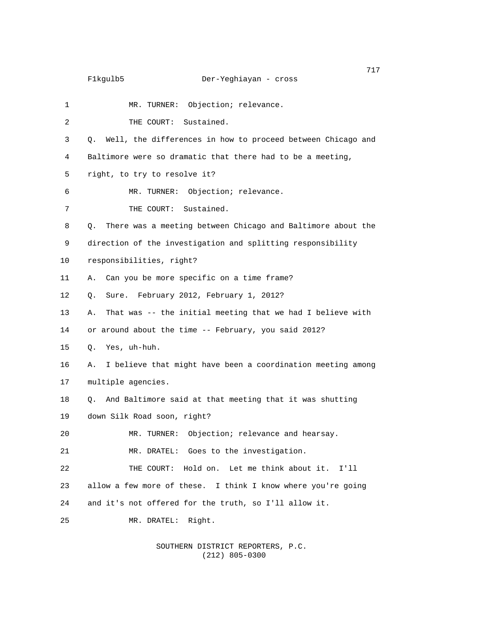1 MR. TURNER: Objection; relevance. 2 THE COURT: Sustained. 3 Q. Well, the differences in how to proceed between Chicago and 4 Baltimore were so dramatic that there had to be a meeting, 5 right, to try to resolve it? 6 MR. TURNER: Objection; relevance. 7 THE COURT: Sustained. 8 Q. There was a meeting between Chicago and Baltimore about the 9 direction of the investigation and splitting responsibility 10 responsibilities, right? 11 A. Can you be more specific on a time frame? 12 Q. Sure. February 2012, February 1, 2012? 13 A. That was -- the initial meeting that we had I believe with 14 or around about the time -- February, you said 2012? 15 Q. Yes, uh-huh. 16 A. I believe that might have been a coordination meeting among 17 multiple agencies. 18 Q. And Baltimore said at that meeting that it was shutting 19 down Silk Road soon, right? 20 MR. TURNER: Objection; relevance and hearsay. 21 MR. DRATEL: Goes to the investigation. 22 THE COURT: Hold on. Let me think about it. I'll 23 allow a few more of these. I think I know where you're going 24 and it's not offered for the truth, so I'll allow it. 25 MR. DRATEL: Right.

## SOUTHERN DISTRICT REPORTERS, P.C. (212) 805-0300

717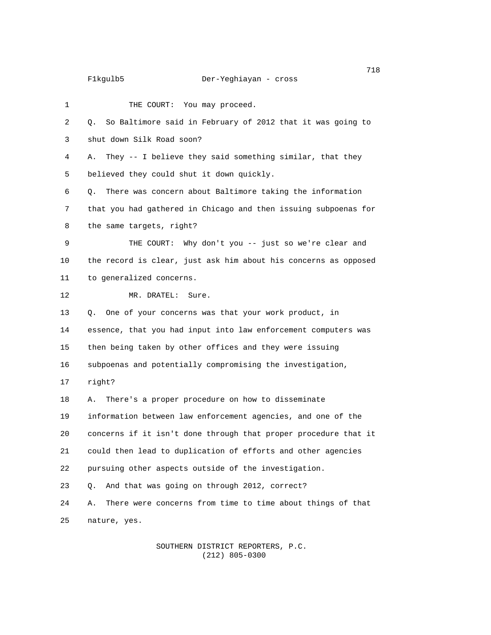1 THE COURT: You may proceed. 2 Q. So Baltimore said in February of 2012 that it was going to 3 shut down Silk Road soon? 4 A. They -- I believe they said something similar, that they 5 believed they could shut it down quickly. 6 Q. There was concern about Baltimore taking the information 7 that you had gathered in Chicago and then issuing subpoenas for 8 the same targets, right? 9 THE COURT: Why don't you -- just so we're clear and 10 the record is clear, just ask him about his concerns as opposed 11 to generalized concerns. 12 MR. DRATEL: Sure. 13 Q. One of your concerns was that your work product, in 14 essence, that you had input into law enforcement computers was 15 then being taken by other offices and they were issuing 16 subpoenas and potentially compromising the investigation, 17 right? 18 A. There's a proper procedure on how to disseminate 19 information between law enforcement agencies, and one of the 20 concerns if it isn't done through that proper procedure that it 21 could then lead to duplication of efforts and other agencies 22 pursuing other aspects outside of the investigation. 23 Q. And that was going on through 2012, correct? 24 A. There were concerns from time to time about things of that 25 nature, yes.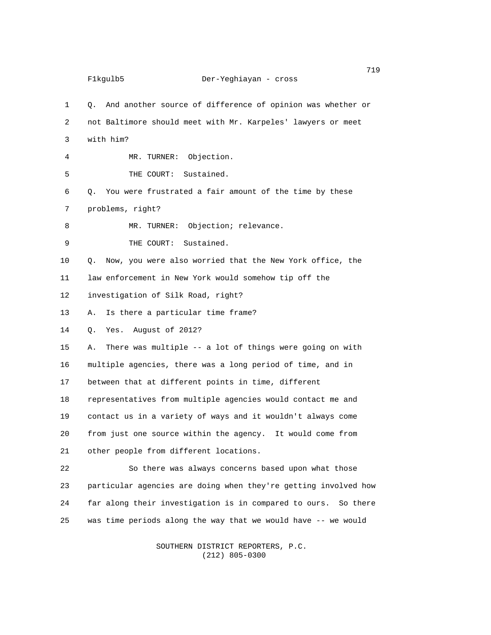719 F1kgulb5 Der-Yeghiayan - cross 1 Q. And another source of difference of opinion was whether or 2 not Baltimore should meet with Mr. Karpeles' lawyers or meet 3 with him? 4 MR. TURNER: Objection. 5 THE COURT: Sustained. 6 Q. You were frustrated a fair amount of the time by these 7 problems, right? 8 MR. TURNER: Objection; relevance. 9 THE COURT: Sustained. 10 Q. Now, you were also worried that the New York office, the 11 law enforcement in New York would somehow tip off the 12 investigation of Silk Road, right? 13 A. Is there a particular time frame? 14 Q. Yes. August of 2012? 15 A. There was multiple -- a lot of things were going on with 16 multiple agencies, there was a long period of time, and in 17 between that at different points in time, different 18 representatives from multiple agencies would contact me and 19 contact us in a variety of ways and it wouldn't always come 20 from just one source within the agency. It would come from 21 other people from different locations. 22 So there was always concerns based upon what those 23 particular agencies are doing when they're getting involved how 24 far along their investigation is in compared to ours. So there 25 was time periods along the way that we would have -- we would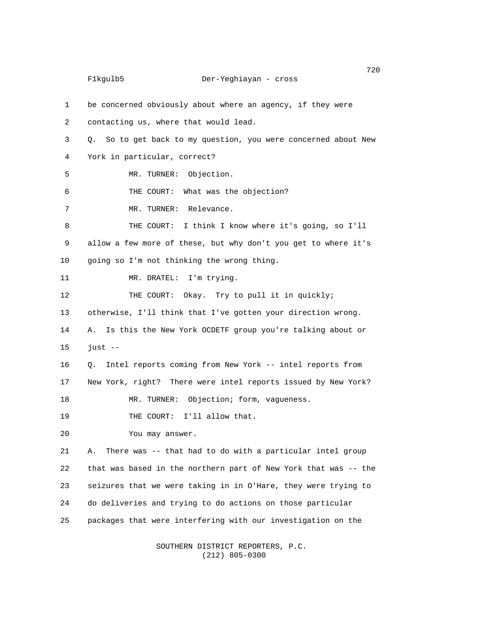1 be concerned obviously about where an agency, if they were 2 contacting us, where that would lead. 3 Q. So to get back to my question, you were concerned about New 4 York in particular, correct? 5 MR. TURNER: Objection. 6 THE COURT: What was the objection? 7 MR. TURNER: Relevance. 8 THE COURT: I think I know where it's going, so I'll 9 allow a few more of these, but why don't you get to where it's 10 going so I'm not thinking the wrong thing.

11 MR. DRATEL: I'm trying. 12 THE COURT: Okay. Try to pull it in quickly; 13 otherwise, I'll think that I've gotten your direction wrong. 14 A. Is this the New York OCDETF group you're talking about or 15 just -- 16 Q. Intel reports coming from New York -- intel reports from

F1kgulb5 Der-Yeghiayan - cross

17 New York, right? There were intel reports issued by New York?

18 MR. TURNER: Objection; form, vagueness.

19 THE COURT: I'll allow that.

20 You may answer.

21 A. There was -- that had to do with a particular intel group 22 that was based in the northern part of New York that was -- the 23 seizures that we were taking in in O'Hare, they were trying to 24 do deliveries and trying to do actions on those particular 25 packages that were interfering with our investigation on the

> SOUTHERN DISTRICT REPORTERS, P.C. (212) 805-0300

na matsay na katalog as na katalog as na katalog as na katalog as na katalog as na katalog as na katalog as na<br>Tagairta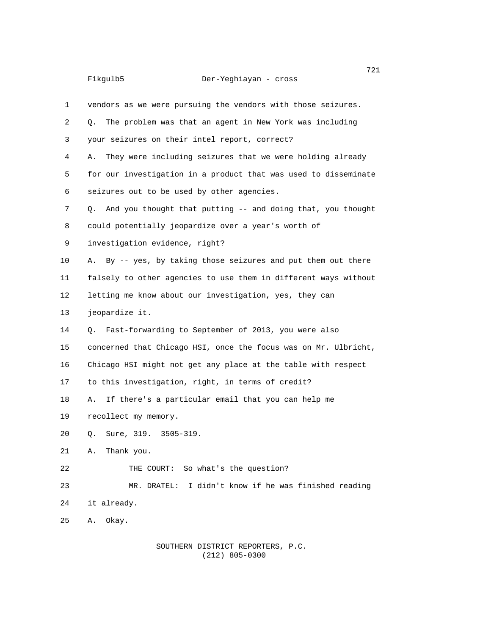| 1  | vendors as we were pursuing the vendors with those seizures.      |
|----|-------------------------------------------------------------------|
| 2  | The problem was that an agent in New York was including<br>0.     |
| 3  | your seizures on their intel report, correct?                     |
| 4  | They were including seizures that we were holding already<br>Α.   |
| 5  | for our investigation in a product that was used to disseminate   |
| 6  | seizures out to be used by other agencies.                        |
| 7  | And you thought that putting -- and doing that, you thought<br>0. |
| 8  | could potentially jeopardize over a year's worth of               |
| 9  | investigation evidence, right?                                    |
| 10 | By -- yes, by taking those seizures and put them out there<br>А.  |
| 11 | falsely to other agencies to use them in different ways without   |
| 12 | letting me know about our investigation, yes, they can            |
| 13 | jeopardize it.                                                    |
| 14 | Fast-forwarding to September of 2013, you were also<br>0.         |
| 15 | concerned that Chicago HSI, once the focus was on Mr. Ulbricht,   |
| 16 | Chicago HSI might not get any place at the table with respect     |
| 17 | to this investigation, right, in terms of credit?                 |
| 18 | If there's a particular email that you can help me<br>А.          |
| 19 | recollect my memory.                                              |
| 20 | Sure, 319. 3505-319.<br>Q.                                        |
| 21 | Thank you.<br>А.                                                  |
| 22 | So what's the question?<br>THE COURT:                             |
| 23 | I didn't know if he was finished reading<br>MR. DRATEL:           |
| 24 | it already.                                                       |
| 25 | Okay.<br>Α.                                                       |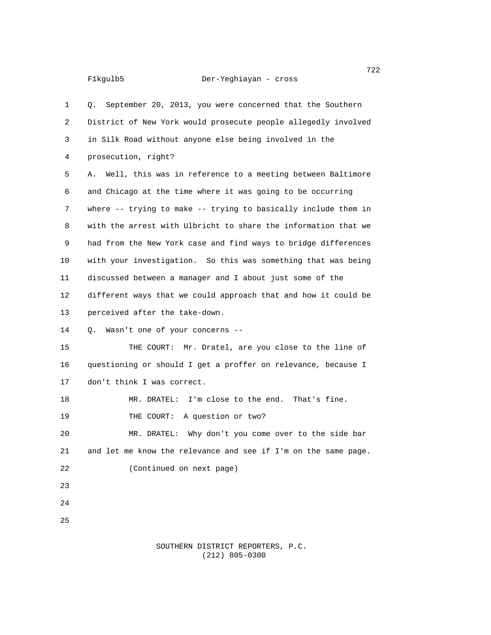1 Q. September 20, 2013, you were concerned that the Southern 2 District of New York would prosecute people allegedly involved 3 in Silk Road without anyone else being involved in the 4 prosecution, right? 5 A. Well, this was in reference to a meeting between Baltimore 6 and Chicago at the time where it was going to be occurring 7 where -- trying to make -- trying to basically include them in 8 with the arrest with Ulbricht to share the information that we 9 had from the New York case and find ways to bridge differences 10 with your investigation. So this was something that was being 11 discussed between a manager and I about just some of the 12 different ways that we could approach that and how it could be 13 perceived after the take-down. 14 Q. Wasn't one of your concerns -- 15 THE COURT: Mr. Dratel, are you close to the line of 16 questioning or should I get a proffer on relevance, because I 17 don't think I was correct. 18 MR. DRATEL: I'm close to the end. That's fine. 19 THE COURT: A question or two? 20 MR. DRATEL: Why don't you come over to the side bar 21 and let me know the relevance and see if I'm on the same page. 22 (Continued on next page) 23 24 25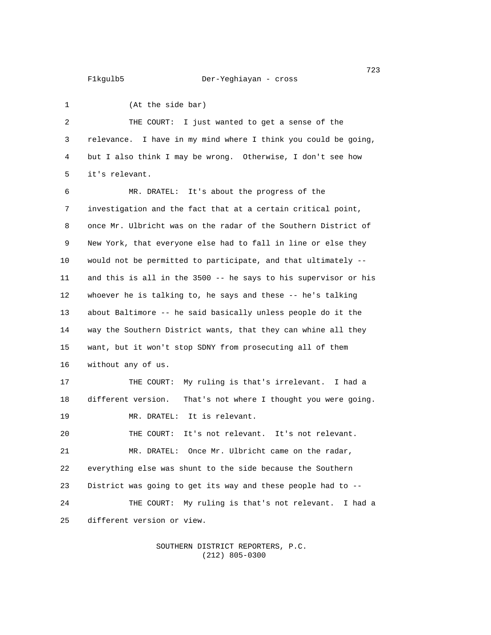1 (At the side bar) 2 THE COURT: I just wanted to get a sense of the 3 relevance. I have in my mind where I think you could be going, 4 but I also think I may be wrong. Otherwise, I don't see how 5 it's relevant. 6 MR. DRATEL: It's about the progress of the 7 investigation and the fact that at a certain critical point, 8 once Mr. Ulbricht was on the radar of the Southern District of 9 New York, that everyone else had to fall in line or else they 10 would not be permitted to participate, and that ultimately -- 11 and this is all in the 3500 -- he says to his supervisor or his 12 whoever he is talking to, he says and these -- he's talking 13 about Baltimore -- he said basically unless people do it the 14 way the Southern District wants, that they can whine all they 15 want, but it won't stop SDNY from prosecuting all of them 16 without any of us. 17 THE COURT: My ruling is that's irrelevant. I had a 18 different version. That's not where I thought you were going. 19 MR. DRATEL: It is relevant. 20 THE COURT: It's not relevant. It's not relevant. 21 MR. DRATEL: Once Mr. Ulbricht came on the radar, 22 everything else was shunt to the side because the Southern 23 District was going to get its way and these people had to -- 24 THE COURT: My ruling is that's not relevant. I had a 25 different version or view.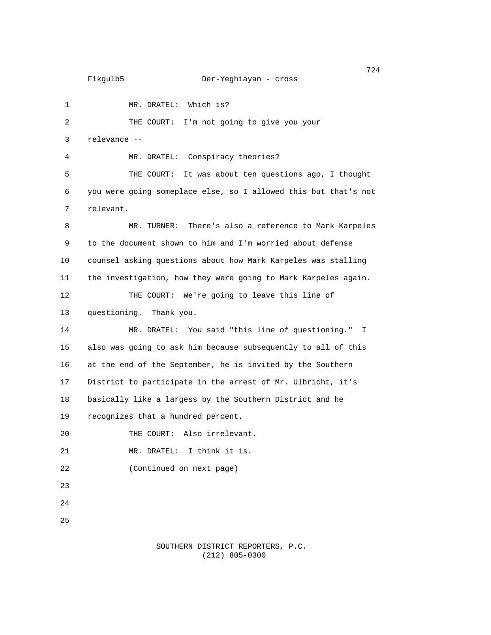1 MR. DRATEL: Which is? 2 THE COURT: I'm not going to give you your 3 relevance -- 4 MR. DRATEL: Conspiracy theories? 5 THE COURT: It was about ten questions ago, I thought 6 you were going someplace else, so I allowed this but that's not 7 relevant. 8 MR. TURNER: There's also a reference to Mark Karpeles 9 to the document shown to him and I'm worried about defense 10 counsel asking questions about how Mark Karpeles was stalling 11 the investigation, how they were going to Mark Karpeles again. 12 THE COURT: We're going to leave this line of 13 questioning. Thank you. 14 MR. DRATEL: You said "this line of questioning." I 15 also was going to ask him because subsequently to all of this 16 at the end of the September, he is invited by the Southern 17 District to participate in the arrest of Mr. Ulbricht, it's 18 basically like a largess by the Southern District and he 19 recognizes that a hundred percent. 20 THE COURT: Also irrelevant. 21 MR. DRATEL: I think it is. 22 (Continued on next page) 23 24 25

 SOUTHERN DISTRICT REPORTERS, P.C. (212) 805-0300

724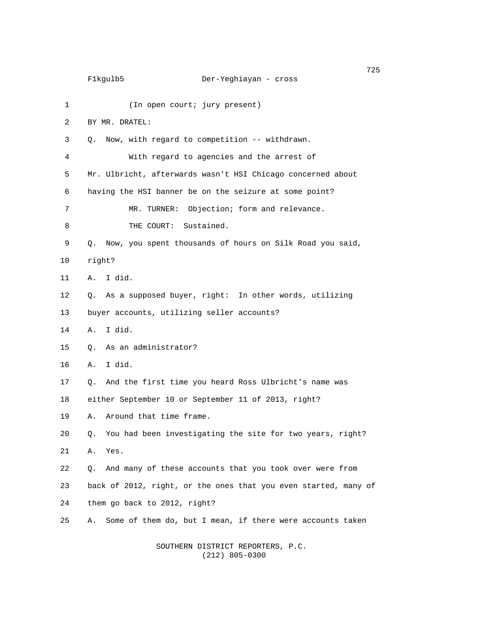1 (In open court; jury present) 2 BY MR. DRATEL: 3 Q. Now, with regard to competition -- withdrawn. 4 With regard to agencies and the arrest of 5 Mr. Ulbricht, afterwards wasn't HSI Chicago concerned about 6 having the HSI banner be on the seizure at some point? 7 MR. TURNER: Objection; form and relevance. 8 THE COURT: Sustained. 9 Q. Now, you spent thousands of hours on Silk Road you said, 10 right? 11 A. I did. 12 Q. As a supposed buyer, right: In other words, utilizing 13 buyer accounts, utilizing seller accounts? 14 A. I did. 15 Q. As an administrator? 16 A. I did. 17 Q. And the first time you heard Ross Ulbricht's name was 18 either September 10 or September 11 of 2013, right? 19 A. Around that time frame. 20 Q. You had been investigating the site for two years, right? 21 A. Yes. 22 Q. And many of these accounts that you took over were from 23 back of 2012, right, or the ones that you even started, many of 24 them go back to 2012, right? 25 A. Some of them do, but I mean, if there were accounts taken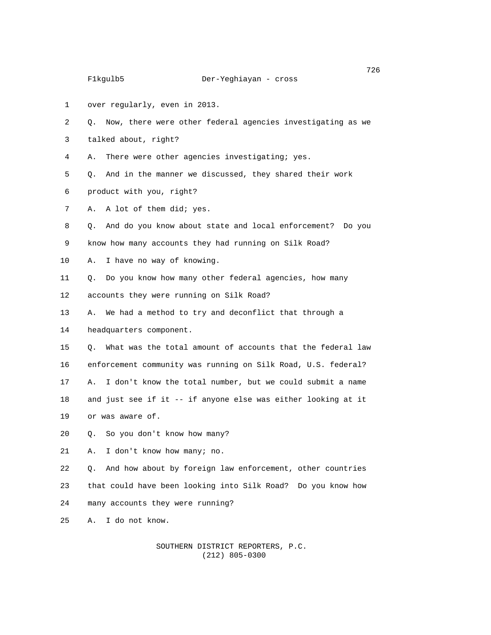- 1 over regularly, even in 2013.
- 2 Q. Now, there were other federal agencies investigating as we
- 3 talked about, right?
- 4 A. There were other agencies investigating; yes.
- 5 Q. And in the manner we discussed, they shared their work
- 6 product with you, right?
- 7 A. A lot of them did; yes.
- 8 Q. And do you know about state and local enforcement? Do you
- 9 know how many accounts they had running on Silk Road?
- 10 A. I have no way of knowing.
- 11 Q. Do you know how many other federal agencies, how many 12 accounts they were running on Silk Road?
- 13 A. We had a method to try and deconflict that through a
- 14 headquarters component.
- 15 Q. What was the total amount of accounts that the federal law 16 enforcement community was running on Silk Road, U.S. federal? 17 A. I don't know the total number, but we could submit a name 18 and just see if it -- if anyone else was either looking at it
- 19 or was aware of.
- 20 Q. So you don't know how many?
- 21 A. I don't know how many; no.
- 22 Q. And how about by foreign law enforcement, other countries 23 that could have been looking into Silk Road? Do you know how 24 many accounts they were running?
- 25 A. I do not know.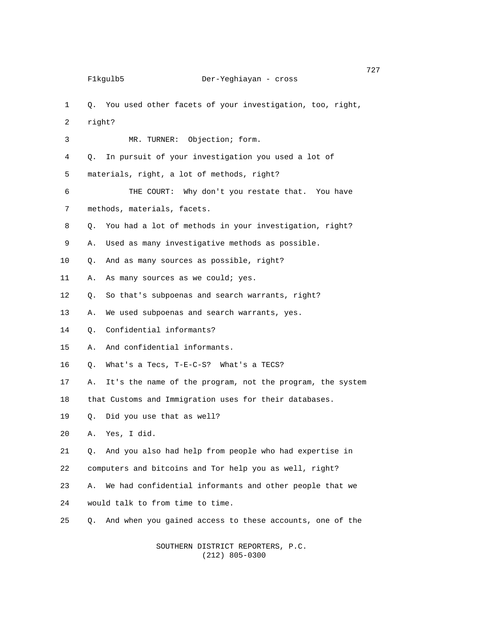| 1              | 0.     | You used other facets of your investigation, too, right,  |
|----------------|--------|-----------------------------------------------------------|
| 2              | right? |                                                           |
| 3              |        | MR. TURNER: Objection; form.                              |
| 4              | Q.     | In pursuit of your investigation you used a lot of        |
| 5              |        | materials, right, a lot of methods, right?                |
| 6              |        | THE COURT: Why don't you restate that. You have           |
| $\overline{7}$ |        | methods, materials, facets.                               |
| 8              | Q.     | You had a lot of methods in your investigation, right?    |
| 9              | Α.     | Used as many investigative methods as possible.           |
| 10             | Q.     | And as many sources as possible, right?                   |
| 11             | Α.     | As many sources as we could; yes.                         |
| 12             | Q.     | So that's subpoenas and search warrants, right?           |
| 13             | Α.     | We used subpoenas and search warrants, yes.               |
| 14             | Q.     | Confidential informants?                                  |
| 15             | Α.     | And confidential informants.                              |
| 16             | Q.     | What's a Tecs, T-E-C-S? What's a TECS?                    |
| 17             | Α.     | It's the name of the program, not the program, the system |
| 18             |        | that Customs and Immigration uses for their databases.    |
| 19             | Q.     | Did you use that as well?                                 |
| 20             | Α.     | Yes, I did.                                               |
| 21             | Q.     | And you also had help from people who had expertise in    |
| 22             |        | computers and bitcoins and Tor help you as well, right?   |
| 23             | А.     | We had confidential informants and other people that we   |
| 24             |        | would talk to from time to time.                          |
| 25             | Q.     | And when you gained access to these accounts, one of the  |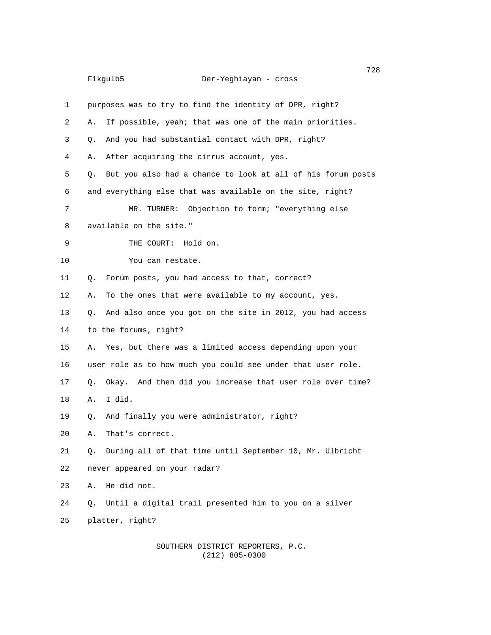| 1  | purposes was to try to find the identity of DPR, right?           |
|----|-------------------------------------------------------------------|
| 2  | If possible, yeah; that was one of the main priorities.<br>А.     |
| 3  | And you had substantial contact with DPR, right?<br>Q.            |
| 4  | After acquiring the cirrus account, yes.<br>А.                    |
| 5  | But you also had a chance to look at all of his forum posts<br>Q. |
| 6  | and everything else that was available on the site, right?        |
| 7  | MR. TURNER: Objection to form; "everything else                   |
| 8  | available on the site."                                           |
| 9  | THE COURT:<br>Hold on.                                            |
| 10 | You can restate.                                                  |
| 11 | Forum posts, you had access to that, correct?<br>Q.               |
| 12 | To the ones that were available to my account, yes.<br>А.         |
| 13 | And also once you got on the site in 2012, you had access<br>Q.   |
| 14 | to the forums, right?                                             |
| 15 | Yes, but there was a limited access depending upon your<br>А.     |
| 16 | user role as to how much you could see under that user role.      |
| 17 | Okay. And then did you increase that user role over time?<br>Q.   |
| 18 | I did.<br>А.                                                      |
| 19 | And finally you were administrator, right?<br>Q.                  |
| 20 | That's correct.<br>А.                                             |
| 21 | Q. During all of that time until September 10, Mr. Ulbricht       |
| 22 | never appeared on your radar?                                     |
| 23 | He did not.<br>Α.                                                 |
| 24 | Until a digital trail presented him to you on a silver<br>Q.      |
| 25 | platter, right?                                                   |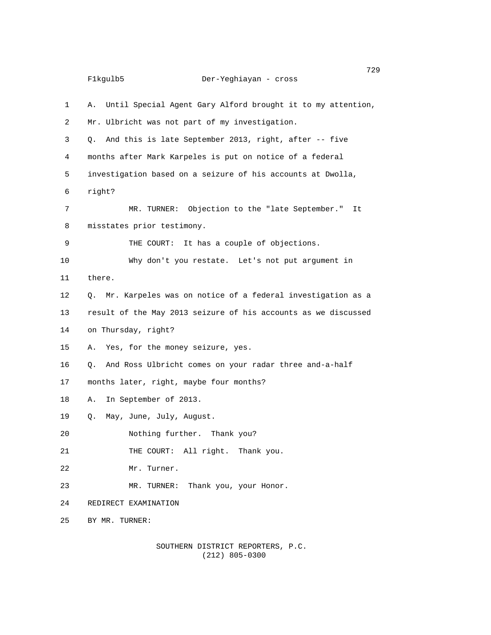F1kgulb5 Der-Yeghiayan - cross 1 A. Until Special Agent Gary Alford brought it to my attention, 2 Mr. Ulbricht was not part of my investigation. 3 Q. And this is late September 2013, right, after -- five 4 months after Mark Karpeles is put on notice of a federal 5 investigation based on a seizure of his accounts at Dwolla, 6 right? 7 MR. TURNER: Objection to the "late September." It 8 misstates prior testimony. 9 THE COURT: It has a couple of objections. 10 Why don't you restate. Let's not put argument in 11 there. 12 Q. Mr. Karpeles was on notice of a federal investigation as a 13 result of the May 2013 seizure of his accounts as we discussed 14 on Thursday, right? 15 A. Yes, for the money seizure, yes. 16 Q. And Ross Ulbricht comes on your radar three and-a-half 17 months later, right, maybe four months? 18 A. In September of 2013. 19 Q. May, June, July, August. 20 Nothing further. Thank you? 21 THE COURT: All right. Thank you. 22 Mr. Turner. 23 MR. TURNER: Thank you, your Honor. 24 REDIRECT EXAMINATION 25 BY MR. TURNER:

> SOUTHERN DISTRICT REPORTERS, P.C. (212) 805-0300

729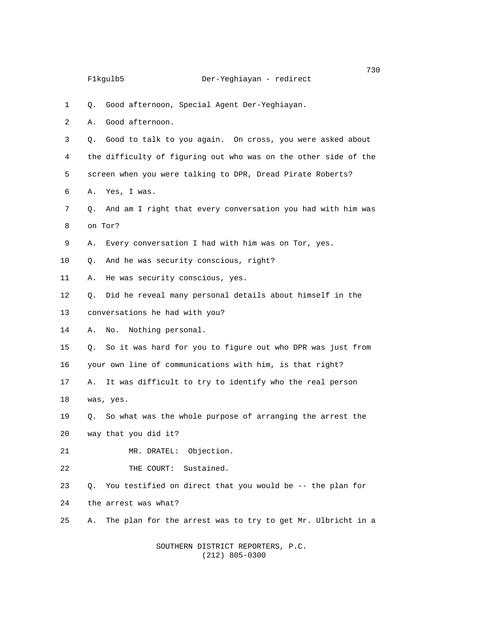1 Q. Good afternoon, Special Agent Der-Yeghiayan. 2 A. Good afternoon. 3 Q. Good to talk to you again. On cross, you were asked about 4 the difficulty of figuring out who was on the other side of the 5 screen when you were talking to DPR, Dread Pirate Roberts? 6 A. Yes, I was. 7 Q. And am I right that every conversation you had with him was 8 on Tor? 9 A. Every conversation I had with him was on Tor, yes. 10 Q. And he was security conscious, right? 11 A. He was security conscious, yes. 12 Q. Did he reveal many personal details about himself in the 13 conversations he had with you? 14 A. No. Nothing personal. 15 Q. So it was hard for you to figure out who DPR was just from 16 your own line of communications with him, is that right? 17 A. It was difficult to try to identify who the real person 18 was, yes. 19 Q. So what was the whole purpose of arranging the arrest the 20 way that you did it? 21 MR. DRATEL: Objection. 22 THE COURT: Sustained. 23 Q. You testified on direct that you would be -- the plan for 24 the arrest was what? 25 A. The plan for the arrest was to try to get Mr. Ulbricht in a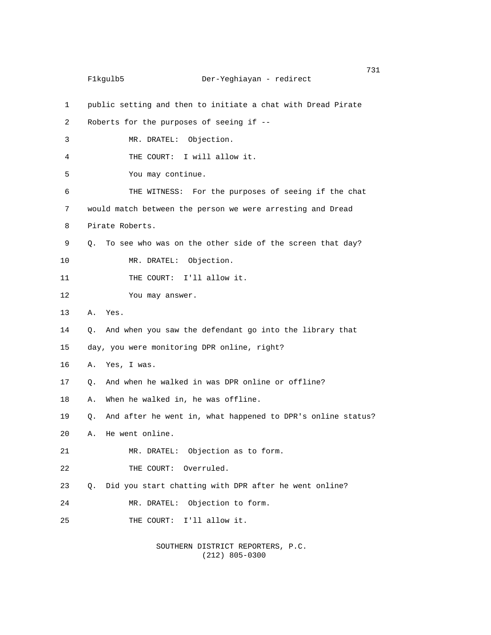|    | 731<br>F1kgulb5<br>Der-Yeghiayan - redirect                       |
|----|-------------------------------------------------------------------|
| 1  | public setting and then to initiate a chat with Dread Pirate      |
| 2  | Roberts for the purposes of seeing if --                          |
| 3  | MR. DRATEL: Objection.                                            |
| 4  | THE COURT: I will allow it.                                       |
| 5  | You may continue.                                                 |
| 6  | THE WITNESS: For the purposes of seeing if the chat               |
| 7  | would match between the person we were arresting and Dread        |
| 8  | Pirate Roberts.                                                   |
| 9  | To see who was on the other side of the screen that day?<br>0.    |
| 10 | MR. DRATEL: Objection.                                            |
| 11 | THE COURT: I'll allow it.                                         |
| 12 | You may answer.                                                   |
| 13 | Yes.<br>А.                                                        |
| 14 | And when you saw the defendant go into the library that<br>Q.     |
| 15 | day, you were monitoring DPR online, right?                       |
| 16 | Yes, I was.<br>А.                                                 |
| 17 | And when he walked in was DPR online or offline?<br>Q.            |
| 18 | When he walked in, he was offline.<br>А.                          |
| 19 | And after he went in, what happened to DPR's online status?<br>Q. |
| 20 | He went online.<br>А.                                             |
| 21 | MR. DRATEL: Objection as to form.                                 |
| 22 | THE COURT:<br>Overruled.                                          |
| 23 | Did you start chatting with DPR after he went online?<br>Q.       |
| 24 | MR. DRATEL: Objection to form.                                    |
| 25 | THE COURT: I'll allow it.                                         |
|    |                                                                   |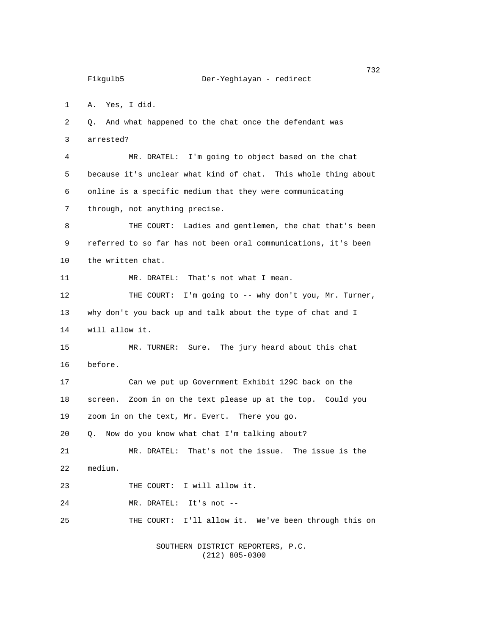1 A. Yes, I did.

2 Q. And what happened to the chat once the defendant was 3 arrested?

4 MR. DRATEL: I'm going to object based on the chat 5 because it's unclear what kind of chat. This whole thing about 6 online is a specific medium that they were communicating 7 through, not anything precise.

8 THE COURT: Ladies and gentlemen, the chat that's been 9 referred to so far has not been oral communications, it's been 10 the written chat.

11 MR. DRATEL: That's not what I mean.

12 THE COURT: I'm going to -- why don't you, Mr. Turner, 13 why don't you back up and talk about the type of chat and I 14 will allow it.

15 MR. TURNER: Sure. The jury heard about this chat 16 before.

17 Can we put up Government Exhibit 129C back on the 18 screen. Zoom in on the text please up at the top. Could you 19 zoom in on the text, Mr. Evert. There you go.

20 Q. Now do you know what chat I'm talking about?

21 MR. DRATEL: That's not the issue. The issue is the 22 medium.

23 THE COURT: I will allow it.

24 MR. DRATEL: It's not --

25 THE COURT: I'll allow it. We've been through this on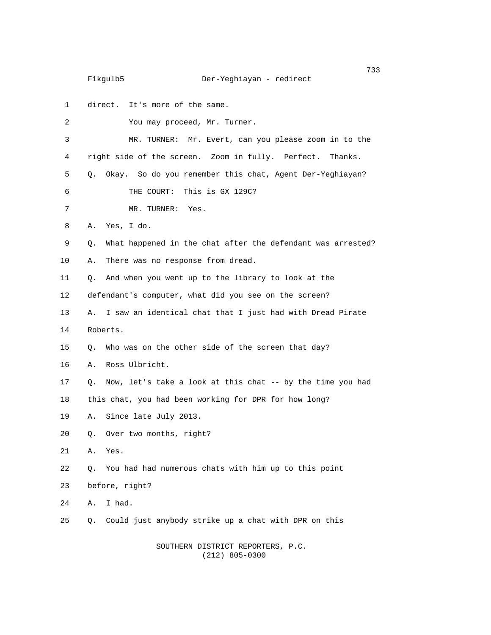# F1kgulb5 Der-Yeghiayan - redirect

| 1              |          | direct. It's more of the same.                              |
|----------------|----------|-------------------------------------------------------------|
| 2              |          | You may proceed, Mr. Turner.                                |
| 3              |          | MR. TURNER: Mr. Evert, can you please zoom in to the        |
| 4              |          | right side of the screen. Zoom in fully. Perfect. Thanks.   |
| 5              | 0.       | Okay. So do you remember this chat, Agent Der-Yeghiayan?    |
| 6              |          | THE COURT: This is GX 129C?                                 |
| $\overline{7}$ |          | MR. TURNER: Yes.                                            |
| 8              | А.       | Yes, I do.                                                  |
| 9              | Q.       | What happened in the chat after the defendant was arrested? |
| 10             | Α.       | There was no response from dread.                           |
| 11             | 0.       | And when you went up to the library to look at the          |
| 12             |          | defendant's computer, what did you see on the screen?       |
| 13             | А.       | I saw an identical chat that I just had with Dread Pirate   |
| 14             | Roberts. |                                                             |
| 15             | 0.       | Who was on the other side of the screen that day?           |
| 16             | А.       | Ross Ulbricht.                                              |
| 17             | Q.       | Now, let's take a look at this chat -- by the time you had  |
| 18             |          | this chat, you had been working for DPR for how long?       |
| 19             | А.       | Since late July 2013.                                       |
| 20             | Q.       | Over two months, right?                                     |
| 21             | A. Yes.  |                                                             |
| 22             | Q.       | You had had numerous chats with him up to this point        |
| 23             |          | before, right?                                              |
| 24             | Α.       | I had.                                                      |
| 25             | Q.       | Could just anybody strike up a chat with DPR on this        |
|                |          |                                                             |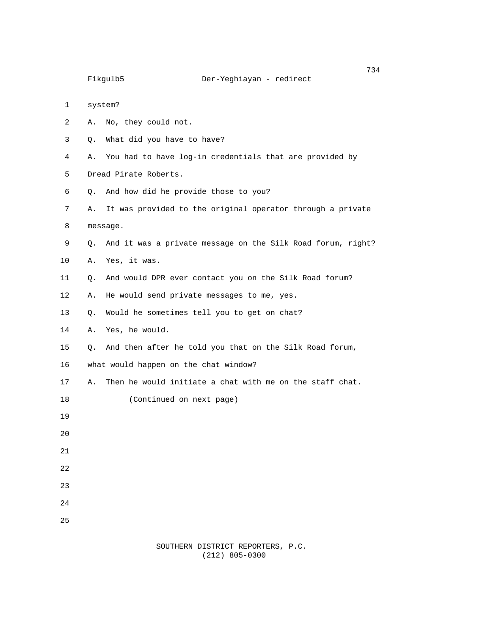- 1 system?
- 2 A. No, they could not.
- 3 Q. What did you have to have?
- 4 A. You had to have log-in credentials that are provided by
- 5 Dread Pirate Roberts.
- 6 Q. And how did he provide those to you?
- 7 A. It was provided to the original operator through a private 8 message.
- 9 Q. And it was a private message on the Silk Road forum, right?
- 10 A. Yes, it was.
- 11 Q. And would DPR ever contact you on the Silk Road forum?
- 12 A. He would send private messages to me, yes.
- 13 Q. Would he sometimes tell you to get on chat?
- 14 A. Yes, he would.
- 15 Q. And then after he told you that on the Silk Road forum,
- 16 what would happen on the chat window?
- 17 A. Then he would initiate a chat with me on the staff chat.
- 18 (Continued on next page)
- 19
- 20
- 21
- 22
- 23
- 24
- 25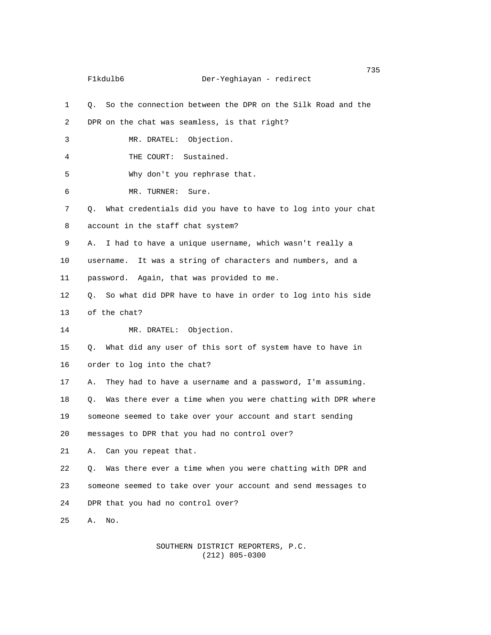| 1              | So the connection between the DPR on the Silk Road and the<br>0.  |
|----------------|-------------------------------------------------------------------|
| $\overline{2}$ | DPR on the chat was seamless, is that right?                      |
| 3              | MR. DRATEL: Objection.                                            |
| 4              | THE COURT: Sustained.                                             |
| 5              | Why don't you rephrase that.                                      |
| 6              | MR. TURNER:<br>Sure.                                              |
| $\overline{7}$ | Q. What credentials did you have to have to log into your chat    |
| 8              | account in the staff chat system?                                 |
| 9              | I had to have a unique username, which wasn't really a<br>А.      |
| 10             | username. It was a string of characters and numbers, and a        |
| 11             | password. Again, that was provided to me.                         |
| 12             | Q. So what did DPR have to have in order to log into his side     |
| 13             | of the chat?                                                      |
| 14             | MR. DRATEL: Objection.                                            |
| 15             | What did any user of this sort of system have to have in<br>Q.    |
| 16             | order to log into the chat?                                       |
| 17             | They had to have a username and a password, I'm assuming.<br>А.   |
| 18             | Was there ever a time when you were chatting with DPR where<br>Q. |
| 19             | someone seemed to take over your account and start sending        |
| 20             | messages to DPR that you had no control over?                     |
| 21             | A. Can you repeat that.                                           |
| 22             | Was there ever a time when you were chatting with DPR and<br>Q.   |
| 23             | someone seemed to take over your account and send messages to     |
| 24             | DPR that you had no control over?                                 |
| 25             | No.<br>Α.                                                         |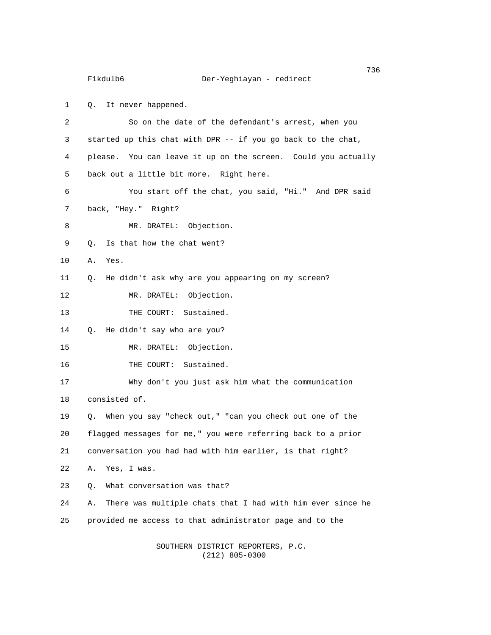na matangang kabupatèn Kabupatèn Kabupatèn Kabupatèn Kabupatèn Kabupatèn Kabupatèn Kabupatèn Kabupatèn Kabupat F1kdulb6 Der-Yeghiayan - redirect 1 Q. It never happened. 2 So on the date of the defendant's arrest, when you 3 started up this chat with DPR -- if you go back to the chat, 4 please. You can leave it up on the screen. Could you actually 5 back out a little bit more. Right here. 6 You start off the chat, you said, "Hi." And DPR said 7 back, "Hey." Right? 8 MR. DRATEL: Objection. 9 Q. Is that how the chat went? 10 A. Yes. 11 Q. He didn't ask why are you appearing on my screen? 12 MR. DRATEL: Objection. 13 THE COURT: Sustained. 14 Q. He didn't say who are you? 15 MR. DRATEL: Objection. 16 THE COURT: Sustained. 17 Why don't you just ask him what the communication 18 consisted of. 19 Q. When you say "check out," "can you check out one of the 20 flagged messages for me," you were referring back to a prior 21 conversation you had had with him earlier, is that right? 22 A. Yes, I was. 23 Q. What conversation was that? 24 A. There was multiple chats that I had with him ever since he 25 provided me access to that administrator page and to the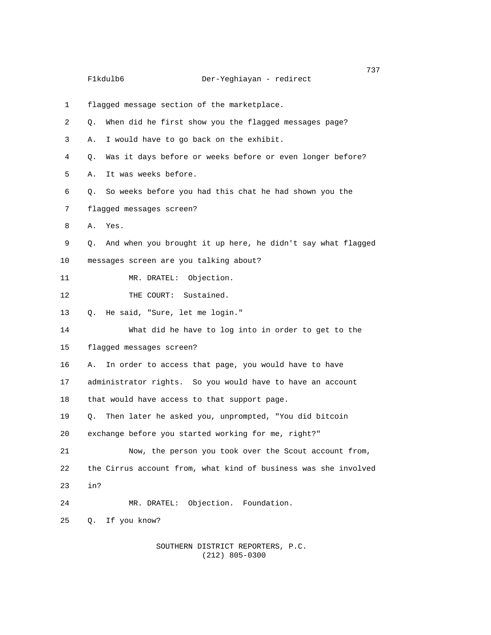1 flagged message section of the marketplace. 2 Q. When did he first show you the flagged messages page? 3 A. I would have to go back on the exhibit. 4 Q. Was it days before or weeks before or even longer before? 5 A. It was weeks before. 6 Q. So weeks before you had this chat he had shown you the 7 flagged messages screen? 8 A. Yes. 9 Q. And when you brought it up here, he didn't say what flagged 10 messages screen are you talking about? 11 MR. DRATEL: Objection. 12 THE COURT: Sustained. 13 Q. He said, "Sure, let me login." 14 What did he have to log into in order to get to the 15 flagged messages screen? 16 A. In order to access that page, you would have to have 17 administrator rights. So you would have to have an account 18 that would have access to that support page. 19 Q. Then later he asked you, unprompted, "You did bitcoin 20 exchange before you started working for me, right?" 21 Now, the person you took over the Scout account from, 22 the Cirrus account from, what kind of business was she involved 23 in? 24 MR. DRATEL: Objection. Foundation. 25 Q. If you know?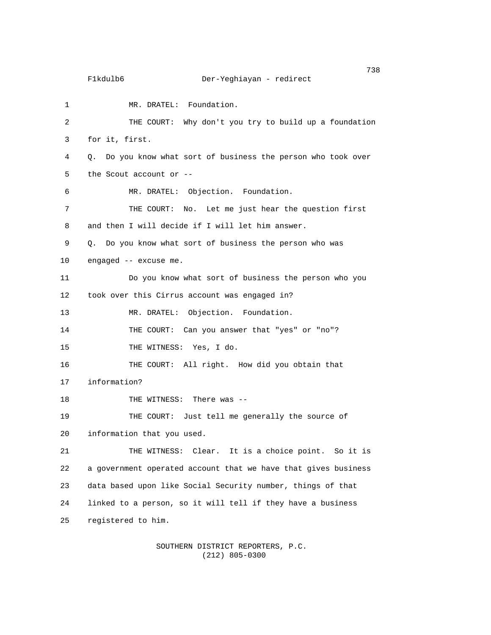```
 738
     F1kdulb6 Der-Yeghiayan - redirect
1 MR. DRATEL: Foundation.
2 THE COURT: Why don't you try to build up a foundation
3 for it, first.
4 Q. Do you know what sort of business the person who took over
5 the Scout account or --
6 MR. DRATEL: Objection. Foundation.
7 THE COURT: No. Let me just hear the question first
8 and then I will decide if I will let him answer.
9 Q. Do you know what sort of business the person who was
10 engaged -- excuse me.
11 Do you know what sort of business the person who you
12 took over this Cirrus account was engaged in?
13 MR. DRATEL: Objection. Foundation.
14 THE COURT: Can you answer that "yes" or "no"?
15 THE WITNESS: Yes, I do.
16 THE COURT: All right. How did you obtain that
17 information?
18 THE WITNESS: There was --
19 THE COURT: Just tell me generally the source of
20 information that you used.
21 THE WITNESS: Clear. It is a choice point. So it is
22 a government operated account that we have that gives business
23 data based upon like Social Security number, things of that
24 linked to a person, so it will tell if they have a business
25 registered to him.
```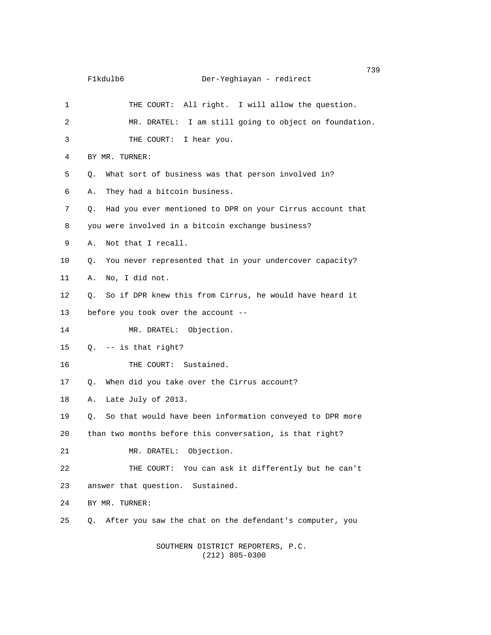## F1kdulb6 Der-Yeghiayan - redirect

| 1              | THE COURT: All right. I will allow the question.                |
|----------------|-----------------------------------------------------------------|
| 2              | MR. DRATEL: I am still going to object on foundation.           |
| 3              | THE COURT: I hear you.                                          |
| 4              | BY MR. TURNER:                                                  |
| 5              | What sort of business was that person involved in?<br>Q.        |
| 6              | They had a bitcoin business.<br>А.                              |
| $\overline{7}$ | Had you ever mentioned to DPR on your Cirrus account that<br>Q. |
| 8              | you were involved in a bitcoin exchange business?               |
| 9              | Not that I recall.<br>А.                                        |
| 10             | You never represented that in your undercover capacity?<br>Q.   |
| 11             | No, I did not.<br>А.                                            |
| 12             | Q. So if DPR knew this from Cirrus, he would have heard it      |
| 13             | before you took over the account --                             |
| 14             | MR. DRATEL: Objection.                                          |
| 15             | Q. -- is that right?                                            |
| 16             | THE COURT: Sustained.                                           |
| 17             | When did you take over the Cirrus account?<br>Q.                |
| 18             | Late July of 2013.<br>А.                                        |
| 19             | So that would have been information conveyed to DPR more<br>Q.  |
| 20             | than two months before this conversation, is that right?        |
| 21             | MR. DRATEL: Objection.                                          |
| 22             | THE COURT: You can ask it differently but he can't              |
| 23             | answer that question. Sustained.                                |
| 24             | BY MR. TURNER:                                                  |
| 25             | After you saw the chat on the defendant's computer, you<br>Q.   |
|                |                                                                 |

#### SOUTHERN DISTRICT REPORTERS, P.C.  $(212)$  805-0300

739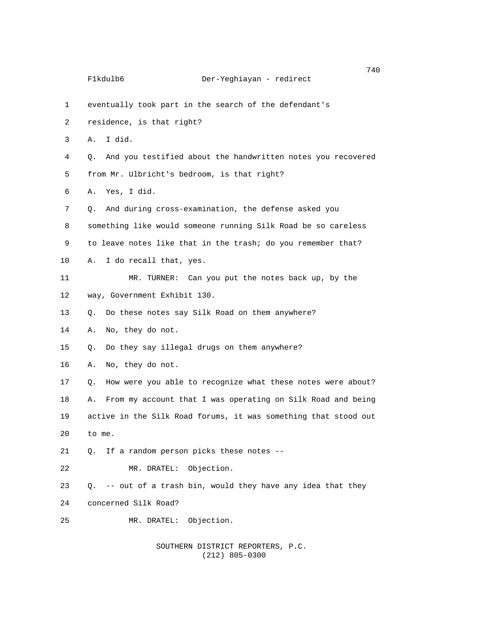1 eventually took part in the search of the defendant's 2 residence, is that right? 3 A. I did. 4 Q. And you testified about the handwritten notes you recovered 5 from Mr. Ulbricht's bedroom, is that right? 6 A. Yes, I did. 7 Q. And during cross-examination, the defense asked you 8 something like would someone running Silk Road be so careless 9 to leave notes like that in the trash; do you remember that? 10 A. I do recall that, yes. 11 MR. TURNER: Can you put the notes back up, by the 12 way, Government Exhibit 130. 13 Q. Do these notes say Silk Road on them anywhere? 14 A. No, they do not. 15 Q. Do they say illegal drugs on them anywhere? 16 A. No, they do not. 17 Q. How were you able to recognize what these notes were about? 18 A. From my account that I was operating on Silk Road and being 19 active in the Silk Road forums, it was something that stood out 20 to me. 21 Q. If a random person picks these notes -- 22 MR. DRATEL: Objection. 23 Q. -- out of a trash bin, would they have any idea that they 24 concerned Silk Road? 25 MR. DRATEL: Objection.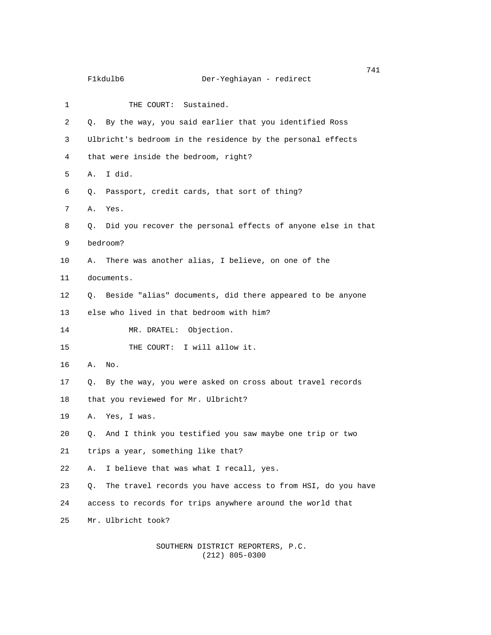741 F1kdulb6 Der-Yeghiayan - redirect 1 THE COURT: Sustained. 2 Q. By the way, you said earlier that you identified Ross 3 Ulbricht's bedroom in the residence by the personal effects 4 that were inside the bedroom, right? 5 A. I did. 6 Q. Passport, credit cards, that sort of thing? 7 A. Yes. 8 Q. Did you recover the personal effects of anyone else in that 9 bedroom? 10 A. There was another alias, I believe, on one of the 11 documents. 12 Q. Beside "alias" documents, did there appeared to be anyone 13 else who lived in that bedroom with him? 14 MR. DRATEL: Objection. 15 THE COURT: I will allow it. 16 A. No. 17 Q. By the way, you were asked on cross about travel records 18 that you reviewed for Mr. Ulbricht? 19 A. Yes, I was. 20 Q. And I think you testified you saw maybe one trip or two 21 trips a year, something like that? 22 A. I believe that was what I recall, yes. 23 Q. The travel records you have access to from HSI, do you have 24 access to records for trips anywhere around the world that 25 Mr. Ulbricht took?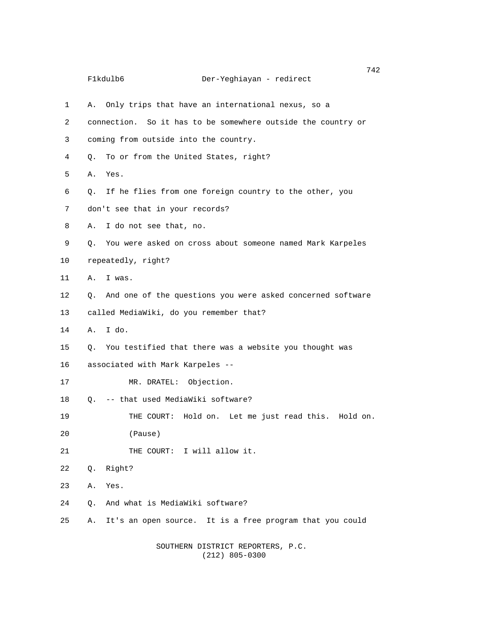|    |    | 742<br>F1kdulb6<br>Der-Yeghiayan - redirect                  |
|----|----|--------------------------------------------------------------|
| 1  | А. | Only trips that have an international nexus, so a            |
| 2  |    | connection. So it has to be somewhere outside the country or |
| 3  |    | coming from outside into the country.                        |
| 4  | Q. | To or from the United States, right?                         |
| 5  | А. | Yes.                                                         |
| 6  | Q. | If he flies from one foreign country to the other, you       |
| 7  |    | don't see that in your records?                              |
| 8  | А. | I do not see that, no.                                       |
| 9  | Q. | You were asked on cross about someone named Mark Karpeles    |
| 10 |    | repeatedly, right?                                           |
| 11 | А. | I was.                                                       |
| 12 | Q. | And one of the questions you were asked concerned software   |
| 13 |    | called MediaWiki, do you remember that?                      |
| 14 | А. | I do.                                                        |
| 15 | Q. | You testified that there was a website you thought was       |
| 16 |    | associated with Mark Karpeles --                             |
| 17 |    | MR. DRATEL: Objection.                                       |
| 18 | 0. | -- that used MediaWiki software?                             |
| 19 |    | THE COURT: Hold on. Let me just read this. Hold on.          |
| 20 |    | (Pause)                                                      |
| 21 |    | THE COURT: I will allow it.                                  |
| 22 | Q. | Right?                                                       |
| 23 | Α. | Yes.                                                         |
| 24 | Q. | And what is MediaWiki software?                              |
| 25 | Α. | It's an open source. It is a free program that you could     |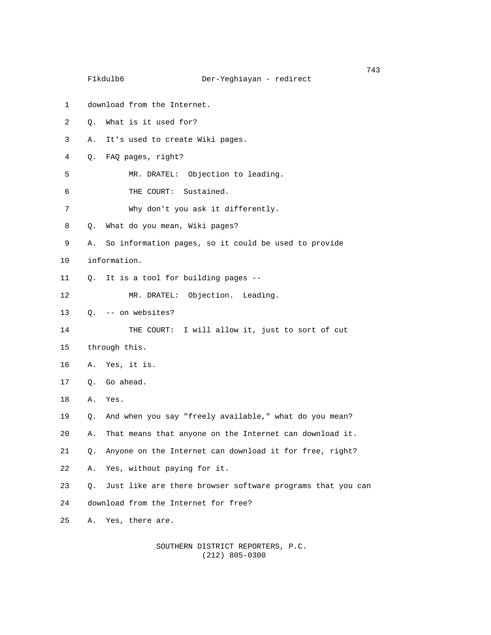1 download from the Internet. 2 Q. What is it used for? 3 A. It's used to create Wiki pages. 4 Q. FAQ pages, right? 5 MR. DRATEL: Objection to leading. 6 THE COURT: Sustained. 7 Why don't you ask it differently. 8 Q. What do you mean, Wiki pages? 9 A. So information pages, so it could be used to provide 10 information. 11 Q. It is a tool for building pages -- 12 MR. DRATEL: Objection. Leading. 13 Q. -- on websites? 14 THE COURT: I will allow it, just to sort of cut 15 through this. 16 A. Yes, it is. 17 Q. Go ahead. 18 A. Yes. 19 Q. And when you say "freely available," what do you mean? 20 A. That means that anyone on the Internet can download it. 21 Q. Anyone on the Internet can download it for free, right? 22 A. Yes, without paying for it. 23 Q. Just like are there browser software programs that you can 24 download from the Internet for free? 25 A. Yes, there are.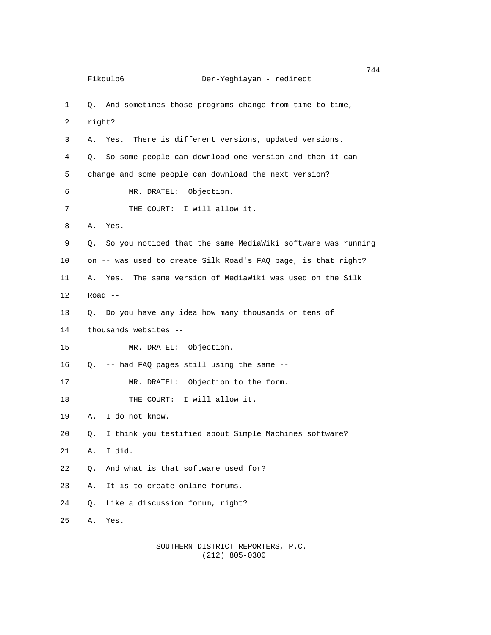```
 744
      F1kdulb6 Der-Yeghiayan - redirect
1 Q. And sometimes those programs change from time to time,
2 right?
3 A. Yes. There is different versions, updated versions.
4 Q. So some people can download one version and then it can
5 change and some people can download the next version?
6 MR. DRATEL: Objection.
7 THE COURT: I will allow it.
8 A. Yes.
9 Q. So you noticed that the same MediaWiki software was running
10 on -- was used to create Silk Road's FAQ page, is that right?
11 A. Yes. The same version of MediaWiki was used on the Silk
12 Road --
13 Q. Do you have any idea how many thousands or tens of
14 thousands websites --
15 MR. DRATEL: Objection.
16 Q. -- had FAQ pages still using the same --
17 MR. DRATEL: Objection to the form.
18 THE COURT: I will allow it.
19 A. I do not know.
20 Q. I think you testified about Simple Machines software?
21 A. I did.
22 Q. And what is that software used for?
23 A. It is to create online forums.
24 Q. Like a discussion forum, right?
25 A. Yes.
```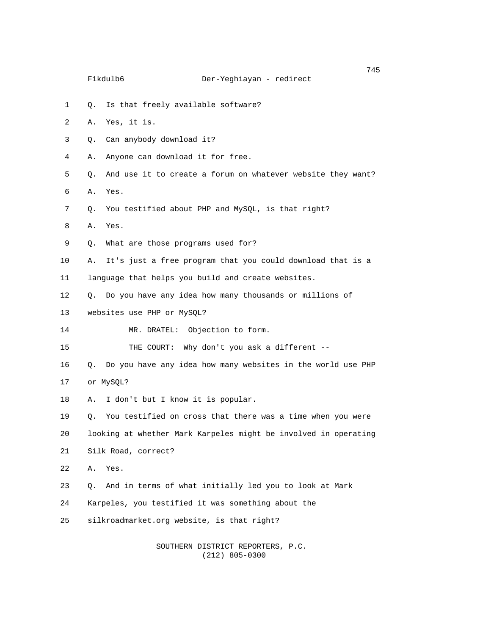1 Q. Is that freely available software?

2 A. Yes, it is.

- 3 Q. Can anybody download it?
- 4 A. Anyone can download it for free.
- 5 Q. And use it to create a forum on whatever website they want?
- 6 A. Yes.
- 7 Q. You testified about PHP and MySQL, is that right?
- 8 A. Yes.
- 9 Q. What are those programs used for?
- 10 A. It's just a free program that you could download that is a
- 11 language that helps you build and create websites.
- 12 Q. Do you have any idea how many thousands or millions of
- 13 websites use PHP or MySQL?

14 MR. DRATEL: Objection to form.

15 THE COURT: Why don't you ask a different --

- 16 Q. Do you have any idea how many websites in the world use PHP 17 or MySQL?
- 18 A. I don't but I know it is popular.
- 19 Q. You testified on cross that there was a time when you were

20 looking at whether Mark Karpeles might be involved in operating

- 21 Silk Road, correct?
- 22 A. Yes.
- 23 Q. And in terms of what initially led you to look at Mark
- 24 Karpeles, you testified it was something about the
- 25 silkroadmarket.org website, is that right?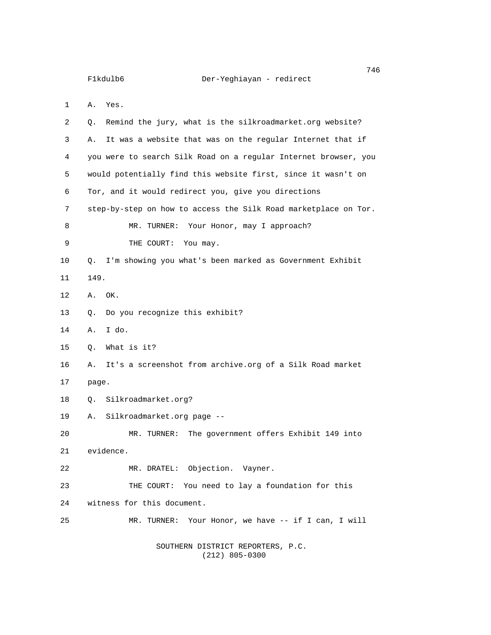1 A. Yes.

| 2              | Remind the jury, what is the silkroadmarket.org website?<br>Q.  |
|----------------|-----------------------------------------------------------------|
| 3              | It was a website that was on the regular Internet that if<br>А. |
| 4              | you were to search Silk Road on a regular Internet browser, you |
| 5              | would potentially find this website first, since it wasn't on   |
| 6              | Tor, and it would redirect you, give you directions             |
| $\overline{7}$ | step-by-step on how to access the Silk Road marketplace on Tor. |
| 8              | MR. TURNER: Your Honor, may I approach?                         |
| 9              | THE COURT: You may.                                             |
| 10             | I'm showing you what's been marked as Government Exhibit<br>0.  |
| 11             | 149.                                                            |
| 12             | OK.<br>Α.                                                       |
| 13             | Do you recognize this exhibit?<br>Q.                            |
| 14             | I do.<br>Α.                                                     |
| 15             | What is it?<br>Q.                                               |
| 16             | It's a screenshot from archive.org of a Silk Road market<br>А.  |
| 17             | page.                                                           |
| 18             | Q. Silkroadmarket.org?                                          |
| 19             | Silkroadmarket.org page --<br>А.                                |
| 20             | The government offers Exhibit 149 into<br>MR. TURNER:           |
| 21             | evidence.                                                       |
| 22             | MR. DRATEL: Objection. Vayner.                                  |
| 23             | THE COURT: You need to lay a foundation for this                |
| 24             | witness for this document.                                      |
| 25             | MR. TURNER: Your Honor, we have -- if I can, I will             |
|                | SOUTHERN DISTRICT REPORTERS, P.C.                               |

 $(212)$  805-0300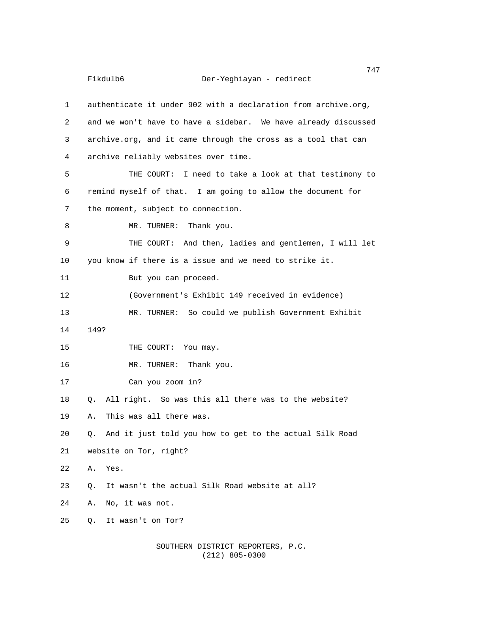| 1              | authenticate it under 902 with a declaration from archive.org, |
|----------------|----------------------------------------------------------------|
| $\overline{2}$ | and we won't have to have a sidebar. We have already discussed |
| 3              | archive.org, and it came through the cross as a tool that can  |
| 4              | archive reliably websites over time.                           |
| 5              | THE COURT: I need to take a look at that testimony to          |
| 6              | remind myself of that. I am going to allow the document for    |
| $\overline{7}$ | the moment, subject to connection.                             |
| 8              | MR. TURNER: Thank you.                                         |
| 9              | THE COURT: And then, ladies and gentlemen, I will let          |
| 10             | you know if there is a issue and we need to strike it.         |
| 11             | But you can proceed.                                           |
| 12             | (Government's Exhibit 149 received in evidence)                |
| 13             | MR. TURNER: So could we publish Government Exhibit             |
| 14             | 149?                                                           |
| 15             | THE COURT: You may.                                            |
| 16             | MR. TURNER: Thank you.                                         |
| 17             | Can you zoom in?                                               |
| 18             | All right. So was this all there was to the website?<br>Q.     |
| 19             | This was all there was.<br>Α.                                  |
| 20             | And it just told you how to get to the actual Silk Road<br>Q.  |
| 21             | website on Tor, right?                                         |
| 22             | Yes.<br>Α.                                                     |
| 23             | It wasn't the actual Silk Road website at all?<br>Q.           |
| 24             | No, it was not.<br>Α.                                          |
| 25             | It wasn't on Tor?<br>Q.                                        |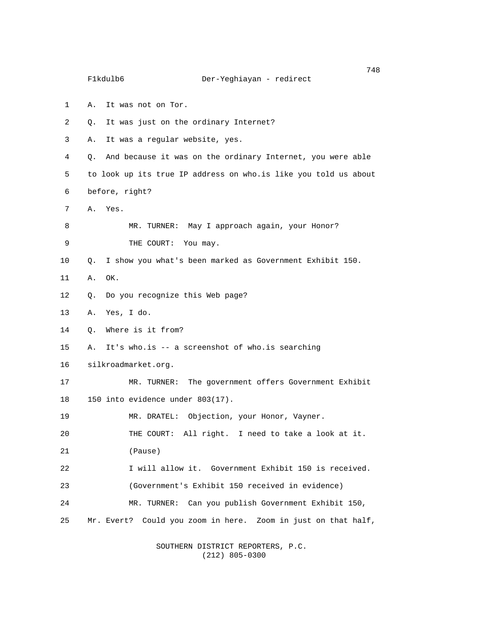1 A. It was not on Tor. 2 Q. It was just on the ordinary Internet? 3 A. It was a regular website, yes. 4 Q. And because it was on the ordinary Internet, you were able 5 to look up its true IP address on who.is like you told us about 6 before, right? 7 A. Yes. 8 MR. TURNER: May I approach again, your Honor? 9 THE COURT: You may. 10 Q. I show you what's been marked as Government Exhibit 150. 11 A. OK. 12 Q. Do you recognize this Web page? 13 A. Yes, I do. 14 Q. Where is it from? 15 A. It's who.is -- a screenshot of who.is searching 16 silkroadmarket.org. 17 MR. TURNER: The government offers Government Exhibit 18 150 into evidence under 803(17). 19 MR. DRATEL: Objection, your Honor, Vayner. 20 THE COURT: All right. I need to take a look at it. 21 (Pause) 22 I will allow it. Government Exhibit 150 is received. 23 (Government's Exhibit 150 received in evidence) 24 MR. TURNER: Can you publish Government Exhibit 150, 25 Mr. Evert? Could you zoom in here. Zoom in just on that half,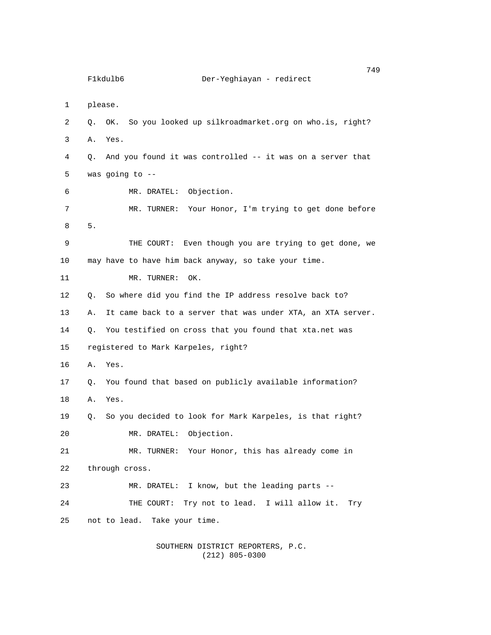749 F1kdulb6 Der-Yeghiayan - redirect 1 please. 2 Q. OK. So you looked up silkroadmarket.org on who.is, right? 3 A. Yes. 4 Q. And you found it was controlled -- it was on a server that 5 was going to -- 6 MR. DRATEL: Objection. 7 MR. TURNER: Your Honor, I'm trying to get done before 8 5. 9 THE COURT: Even though you are trying to get done, we 10 may have to have him back anyway, so take your time. 11 MR. TURNER: OK. 12 Q. So where did you find the IP address resolve back to? 13 A. It came back to a server that was under XTA, an XTA server. 14 Q. You testified on cross that you found that xta.net was 15 registered to Mark Karpeles, right? 16 A. Yes. 17 Q. You found that based on publicly available information? 18 A. Yes. 19 Q. So you decided to look for Mark Karpeles, is that right? 20 MR. DRATEL: Objection. 21 MR. TURNER: Your Honor, this has already come in 22 through cross. 23 MR. DRATEL: I know, but the leading parts -- 24 THE COURT: Try not to lead. I will allow it. Try 25 not to lead. Take your time.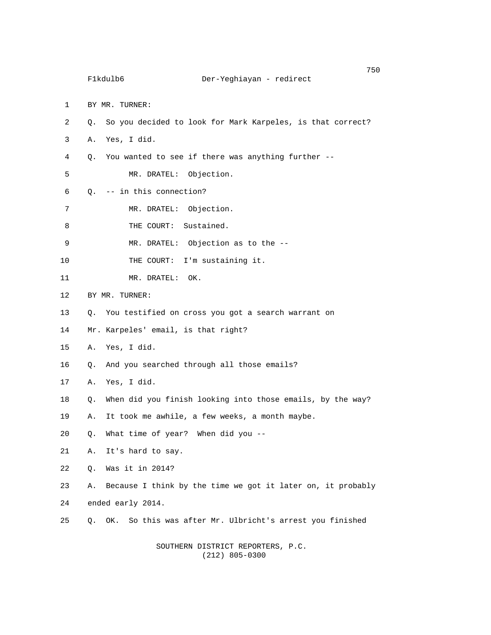1 BY MR. TURNER:

- 2 Q. So you decided to look for Mark Karpeles, is that correct?
- 3 A. Yes, I did.
- 4 Q. You wanted to see if there was anything further --
- 5 MR. DRATEL: Objection.
- 6 Q. -- in this connection?
- 7 MR. DRATEL: Objection.
- 8 THE COURT: Sustained.
- 9 MR. DRATEL: Objection as to the --
- 10 THE COURT: I'm sustaining it.
- 11 MR. DRATEL: OK.
- 12 BY MR. TURNER:
- 13 Q. You testified on cross you got a search warrant on
- 14 Mr. Karpeles' email, is that right?
- 15 A. Yes, I did.
- 16 Q. And you searched through all those emails?
- 17 A. Yes, I did.
- 18 Q. When did you finish looking into those emails, by the way?

19 A. It took me awhile, a few weeks, a month maybe.

- 20 Q. What time of year? When did you --
- 21 A. It's hard to say.
- 22 Q. Was it in 2014?
- 23 A. Because I think by the time we got it later on, it probably
- 24 ended early 2014.
- 25 Q. OK. So this was after Mr. Ulbricht's arrest you finished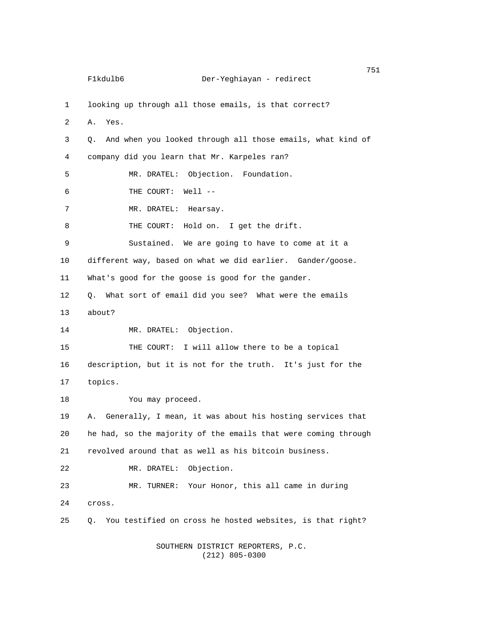na matsay na katalog as na katalog as na katalog as na katalog as na katalog as na katalog as na katalog as na<br>Tagairta F1kdulb6 Der-Yeghiayan - redirect 1 looking up through all those emails, is that correct? 2 A. Yes. 3 Q. And when you looked through all those emails, what kind of 4 company did you learn that Mr. Karpeles ran? 5 MR. DRATEL: Objection. Foundation. 6 THE COURT: Well -- 7 MR. DRATEL: Hearsay. 8 THE COURT: Hold on. I get the drift. 9 Sustained. We are going to have to come at it a 10 different way, based on what we did earlier. Gander/goose. 11 What's good for the goose is good for the gander. 12 Q. What sort of email did you see? What were the emails 13 about? 14 MR. DRATEL: Objection. 15 THE COURT: I will allow there to be a topical 16 description, but it is not for the truth. It's just for the 17 topics. 18 You may proceed. 19 A. Generally, I mean, it was about his hosting services that 20 he had, so the majority of the emails that were coming through 21 revolved around that as well as his bitcoin business. 22 MR. DRATEL: Objection. 23 MR. TURNER: Your Honor, this all came in during 24 cross. 25 Q. You testified on cross he hosted websites, is that right? SOUTHERN DISTRICT REPORTERS, P.C.

(212) 805-0300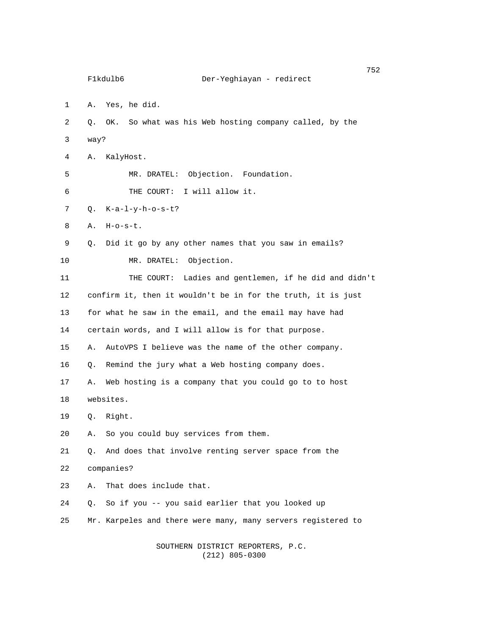$752$  F1kdulb6 Der-Yeghiayan - redirect 1 A. Yes, he did. 2 Q. OK. So what was his Web hosting company called, by the 3 way? 4 A. KalyHost. 5 MR. DRATEL: Objection. Foundation. 6 THE COURT: I will allow it. 7 Q. K-a-l-y-h-o-s-t? 8 A. H-o-s-t. 9 Q. Did it go by any other names that you saw in emails? 10 MR. DRATEL: Objection. 11 THE COURT: Ladies and gentlemen, if he did and didn't 12 confirm it, then it wouldn't be in for the truth, it is just 13 for what he saw in the email, and the email may have had 14 certain words, and I will allow is for that purpose. 15 A. AutoVPS I believe was the name of the other company. 16 Q. Remind the jury what a Web hosting company does. 17 A. Web hosting is a company that you could go to to host 18 websites. 19 Q. Right. 20 A. So you could buy services from them. 21 Q. And does that involve renting server space from the 22 companies? 23 A. That does include that. 24 Q. So if you -- you said earlier that you looked up 25 Mr. Karpeles and there were many, many servers registered to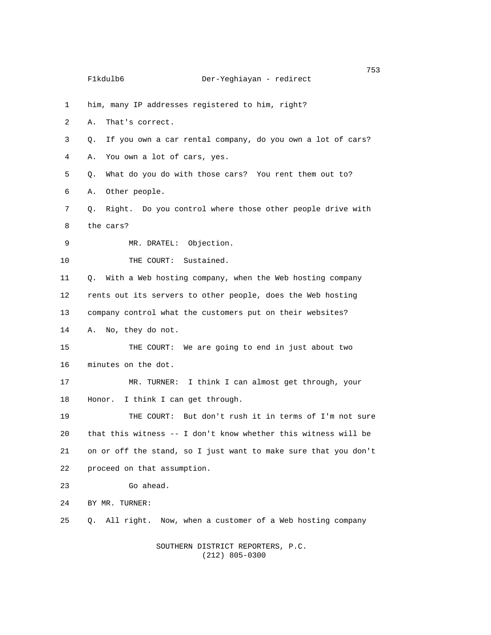1 him, many IP addresses registered to him, right? 2 A. That's correct. 3 Q. If you own a car rental company, do you own a lot of cars? 4 A. You own a lot of cars, yes. 5 Q. What do you do with those cars? You rent them out to? 6 A. Other people. 7 Q. Right. Do you control where those other people drive with 8 the cars? 9 MR. DRATEL: Objection. 10 THE COURT: Sustained. 11 Q. With a Web hosting company, when the Web hosting company 12 rents out its servers to other people, does the Web hosting 13 company control what the customers put on their websites? 14 A. No, they do not. 15 THE COURT: We are going to end in just about two 16 minutes on the dot. 17 MR. TURNER: I think I can almost get through, your 18 Honor. I think I can get through. 19 THE COURT: But don't rush it in terms of I'm not sure 20 that this witness -- I don't know whether this witness will be 21 on or off the stand, so I just want to make sure that you don't 22 proceed on that assumption. 23 Go ahead. 24 BY MR. TURNER: 25 Q. All right. Now, when a customer of a Web hosting company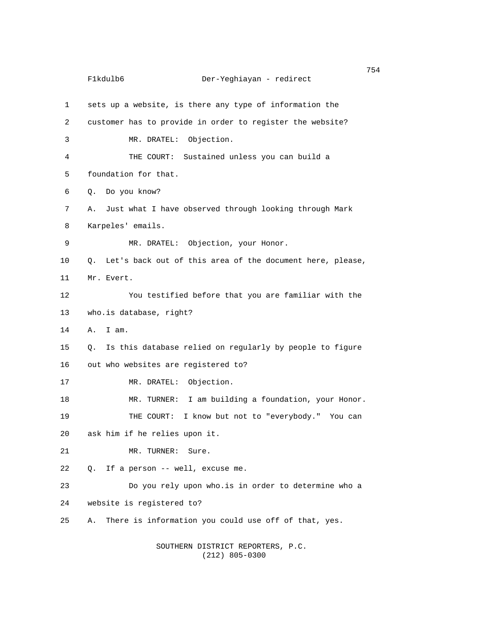|    | 754<br>F1kdulb6<br>Der-Yeghiayan - redirect                  |
|----|--------------------------------------------------------------|
| 1  | sets up a website, is there any type of information the      |
| 2  | customer has to provide in order to register the website?    |
| 3  | MR. DRATEL: Objection.                                       |
| 4  | THE COURT: Sustained unless you can build a                  |
| 5  | foundation for that.                                         |
| 6  | Do you know?<br>Q.                                           |
| 7  | Just what I have observed through looking through Mark<br>А. |
| 8  | Karpeles' emails.                                            |
| 9  | MR. DRATEL: Objection, your Honor.                           |
| 10 | Q. Let's back out of this area of the document here, please, |
| 11 | Mr. Evert.                                                   |
| 12 | You testified before that you are familiar with the          |
| 13 | who.is database, right?                                      |
| 14 | I am.<br>А.                                                  |
| 15 | Q. Is this database relied on regularly by people to figure  |
| 16 | out who websites are registered to?                          |
| 17 | MR. DRATEL: Objection.                                       |
| 18 | MR. TURNER: I am building a foundation, your Honor.          |
| 19 | THE COURT:<br>I know but not to "everybody." You can         |
| 20 | ask him if he relies upon it.                                |
| 21 | MR. TURNER:<br>Sure.                                         |
| 22 | If a person -- well, excuse me.<br>Q.                        |
| 23 | Do you rely upon who.is in order to determine who a          |
| 24 | website is registered to?                                    |
| 25 | There is information you could use off of that, yes.<br>Α.   |
|    |                                                              |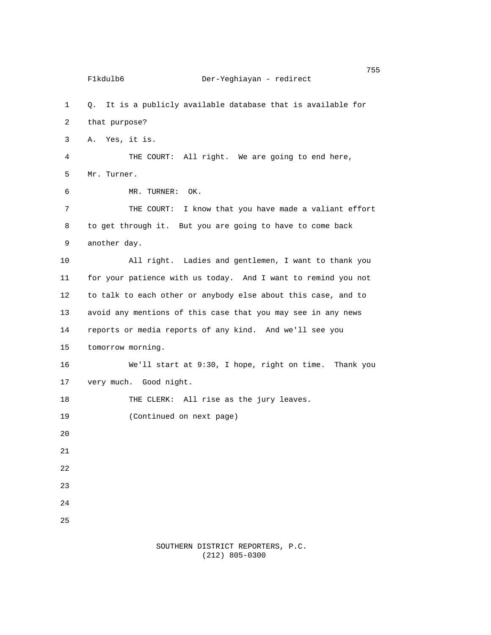1 Q. It is a publicly available database that is available for 2 that purpose? 3 A. Yes, it is. 4 THE COURT: All right. We are going to end here, 5 Mr. Turner. 6 MR. TURNER: OK. 7 THE COURT: I know that you have made a valiant effort 8 to get through it. But you are going to have to come back 9 another day. 10 All right. Ladies and gentlemen, I want to thank you 11 for your patience with us today. And I want to remind you not 12 to talk to each other or anybody else about this case, and to 13 avoid any mentions of this case that you may see in any news 14 reports or media reports of any kind. And we'll see you 15 tomorrow morning. 16 We'll start at 9:30, I hope, right on time. Thank you 17 very much. Good night. 18 THE CLERK: All rise as the jury leaves. 19 (Continued on next page) 20 21 22 23 24 25

#### SOUTHERN DISTRICT REPORTERS, P.C. (212) 805-0300

na matangang kalendarya sa kabupatèn Kabupatèn Kabupatèn Kabupatèn Kabupatèn Kabupatèn Kabupatèn Kabupatèn Ka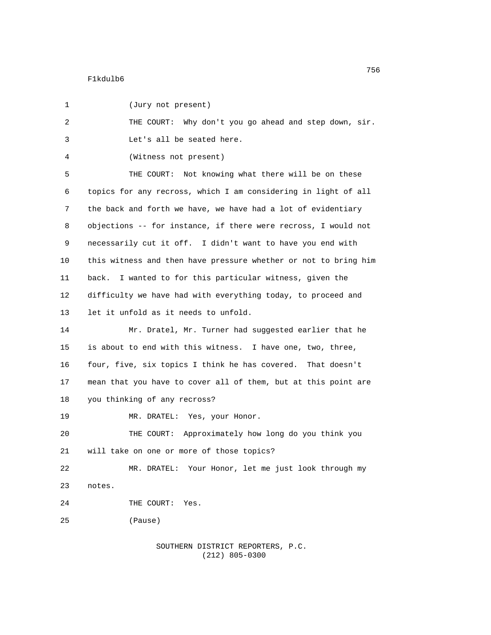#### F1kdulb6

| 1              | (Jury not present)                                              |
|----------------|-----------------------------------------------------------------|
| $\overline{2}$ | THE COURT: Why don't you go ahead and step down, sir.           |
| 3              | Let's all be seated here.                                       |
| 4              | (Witness not present)                                           |
| 5              | THE COURT: Not knowing what there will be on these              |
| 6              | topics for any recross, which I am considering in light of all  |
| 7              | the back and forth we have, we have had a lot of evidentiary    |
| 8              | objections -- for instance, if there were recross, I would not  |
| 9              | necessarily cut it off. I didn't want to have you end with      |
| 10             | this witness and then have pressure whether or not to bring him |
| 11             | back. I wanted to for this particular witness, given the        |
| 12             | difficulty we have had with everything today, to proceed and    |
| 13             | let it unfold as it needs to unfold.                            |
| 14             | Mr. Dratel, Mr. Turner had suggested earlier that he            |
| 15             | is about to end with this witness. I have one, two, three,      |
| 16             | four, five, six topics I think he has covered. That doesn't     |
| 17             | mean that you have to cover all of them, but at this point are  |
| 18             | you thinking of any recross?                                    |
| 19             | MR. DRATEL: Yes, your Honor.                                    |
| 20             | THE COURT: Approximately how long do you think you              |
| 21             | will take on one or more of those topics?                       |
| 22             | MR. DRATEL: Your Honor, let me just look through my             |
| 23             | notes.                                                          |
| 24             | THE COURT:<br>Yes.                                              |
| 25             | (Pause)                                                         |
|                |                                                                 |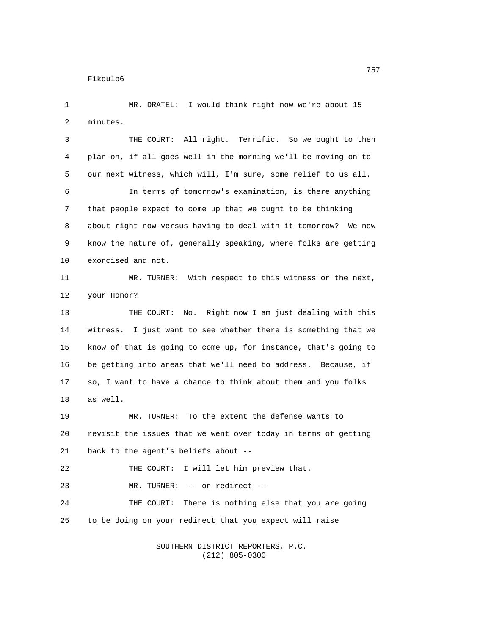F1kdulb6

1 MR. DRATEL: I would think right now we're about 15 2 minutes. 3 THE COURT: All right. Terrific. So we ought to then 4 plan on, if all goes well in the morning we'll be moving on to 5 our next witness, which will, I'm sure, some relief to us all. 6 In terms of tomorrow's examination, is there anything 7 that people expect to come up that we ought to be thinking 8 about right now versus having to deal with it tomorrow? We now 9 know the nature of, generally speaking, where folks are getting 10 exorcised and not. 11 MR. TURNER: With respect to this witness or the next, 12 your Honor? 13 THE COURT: No. Right now I am just dealing with this 14 witness. I just want to see whether there is something that we 15 know of that is going to come up, for instance, that's going to 16 be getting into areas that we'll need to address. Because, if 17 so, I want to have a chance to think about them and you folks 18 as well. 19 MR. TURNER: To the extent the defense wants to 20 revisit the issues that we went over today in terms of getting 21 back to the agent's beliefs about -- 22 THE COURT: I will let him preview that. 23 MR. TURNER: -- on redirect -- 24 THE COURT: There is nothing else that you are going 25 to be doing on your redirect that you expect will raise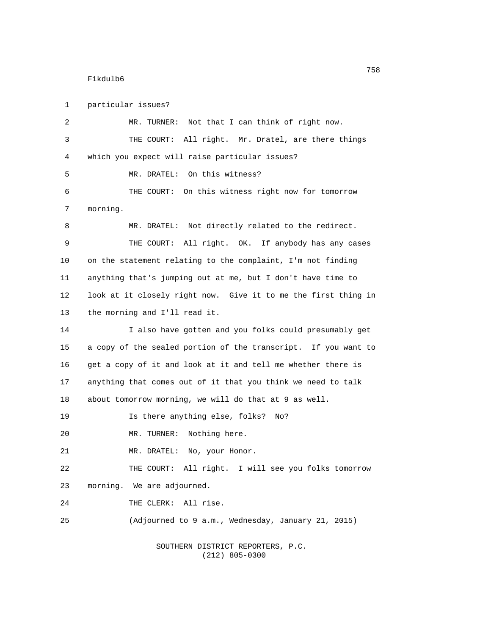#### F1kdulb6

1 particular issues? 2 MR. TURNER: Not that I can think of right now. 3 THE COURT: All right. Mr. Dratel, are there things 4 which you expect will raise particular issues? 5 MR. DRATEL: On this witness? 6 THE COURT: On this witness right now for tomorrow 7 morning. 8 MR. DRATEL: Not directly related to the redirect. 9 THE COURT: All right. OK. If anybody has any cases 10 on the statement relating to the complaint, I'm not finding 11 anything that's jumping out at me, but I don't have time to 12 look at it closely right now. Give it to me the first thing in 13 the morning and I'll read it. 14 I also have gotten and you folks could presumably get 15 a copy of the sealed portion of the transcript. If you want to 16 get a copy of it and look at it and tell me whether there is 17 anything that comes out of it that you think we need to talk 18 about tomorrow morning, we will do that at 9 as well. 19 Is there anything else, folks? No? 20 MR. TURNER: Nothing here. 21 MR. DRATEL: No, your Honor. 22 THE COURT: All right. I will see you folks tomorrow 23 morning. We are adjourned. 24 THE CLERK: All rise. 25 (Adjourned to 9 a.m., Wednesday, January 21, 2015)

SOUTHERN DISTRICT REPORTERS, P.C.

(212) 805-0300